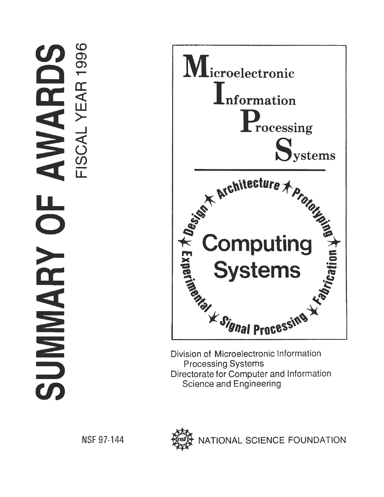# AWARDS  $\overline{\mathsf{C}}$ SUMMARY



Division of Microelectronic Information Directorate for Computer and Information **Science and Engineering** 

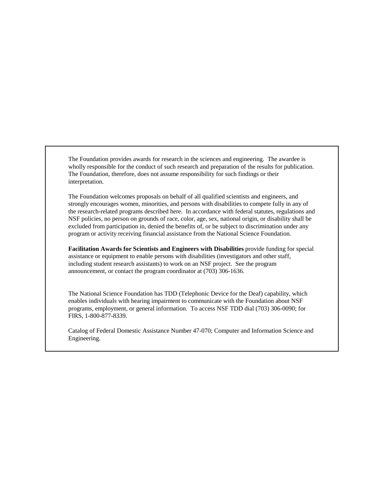The Foundation provides awards for research in the sciences and engineering. The awardee is wholly responsible for the conduct of such research and preparation of the results for publication. The Foundation, therefore, does not assume responsibility for such findings or their interpretation.

The Foundation welcomes proposals on behalf of all qualified scientists and engineers, and strongly encourages women, minorities, and persons with disabilities to compete fully in any of the research-related programs described here. In accordance with federal statutes, regulations and NSF policies, no person on grounds of race, color, age, sex, national origin, or disability shall be excluded from participation in, denied the benefits of, or be subject to discrimination under any program or activity receiving financial assistance from the National Science Foundation.

**Facilitation Awards for Scientists and Engineers with Disabilities** provide funding for special assistance or equipment to enable persons with disabilities (investigators and other staff, including student research assistants) to work on an NSF project. See the program announcement, or contact the program coordinator at (703) 306-1636.

The National Science Foundation has TDD (Telephonic Device for the Deaf) capability, which enables individuals with hearing impairment to communicate with the Foundation about NSF programs, employment, or general information. To access NSF TDD dial (703) 306-0090; for FIRS, 1-800-877-8339.

Catalog of Federal Domestic Assistance Number 47-070; Computer and Information Science and Engineering.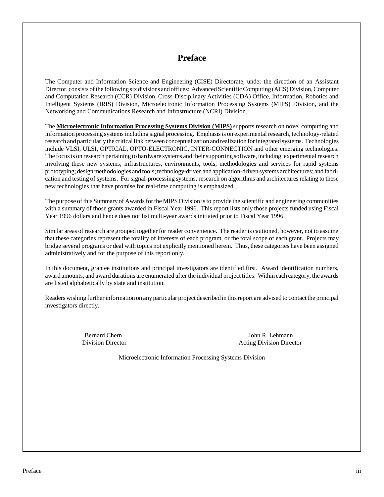# **Preface**

The Computer and Information Science and Engineering (CISE) Directorate, under the direction of an Assistant Director, consists of the following six divisions and offices: Advanced Scientific Computing (ACS) Division, Computer and Computation Research (CCR) Division, Cross-Disciplinary Activities (CDA) Office, Information, Robotics and Intelligent Systems (IRIS) Division, Microelectronic Information Processing Systems (MIPS) Division, and the Networking and Communications Research and Infrastructure (NCRI) Division.

The **Microelectronic Information Processing Systems Division (MIPS)** supports research on novel computing and information processing systems including signal processing. Emphasis is on experimental research, technology-related research and particularly the critical link between conceptualization and realization for integrated systems. Technologies include VLSI, ULSI, OPTICAL, OPTO-ELECTRONIC, INTER-CONNECTION and other emerging technologies. The focus is on research pertaining to hardware systems and their supporting software, including: experimental research involving these new systems; infrastructures, environments, tools, methodologies and services for rapid systems prototyping; design methodologies and tools; technology-driven and application-driven systems architectures; and fabrication and testing of systems. For signal-processing systems, research on algorithms and architectures relating to these new technologies that have promise for real-time computing is emphasized.

The purpose of this Summary of Awards for the MIPS Division is to provide the scientific and engineering communities with a summary of those grants awarded in Fiscal Year 1996. This report lists only those projects funded using Fiscal Year 1996 dollars and hence does not list multi-year awards initiated prior to Fiscal Year 1996.

Similar areas of research are grouped together for reader convenience. The reader is cautioned, however, not to assume that these categories represent the totality of interests of each program, or the total scope of each grant. Projects may bridge several programs or deal with topics not explicitly mentioned herein. Thus, these categories have been assigned administratively and for the purpose of this report only.

In this document, grantee institutions and principal investigators are identified first. Award identification numbers, award amounts, and award durations are enumerated after the individual project titles. Within each category, the awards are listed alphabetically by state and institution.

Readers wishing further information on any particular project described in this report are advised to contact the principal investigators directly.

Bernard Chern John R. Lehmann Division Director Acting Division Director

Microelectronic Information Processing Systems Division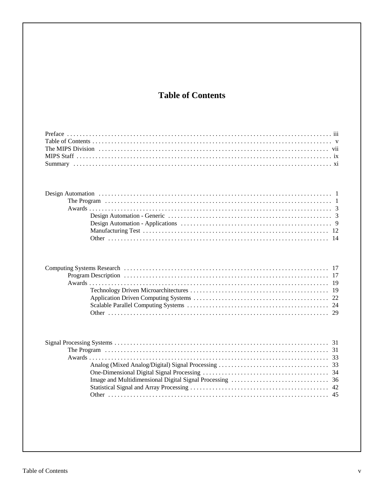# **Table of Contents**

| 19<br>19<br>22<br>29 |
|----------------------|
| 31<br>33<br>42<br>45 |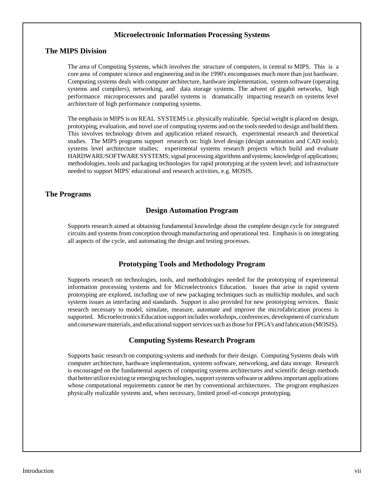# **Microelectronic Information Processing Systems**

#### **The MIPS Division**

The area of Computing Systems, which involves the structure of computers, is central to MIPS. This is a core area of computer science and engineering and in the 1990's encompasses much more than just hardware. Computing systems deals with computer architecture, hardware implementation, system software (operating systems and compilers), networking, and data storage systems. The advent of gigabit networks, high performance microprocessors and parallel systems is dramatically impacting research on systems level architecture of high performance computing systems.

The emphasis in MIPS is on REAL SYSTEMS i.e. physically realizable. Special weight is placed on design, prototyping, evaluation, and novel use of computing systems and on the tools needed to design and build them. This involves technology driven and application related research, experimental research and theoretical studies. The MIPS programs support research on: high level design (design automation and CAD tools); systems level architecture studies; experimental systems research projects which build and evaluate HARDWARE/SOFTWARE SYSTEMS; signal processing algorithms and systems; knowledge of applications; methodologies, tools and packaging technologies for rapid prototyping at the system level; and infrastructure needed to support MIPS' educational and research activities, e.g. MOSIS.

#### **The Programs**

#### **Design Automation Program**

Supports research aimed at obtaining fundamental knowledge about the complete design cycle for integrated circuits and systems from conception through manufacturing and operational test. Emphasis is on integrating all aspects of the cycle, and automating the design and testing processes.

#### **Prototyping Tools and Methodology Program**

Supports research on technologies, tools, and methodologies needed for the prototyping of experimental information processing systems and for Microelectronics Education. Issues that arise in rapid system prototyping are explored, including use of new packaging techniques such as multichip modules, and such systems issues as interfacing and standards. Support is also provided for new prototyping services. Basic research necessary to model, simulate, measure, automate and improve the microfabrication process is supported. Microelectronics Education support includes workshops, conferences, development of curriculum and courseware materials, and educational support services such as those for FPGA's and fabrication (MOSIS).

#### **Computing Systems Research Program**

Supports basic research on computing systems and methods for their design. Computing Systems deals with computer architecture, hardware implementation, systems software, networking, and data storage. Research is encouraged on the fundamental aspects of computing systems architectures and scientific design methods that better utilize existing or emerging technologies, support systems software or address important applications whose computational requirements cannot be met by conventional architectures. The program emphasizes physically realizable systems and, when necessary, limited proof-of-concept prototyping.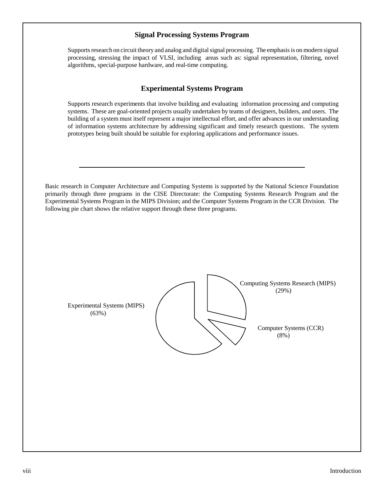# **Signal Processing Systems Program**

Supports research on circuit theory and analog and digital signal processing. The emphasis is on modern signal processing, stressing the impact of VLSI, including areas such as: signal representation, filtering, novel algorithms, special-purpose hardware, and real-time computing.

# **Experimental Systems Program**

Supports research experiments that involve building and evaluating information processing and computing systems. These are goal-oriented projects usually undertaken by teams of designers, builders, and users. The building of a system must itself represent a major intellectual effort, and offer advances in our understanding of information systems architecture by addressing significant and timely research questions. The system prototypes being built should be suitable for exploring applications and performance issues.

Basic research in Computer Architecture and Computing Systems is supported by the National Science Foundation primarily through three programs in the CISE Directorate: the Computing Systems Research Program and the Experimental Systems Program in the MIPS Division; and the Computer Systems Program in the CCR Division. The following pie chart shows the relative support through these three programs.

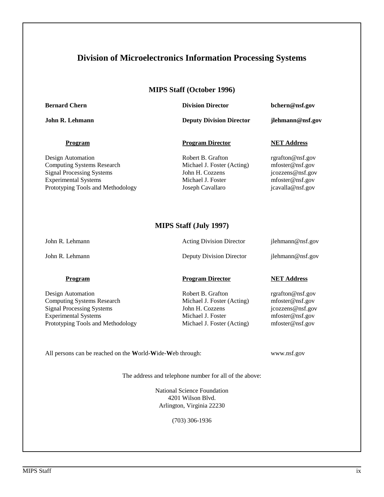# **Division of Microelectronics Information Processing Systems**

## **MIPS Staff (October 1996)**

**Bernard Chern Chern Chern Chern Chern Chern Chern Chern Chern Chern Chern Chern Chern Chern Chern Chern Chern Chern Chern Chern Chern Chern Chern Chern Chern Chern Chern Chern Chern Chern Chern Chern Chern Chern Chern Che** 

**John R. Lehmann Deputy Division Director jlehmann@nsf.gov**

#### **Program Program Director NET Address**

Design Automation Robert B. Grafton rgrafton@nsf.gov Computing Systems Research Michael J. Foster (Acting) mfoster@nsf.gov Signal Processing Systems John H. Cozzens jcozzens@nsf.gov<br>
Experimental Systems Michael J. Foster mfoster@nsf.gov Experimental Systems Michael J. Foster mfoster@nsf.gov Prototyping Tools and Methodology Joseph Cavallaro jcavalla@nsf.gov

# **MIPS Staff (July 1997)**

John R. Lehmann **Acting Division Director** jlehmann@nsf.gov

John R. Lehmann Deputy Division Director ilehmann @nsf.gov

Design Automation **Robert B. Grafton rgrafton rgrafton rgrafton rgrafton rgrafton rgrafton rgrafton rgrafton rgrafton rgrafton rgrafton rgrafton rgrafton rgrafton rgrafton rgrafton rgrafto** Computing Systems Research Michael J. Foster (Acting) mfoster@nsf.gov Signal Processing Systems **Statement Systems** John H. Cozzens **John H. Cozzens** jcozzens @nsf.gov Experimental Systems Michael J. Foster mfoster@nsf.gov Prototyping Tools and Methodology Michael J. Foster (Acting) mfoster @nsf.gov

## **Program Program Director NET Address**

All persons can be reached on the **W**orld-**W**ide-**W**eb through: www.nsf.gov

The address and telephone number for all of the above:

National Science Foundation 4201 Wilson Blvd. Arlington, Virginia 22230

(703) 306-1936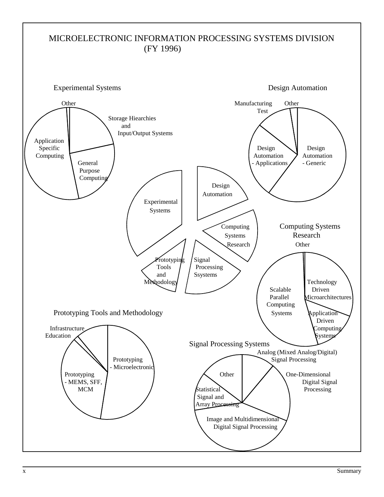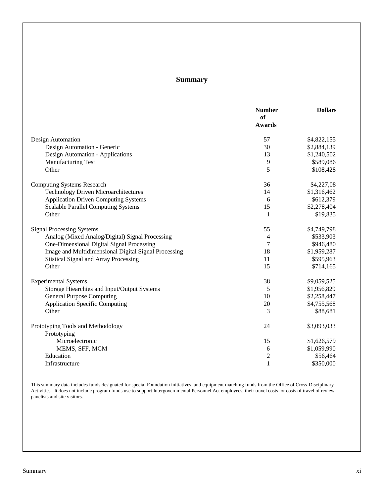# **Summary**

|                                                      | <b>Number</b><br>of<br>Awards | <b>Dollars</b> |
|------------------------------------------------------|-------------------------------|----------------|
| Design Automation                                    | 57                            | \$4,822,155    |
| Design Automation - Generic                          | 30                            | \$2,884,139    |
| Design Automation - Applications                     | 13                            | \$1,240,502    |
| <b>Manufacturing Test</b>                            | 9                             | \$589,086      |
| Other                                                | 5                             | \$108,428      |
| <b>Computing Systems Research</b>                    | 36                            | \$4,227,08     |
| <b>Technology Driven Microarchitectures</b>          | 14                            | \$1,316,462    |
| <b>Application Driven Computing Systems</b>          | 6                             | \$612,379      |
| <b>Scalable Parallel Computing Systems</b>           | 15                            | \$2,278,404    |
| Other                                                | 1                             | \$19,835       |
| <b>Signal Processing Systems</b>                     | 55                            | \$4,749,798    |
| Analog (Mixed Analog/Digital) Signal Processing      | 4                             | \$533,903      |
| One-Dimensional Digital Signal Processing            | 7                             | \$946,480      |
| Image and Multidimensional Digital Signal Processing | 18                            | \$1,959,287    |
| <b>Stistical Signal and Array Processing</b>         | 11                            | \$595,963      |
| Other                                                | 15                            | \$714,165      |
| <b>Experimental Systems</b>                          | 38                            | \$9,059,525    |
| Storage Hiearchies and Input/Output Systems          | 5                             | \$1,956,829    |
| <b>General Purpose Computing</b>                     | 10                            | \$2,258,447    |
| <b>Application Specific Computing</b>                | 20                            | \$4,755,568    |
| Other                                                | 3                             | \$88,681       |
| Prototyping Tools and Methodology                    | 24                            | \$3,093,033    |
| Prototyping                                          |                               |                |
| Microelectronic                                      | 15                            | \$1,626,579    |
| MEMS, SFF, MCM                                       | 6                             | \$1,059,990    |
| Education                                            | $\overline{c}$                | \$56,464       |
| Infrastructure                                       | $\mathbf{1}$                  | \$350,000      |

This summary data includes funds designated for special Foundation initiatives, and equipment matching funds from the Office of Cross-Disciplinary Activities. It does not include program funds use to support Intergovernmental Personnel Act employees, their travel costs, or costs of travel of review panelists and site visitors.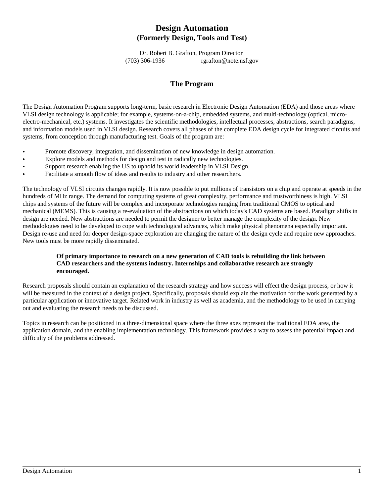# **Design Automation (Formerly Design, Tools and Test)**

Dr. Robert B. Grafton, Program Director (703) 306-1936 rgrafton@note.nsf.gov

# **The Program**

The Design Automation Program supports long-term, basic research in Electronic Design Automation (EDA) and those areas where VLSI design technology is applicable; for example, systems-on-a-chip, embedded systems, and multi-technology (optical, microelectro-mechanical, etc.) systems. It investigates the scientific methodologies, intellectual processes, abstractions, search paradigms, and information models used in VLSI design. Research covers all phases of the complete EDA design cycle for integrated circuits and systems, from conception through manufacturing test. Goals of the program are:

- Promote discovery, integration, and dissemination of new knowledge in design automation.  $\ddot{\phantom{0}}$
- Explore models and methods for design and test in radically new technologies.  $\ddot{\phantom{0}}$
- Support research enabling the US to uphold its world leadership in VLSI Design.  $\ddot{\phantom{0}}$
- Facilitate a smooth flow of ideas and results to industry and other researchers.

The technology of VLSI circuits changes rapidly. It is now possible to put millions of transistors on a chip and operate at speeds in the hundreds of MHz range. The demand for computing systems of great complexity, performance and trustworthiness is high. VLSI chips and systems of the future will be complex and incorporate technologies ranging from traditional CMOS to optical and mechanical (MEMS). This is causing a re-evaluation of the abstractions on which today's CAD systems are based. Paradigm shifts in design are needed. New abstractions are needed to permit the designer to better manage the complexity of the design. New methodologies need to be developed to cope with technological advances, which make physical phenomena especially important. Design re-use and need for deeper design-space exploration are changing the nature of the design cycle and require new approaches. New tools must be more rapidly disseminated.

#### **Of primary importance to research on a new generation of CAD tools is rebuilding the link between CAD researchers and the systems industry. Internships and collaborative research are strongly encouraged.**

Research proposals should contain an explanation of the research strategy and how success will effect the design process, or how it will be measured in the context of a design project. Specifically, proposals should explain the motivation for the work generated by a particular application or innovative target. Related work in industry as well as academia, and the methodology to be used in carrying out and evaluating the research needs to be discussed.

Topics in research can be positioned in a three-dimensional space where the three axes represent the traditional EDA area, the application domain, and the enabling implementation technology. This framework provides a way to assess the potential impact and difficulty of the problems addressed.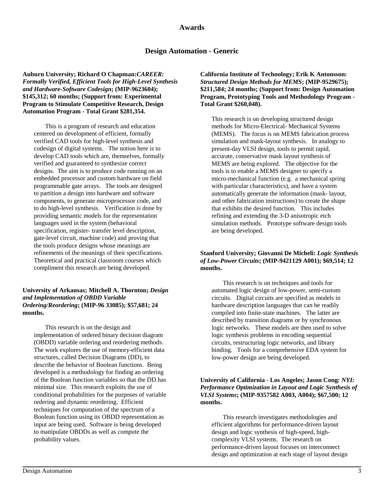# **Design Automation - Generic**

**Auburn University; Richard O Chapman:***CAREER: Formally Verified, Efficient Tools for High-Level Synthesis and Hardware-Software Codesign***; (MIP-9623604); \$145,312; 60 months; (Support from: Experimental Program to Stimulate Competitive Research, Design Automation Program - Total Grant \$281,354.**

This is a program of research and education centered on development of efficient, formally verified CAD tools for high-level synthesis and codesign of digital systems. The notion here is to develop CAD tools which are, themselves, formally verified and guaranteed to synthesize correct designs. The aim is to produce code running on an embedded processor and custom hardware on field programmable gate arrays. The tools are designed to partition a design into hardware and software components, to generate microprocessor code, and to do high-level synthesis. Verification is done by providing semantic models for the representation languages used in the system (behavioral specification, register- transfer level description, gate-level circuit, machine code) and proving that the tools produce designs whose meanings are refinements of the meanings of their specifications. Theoretical and practical classroom courses which compliment this research are being developed.

#### **University of Arkansas; Mitchell A. Thornton;** *Design and Implementation of OBDD Variable Ordering/Reordering***; (MIP-96 33085); \$57,681; 24 months.**

This research is on the design and implementation of ordered binary decision diagram (OBDD) variable ordering and reordering methods. The work explores the use of memory-efficient data structures, called Decision Diagrams (DD), to describe the behavior of Boolean functions. Being developed is a methodology for finding an ordering of the Boolean function variables so that the DD has minimal size. This research exploits the use of conditional probabilities for the purposes of variable ordering and dynamic reordering. Efficient techniques for computation of the spectrum of a Boolean function using its OBDD representation as input are being used. Software is being developed to manipulate OBDDs as well as compute the probability values.

**California Institute of Technology; Erik K Antonsson:** *Structured Design Methods for MEMS***; (MIP-9529675); \$211,584; 24 months; (Support from: Design Automation Program, Prototyping Tools and Methodology Program - Total Grant \$260,048).**

This research is on developing structured design methods for Micro-Electrical- Mechanical Systems (MEMS). The focus is on MEMS fabrication process simulation and mask-layout synthesis. In analogy to present-day VLSI design, tools to permit rapid, accurate, conservative mask layout synthesis of MEMS are being explored. The objective for the tools is to enable a MEMS designer to specify a micro-mechanical function (e.g. a mechanical spring with particular characteristics), and have a system automatically generate the information (mask- layout, and other fabrication instructions) to create the shape that exhibits the desired function. This includes refining and extending the 3-D anisotropic etch simulation methods. Prototype software design tools are being developed.

#### **Stanford University; Giovanni De Micheli:** *Logic Synthesis of Low-Power Circuits***; (MIP-9421129 A001); \$69,514; 12 months.**

This research is on techniques and tools for automated logic design of low-power, semi-custom circuits. Digital circuits are specified as models in hardware description languages that can be readily compiled into finite-state machines. The latter are described by transition diagrams or by synchronous logic networks. These models are then used to solve logic synthesis problems in encoding sequential circuits, restructuring logic networks, and library binding. Tools for a comprehensive EDA system for low-power design are being developed.

#### **University of California - Los Angeles; Jason Cong***: NYI: Performance Optimization in Layout and Logic Synthesis of VLSI Systems***; (MIP-9357582 A003, A004); \$67,500; 12 months.**

This research investigates methodologies and efficient algorithms for performance-driven layout design and logic synthesis of high-speed, highcomplexity VLSI systems. The research on performance-driven layout focuses on interconnect design and optimization at each stage of layout design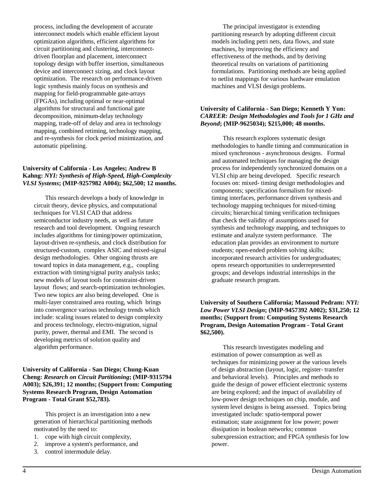process, including the development of accurate interconnect models which enable efficient layout optimization algorithms, efficient algorithms for circuit partitioning and clustering, interconnectdriven floorplan and placement, interconnect topology design with buffer insertion, simultaneous device and interconnect sizing, and clock layout optimization. The research on performance-driven logic synthesis mainly focus on synthesis and mapping for field-programmable gate-arrays (FPGAs), including optimal or near-optimal algorithms for structural and functional gate decomposition, minimum-delay technology mapping, trade-off of delay and area in technology mapping, combined retiming, technology mapping, and re-synthesis for clock period minimization, and automatic pipelining.

#### **University of California - Los Angeles; Andrew B Kahng:** *NYI: Synthesis of High-Speed, High-Complexity VLSI Systems***; (MIP-9257982 A004); \$62,500; 12 months.**

This research develops a body of knowledge in circuit theory, device physics, and computational techniques for VLSI CAD that address semiconductor industry needs, as well as future research and tool development. Ongoing research includes algorithms for timing/power optimization, layout-driven re-synthesis, and clock distribution for structured-custom, complex ASIC and mixed-signal design methodologies. Other ongoing thrusts are toward topics in data management, e.g., coupling extraction with timing/signal purity analysis tasks; new models of layout tools for constraint-driven layout flows; and search-optimization technologies. Two new topics are also being developed. One is multi-layer constrained area routing, which brings into convergence various technology trends which include: scaling issues related to design complexity and process technology, electro-migration, signal purity, power, thermal and EMI. The second is developing metrics of solution quality and algorithm performance.

#### **University of California - San Diego; Chung-Kuan Cheng:** *Research on Circuit Partitioning***; (MIP-9315794 A003); \$26,391; 12 months; (Support from: Computing Systems Research Program, Design Automation Program - Total Grant \$52,783).**

This project is an investigation into a new generation of hierarchical partitioning methods motivated by the need to:

- 1. cope with high circuit complexity,
- 2. improve a system's performance, and
- 3. control intermodule delay.

The principal investigator is extending partitioning research by adopting different circuit models including petri nets, data flows, and state machines, by improving the efficiency and effectiveness of the methods, and by deriving theoretical results on variations of partitioning formulations. Partitioning methods are being applied to netlist mappings for various hardware emulation machines and VLSI design problems.

#### **University of California - San Diego; Kenneth Y Yun:** *CAREER: Design Methodologies and Tools for 1 GHz and Beyond***; (MIP-9625034); \$215,000; 48 months.**

This research explores systematic design methodologies to handle timing and communication in mixed synchronous - asynchronous designs. Formal and automated techniques for managing the design process for independently synchronized domains on a VLSI chip are being developed. Specific research focuses on: mixed- timing design methodologies and components; specification formalism for mixedtiming interfaces, performance driven synthesis and technology mapping techniques for mixed-timing circuits; hierarchical timing verification techniques that check the validity of assumptions used for synthesis and technology mapping, and techniques to estimate and analyze system performance. The education plan provides an environment to nurture students; open-ended problem solving skills; incorporated research activities for undergraduates; opens research opportunities to underrepresented groups; and develops industrial internships in the graduate research program.

#### **University of Southern California; Massoud Pedram:** *NYI: Low Power VLSI Design***; (MIP-9457392 A002); \$31,250; 12 months; (Support from: Computing Systems Research Program, Design Automation Program - Total Grant \$62,500).**

This research investigates modeling and estimation of power consumption as well as techniques for minimizing power at the various levels of design abstraction (layout, logic, register- transfer and behavioral levels). Principles and methods to guide the design of power efficient electronic systems are being explored; and the impact of availability of low-power design techniques on chip, module, and system level designs is being assessed. Topics being investigated include: spatio-temporal power estimation; state assignment for low power; power dissipation in boolean networks; common subexpression extraction; and FPGA synthesis for low power.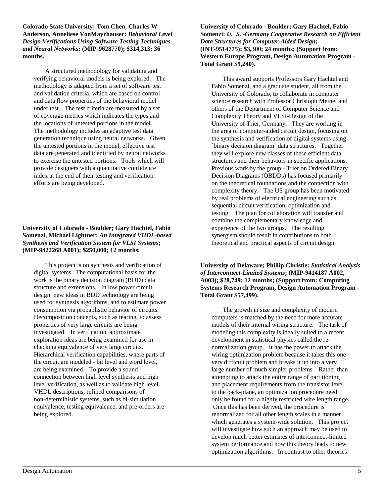**Colorado State University; Tom Chen, Charles W Anderson, Anneliese VonMayrhauser:** *Behavioral Level Design Verifications Using Software Testing Techniques and Neural Networks***; (MIP-9628770); \$314,313; 36 months.**

A structured methodology for validating and verifying behavioral models is being explored. The methodology is adapted from a set of software test and validation criteria, which are based on control and data flow properties of the behavioral model under test. The test criteria are measured by a set of coverage metrics which indicates the types and the locations of untested portions in the model. The methodology includes an adaptive test data generation technique using neural networks. Given the untested portions in the model, effective test data are generated and identified by neural networks to exercise the untested portions. Tools which will provide designers with a quantitative confidence index at the end of their testing and verification efforts are being developed.

#### **University of Colorado - Boulder; Gary Hachtel, Fabio Somenzi, Michael Lightner:** *An Integrated VHDL-based Synthesis and Verification System for VLSI Systems***; (MIP-9422268 A001); \$250,000; 12 months.**

This project is on synthesis and verification of digital systems. The computational basis for the work is the binary decision diagram (BDD) data structure and extensions. In low power circuit design, new ideas in BDD technology are being used for synthesis algorithms, and to estimate power consumption via probablistic behavior of circuits. Decomposition concepts, such as tearing, to assess properties of very large circuits are being investigated. In verification, approximate exploration ideas are being examined for use in checking equivalence of very large circuits. Hierarchical verification capabilities, where parts of the circuit are modeled - bit level and word level, are being examined. To provide a sound connection between high level synthesis and high level verification, as well as to validate high level VHDL descriptions, refined comparisons of non-deterministic systems, such as bi-simulation equivalence, testing equivalence, and pre-orders are being explored.

**University of Colorado - Boulder; Gary Hachtel, Fabio Somenzi:** *U. S. -Germany Cooperative Research on Efficient Data Structures for Computer-Aided Design***; (INT-9514775); \$3,300; 24 months; (Support from: Western Europe Program, Design Automation Program - Total Grant \$9,240).**

This award supports Professors Gary Hachtel and Fabio Somenzi, and a graduate student, all from the University of Colorado, to collaborate in computer science research with Professor Christoph Meinel and others of the Department of Computer Science and Complexity Theory and VLSI-Design of the University of Trier, Germany. They are working in the area of computer-aided circuit design, focusing on the synthesis and verification of digital systems using `binary decision diagram` data structures. Together they will explore new classes of these efficient data structures and their behaviors in specific applications. Previous work by the group - Trier on Ordered Binary Decision Diagrams (OBDDs) has focused primarily on the theoretical foundations and the connection with complexity theory. The US group has been motivated by real problems of electrical engineering such as sequential circuit verification, optimization and testing. The plan for collaboration will transfer and combine the complementary knowledge and experience of the two groups. The resulting synergism should result in contributions to both theoretical and practical aspects of circuit design.

**University of Delaware; Phillip Christie:** *Statistical Analysis of Interconnect-Limited Systems***; (MIP-9414187 A002, A003); \$28,749; 12 months; (Support from: Computing Systems Research Program, Design Automation Program - Total Grant \$57,499).**

The growth in size and complexity of modern computers is matched by the need for more accurate models of their internal wiring structure. The task of modeling this complexity is ideally suited to a recent development in statistical physics called the renormalization group. It has the power to attack the wiring optimization problem because it takes this one very difficult problem and breaks it up into a very large number of much simpler problems. Rather than attempting to attack the entire range of partitioning and placement requirements from the transistor level to the back-plane, an optimization procedure need only be found for a highly restricted wire length range. Once this has been derived, the procedure is renormalized for all other length scales in a manner which generates a system-wide solution. This project will investigate how such an approach may be used to develop much better estimates of interconnect-limited system performance and how this theory leads to new optimization algorithms. In contrast to other theories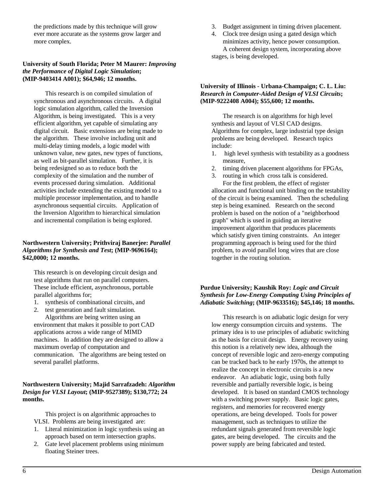the predictions made by this technique will grow ever more accurate as the systems grow larger and more complex.

#### **University of South Florida; Peter M Maurer:** *Improving the Performance of Digital Logic Simulation***; (MIP-9403414 A001); \$64,946; 12 months.**

This research is on compiled simulation of synchronous and asynchronous circuits. A digital logic simulation algorithm, called the Inversion Algorithm, is being investigated. This is a very efficient algorithm, yet capable of simulating any digital circuit. Basic extensions are being made to the algorithm. These involve including unit and multi-delay timing models, a logic model with unknown value, new gates, new types of functions, as well as bit-parallel simulation. Further, it is being redesigned so as to reduce both the complexity of the simulation and the number of events processed during simulation. Additional activities include extending the existing model to a multiple processor implementation, and to handle asynchronous sequential circuits. Application of the Inversion Algorithm to hierarchical simulation and incremental compilation is being explored.

#### **Northwestern University; Prithviraj Banerjee:** *Parallel Algorithms for Synthesis and Test***; (MIP-9696164); \$42,0000; 12 months.**

This research is on developing circuit design and test algorithms that run on parallel computers. These include efficient, asynchronous, portable parallel algorithms for;

1. synthesis of combinational circuits, and

2. test generation and fault simulation. Algorithms are being written using an environment that makes it possible to port CAD applications across a wide range of MIMD machines. In addition they are designed to allow a maximum overlap of computation and communication. The algorithms are being tested on several parallel platforms.

#### **Northwestern University; Majid Sarrafzadeh:** *Algorithm Design for VLSI Layout***; (MIP-9527389); \$130,772; 24 months.**

This project is on algorithmic approaches to VLSI. Problems are being investigated are:

- 1. Literal minimization in logic synthesis using an approach based on term intersection graphs.
- 2. Gate level placement problems using minimum floating Steiner trees.
- 3. Budget assignment in timing driven placement.
- 4. Clock tree design using a gated design which minimizes activity, hence power consumption. A coherent design system, incorporating above stages, is being developed.

#### **University of Illinois - Urbana-Champaign; C. L. Liu:** *Research in Computer-Aided Design of VLSI Circuits***; (MIP-9222408 A004); \$55,600; 12 months.**

The research is on algorithms for high level synthesis and layout of VLSI CAD designs. Algorithms for complex, large industrial type design problems are being developed. Research topics include:

- 1. high level synthesis with testability as a goodness measure,
- 2. timing driven placement algorithms for FPGAs,
- 3. routing in which cross talk is considered. For the first problem, the effect of register allocation and functional unit binding on the testability of the circuit is being examined. Then the scheduling step is being examined. Research on the second problem is based on the notion of a "neighborhood graph" which is used in guiding an iterative improvement algorithm that produces placements which satisfy given timing constraints. An integer programming approach is being used for the third problem, to avoid parallel long wires that are close together in the routing solution.

#### **Purdue University; Kaushik Roy:** *Logic and Circuit Synthesis for Low-Energy Computing Using Principles of Adiabatic Switching***; (MIP-9633516); \$45,146; 18 months.**

This research is on adiabatic logic design for very low energy consumption circuits and systems. The primary idea is to use principles of adiabatic switching as the basis for circuit design. Energy recovery using this notion is a relatively new idea, although the concept of reversible logic and zero-energy computing can be tracked back to he early 1970s, the attempt to realize the concept in electronic circuits is a new endeavor. An adiabatic logic, using both fully reversible and partially reversible logic, is being developed. It is based on standard CMOS technology with a switching power supply. Basic logic gates, registers, and memories for recovered energy operations, are being developed. Tools for power management, such as techniques to utilize the redundant signals generated from reversible logic gates, are being developed. The circuits and the power supply are being fabricated and tested.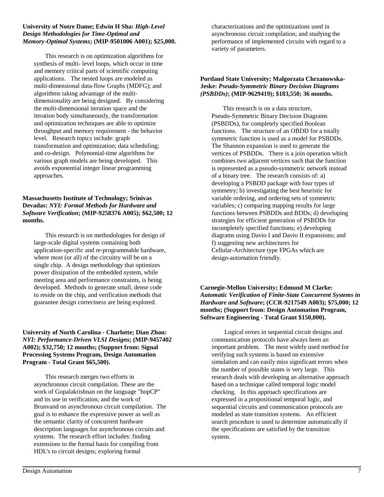#### **University of Notre Dame; Edwin H Sha:** *High-Level Design Methodologies for Time-Optimal and Memory-Optimal Systems***; (MIP-9501006 A001); \$25,000.**

This research is on optimization algorithms for synthesis of multi- level loops, which occur in time and memory critical parts of scientific computing applications. The nested loops are modeled as multi-dimensional data-flow Graphs (MDFG); and algorithms taking advantage of the multidimensionality are being designed. By considering the multi-dimensional iteration space and the iteration body simultaneously, the transformation and optimization techniques are able to optimize throughput and memory requirement - the behavior level. Research topics include: graph transformation and optimization; data scheduling; and co-design. Polynomial-time algorithms for various graph models are being developed. This avoids exponential integer linear programming approaches.

#### **Massachusetts Institute of Technology; Srinivas Devadas:** *NYI: Formal Methods for Hardware and Software Verification***; (MIP-9258376 A005); \$62,500; 12 months.**

This research is on methodologies for design of large-scale digital systems containing both application-specific and re-programmable hardware, where most (or all) of the circuitry will be on a single chip. A design methodology that optimizes power dissipation of the embedded system, while meeting area and performance constraints, is being developed. Methods to generate small, dense code to reside on the chip, and verification methods that guarantee design correctness are being explored.

#### **University of North Carolina - Charlotte; Dian Zhou:** *NYI: Performance-Driven VLSI Designs***; (MIP-9457402 A002); \$32,750; 12 months; (Support from: Signal Processing Systems Program, Design Automation Program - Total Grant \$65,500).**

This research merges two efforts in asynchronous circuit compilation. These are the work of Gopalakrishnan on the language "hopCP" and its use in verification; and the work of Brunvand on asynchronous circuit compilation. The goal is to enhance the expressive power as well as the semantic clarity of concurrent hardware description languages for asynchronous circuits and systems. The research effort includes: finding extensions to the formal basis for compiling from HDL's to circuit designs; exploring formal

characterizations and the optimizations used in asynchronous circuit compilation; and studying the performance of implemented circuits with regard to a variety of parameters.

#### **Portland State University; Malgorzata Chrzanowska-Jeske:** *Pseudo-Symmetric Binary Decision Diagrams (PSBDDs)***; (MIP-9629419); \$183,550; 36 months.**

This research is on a data structure, Pseudo-Symmetric Binary Decision Diagrams (PSBDDs), for completely specified Boolean functions. The structure of an OBDD for a totally symmetric function is used as a model for PSBDDs. The Shannon expansion is used to generate the vertices of PSBDDs. There is a join operation which combines two adjacent vertices such that the function is represented as a pseudo-symmetric network instead of a binary tree. The research consists of: a) developing a PSBDD package with four types of symmetry; b) investigating the best heuristic for variable ordering, and ordering sets of symmetric variables; c) comparing mapping results for large functions between PSBDDs and BDDs; d) developing strategies for efficient generation of PSBDDs for incompletely specified functions; e) developing diagrams using Davio I and Davio II expansions; and f) suggesting new architectures for Cellular-Architecture type FPGAs which are design-automation friendly.

#### **Carnegie-Mellon University; Edmund M Clarke:** *Automatic Verification of Finite-State Concurrent Systems in Hardware and Software***; (CCR-9217549 A003); \$75,000; 12 months; (Support from: Design Automation Program, Software Engineering - Total Grant \$150,000).**

 Logical errors in sequential circuit designs and communication protocols have always been an important problem. The most widely used method for verifying such systems is based on extensive simulation and can easily miss significant errors when the number of possible states is very large. This research deals with developing an alternative approach based on a technique called temporal logic model checking. In this approach specifications are expressed in a propositional temporal logic, and sequential circuits and communication protocols are modeled as state transition systems. An efficient search procedure is used to determine automatically if the specifications are satisfied by the transition system.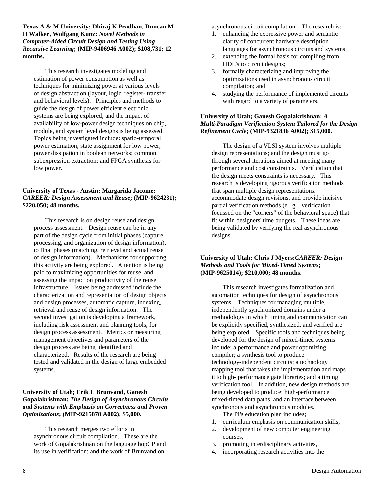**Texas A & M University; Dhiraj K Pradhan, Duncan M H Walker, Wolfgang Kunz:** *Novel Methods in Computer-Aided Circuit Design and Testing Using Recursive Learning***; (MIP-9406946 A002); \$108,731; 12 months.**

This research investigates modeling and estimation of power consumption as well as techniques for minimizing power at various levels of design abstraction (layout, logic, register- transfer and behavioral levels). Principles and methods to guide the design of power efficient electronic systems are being explored; and the impact of availability of low-power design techniques on chip, module, and system level designs is being assessed. Topics being investigated include: spatio-temporal power estimation; state assignment for low power; power dissipation in boolean networks; common subexpression extraction; and FPGA synthesis for low power.

#### **University of Texas - Austin; Margarida Jacome:** *CAREER: Design Assessment and Reuse***; (MIP-9624231); \$220,050; 48 months.**

This research is on design reuse and design process assessment. Design reuse can be in any part of the design cycle from initial phases (capture, processing, and organization of design information), to final phases (matching, retrieval and actual reuse of design information). Mechanisms for supporting this activity are being explored. Attention is being paid to maximizing opportunities for reuse, and assessing the impact on productivity of the reuse infrastructure. Issues being addressed include the characterization and representation of design objects and design processes, automatic capture, indexing, retrieval and reuse of design information. The second investigation is developing a framework, including risk assessment and planning tools, for design process assessment. Metrics or measuring management objectives and parameters of the design process are being identified and characterized. Results of the research are being tested and validated in the design of large embedded systems.

#### **University of Utah; Erik L Brunvand, Ganesh Gopalakrishnan:** *The Design of Asynchronous Circuits and Systems with Emphasis on Correctness and Proven Optimizations***; (MIP-9215878 A002); \$5,000.**

This research merges two efforts in asynchronous circuit compilation. These are the work of Gopalakrishnan on the language hopCP and its use in verification; and the work of Brunvand on

asynchronous circuit compilation. The research is:

- 1. enhancing the expressive power and semantic clarity of concurrent hardware description languages for asynchronous circuits and systems
- 2. extending the formal basis for compiling from HDL's to circuit designs;
- 3. formally characterizing and improving the optimizations used in asynchronous circuit compilation; and
- 4. studying the performance of implemented circuits with regard to a variety of parameters.

#### **University of Utah; Ganesh Gopalakrishnan:** *A Multi-Paradigm Verification System Tailored for the Design Refinement Cycle***; (MIP-9321836 A002); \$15,000.**

The design of a VLSI system involves multiple design representations; and the design must go through several iterations aimed at meeting many performance and cost constraints. Verification that the design meets constraints is necessary. This research is developing rigorous verification methods that span multiple design representations, accommodate design revisions, and provide incisive partial verification methods (e. g. verification focussed on the "corners" of the behavioral space) that fit within designers' time budgets. These ideas are being validated by verifying the real asynchronous designs.

#### **University of Utah; Chris J Myers:***CAREER: Design Methods and Tools for Mixed-Timed Systems***; (MIP-9625014); \$210,000; 48 months.**

This research investigates formalization and automation techniques for design of asynchronous systems. Techniques for managing multiple, independently synchronized domains under a methodology in which timing and communication can be explicitly specified, synthesized, and verified are being explored. Specific tools and techniques being developed for the design of mixed-timed systems include: a performance and power optimizing compiler; a synthesis tool to produce technology-independent circuits; a technology mapping tool that takes the implementation and maps it to high- performance gate libraries; and a timing verification tool. In addition, new design methods are being developed to produce: high-performance mixed-timed data paths, and an interface between synchronous and asynchronous modules.

- The PI's education plan includes;
- 1. curriculum emphasis on communication skills,
- 2. development of new computer engineering courses,
- 3. promoting interdisciplinary activities,
- 4. incorporating research activities into the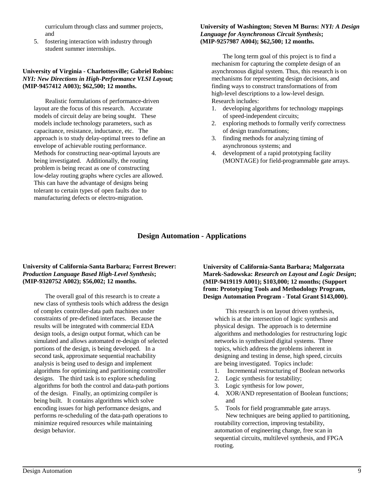curriculum through class and summer projects, and

5. fostering interaction with industry through student summer internships.

#### **University of Virginia - Charlottesville; Gabriel Robins:** *NYI: New Directions in High-Performance VLSI Layout***; (MIP-9457412 A003); \$62,500; 12 months.**

Realistic formulations of performance-driven layout are the focus of this research. Accurate models of circuit delay are being sought. These models include technology parameters, such as capacitance, resistance, inductance, etc. The approach is to study delay-optimal trees to define an envelope of achievable routing performance. Methods for constructing near-optimal layouts are being investigated. Additionally, the routing problem is being recast as one of constructing low-delay routing graphs where cycles are allowed. This can have the advantage of designs being tolerant to certain types of open faults due to manufacturing defects or electro-migration.

#### **University of Washington; Steven M Burns:** *NYI: A Design Language for Asynchronous Circuit Synthesis***; (MIP-9257987 A004); \$62,500; 12 months.**

The long term goal of this project is to find a mechanism for capturing the complete design of an asynchronous digital system. Thus, this research is on mechanisms for representing design decisions, and finding ways to construct transformations of from high-level descriptions to a low-level design. Research includes:

- 1. developing algorithms for technology mappings of speed-independent circuits;
- 2. exploring methods to formally verify correctness of design transformations;
- 3. finding methods for analyzing timing of asynchronous systems; and
- 4. development of a rapid prototyping facility (MONTAGE) for field-programmable gate arrays.

# **Design Automation - Applications**

#### **University of California-Santa Barbara; Forrest Brewer:** *Production Language Based High-Level Synthesis***; (MIP-9320752 A002); \$56,002; 12 months.**

The overall goal of this research is to create a new class of synthesis tools which address the design of complex controller-data path machines under constraints of pre-defined interfaces. Because the results will be integrated with commercial EDA design tools, a design output format, which can be simulated and allows automated re-design of selected portions of the design, is being developed. In a second task, approximate sequential reachability analysis is being used to design and implement algorithms for optimizing and partitioning controller designs. The third task is to explore scheduling algorithms for both the control and data-path portions of the design. Finally, an optimizing compiler is being built. It contains algorithms which solve encoding issues for high performance designs, and performs re-scheduling of the data-path operations to minimize required resources while maintaining design behavior.

**University of California-Santa Barbara; Malgorzata Marek-Sadowska:** *Research on Layout and Logic Design***; (MIP-9419119 A001); \$103,000; 12 months; (Support from: Prototyping Tools and Methodology Program, Design Automation Program - Total Grant \$143,000).**

This research is on layout driven synthesis, which is at the intersection of logic synthesis and physical design. The approach is to determine algorithms and methodologies for restructuring logic networks in synthesized digital systems. Three topics, which address the problems inherent in designing and testing in dense, high speed, circuits are being investigated. Topics include:

- 1. Incremental restructuring of Boolean networks
- 2. Logic synthesis for testability;
- 3. Logic synthesis for low power,
- 4. XOR/AND representation of Boolean functions; and

5. Tools for field programmable gate arrays. New techniques are being applied to partitioning, routability correction, improving testability, automation of engineering change, free scan in sequential circuits, multilevel synthesis, and FPGA routing.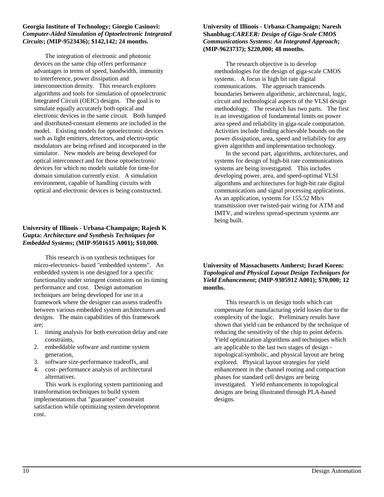#### **Georgia Institute of Technology; Giorgio Casinovi:** *Computer-Aided Simulation of Optoelectronic Integrated Circuits***; (MIP-9523436); \$142,142; 24 months.**

The integration of electronic and photonic devices on the same chip offers performance advantages in terms of speed, bandwidth, immunity to interference, power dissipation and interconnection density. This research explores algorithms and tools for simulation of optoelectronic Integrated Circuit (OEIC) designs. The goal is to simulate equally accurately both optical and electronic devices in the same circuit. Both lumped and distributed-constant elements are included in the model. Existing models for optoelectronic devices such as light emitters, detectors, and electro-optic modulators are being refined and incorporated in the simulator. New models are being developed for optical interconnect and for those optoelectronic devices for which no models suitable for time-for domain simulation currently exist. A simulation environment, capable of handling circuits with optical and electronic devices is being constructed.

#### **University of Illinois - Urbana-Champaign; Rajesh K Gupta:** *Architecture and Synthesis Techniques for Embedded Systems***; (MIP-9501615 A001); \$10,000.**

This research is on synthesis techniques for micro-electronics- based "embedded systems". An embedded system is one designed for a specific functionality under stringent constraints on its timing performance and cost. Design automation techniques are being developed for use in a framework where the designer can assess tradeoffs between various embedded system architectures and designs. The main capabilities of this framework are;

- 1. timing analysis for both execution delay and rate constraints,
- 2. embeddable software and runtime system generation,
- 3. software size-performance tradeoffs, and
- 4. cost- performance analysis of architectural alternatives.

This work is exploring system partitioning and transformation techniques to build system implementations that "guarantee" constraint satisfaction while optimizing system development cost.

#### **University of Illinois - Urbana-Champaign; Naresh Shanbhag:***CAREER: Design of Giga-Scale CMOS Communications Systems: An Integrated Approach***; (MIP-9623737); \$220,000; 48 months.**

The research objective is to develop methodologies for the design of giga-scale CMOS systems. A focus is high bit rate digital communications. The approach transcends boundaries between algorithmic, architectural, logic, circuit and technological aspects of the VLSI design methodology. The research has two parts. The first is an investigation of fundamental limits on power area speed and reliability in giga-scale computation. Activities include finding achievable bounds on the power dissipation, area, speed and reliability for any given algorithm and implementation technology.

In the second part, algorithms, architectures, and systems for design of high-bit rate communications systems are being investigated. This includes developing power, area, and speed-optimal VLSI algorithms and architectures for high-bit rate digital communications and signal processing applications. As an application, systems for 155.52 Mb/s transmission over twisted-pair wiring for ATM and IMTV, and wireless spread-spectrum systems are being built.

#### **University of Massachusetts Amherst; Israel Koren:** *Topological and Physical Layout Design Techniques for Yield Enhancement***; (MIP-9305912 A001); \$70,000; 12 months.**

This research is on design tools which can compensate for manufacturing yield losses due to the complexity of the logic. Preliminary results have shown that yield can be enhanced by the technique of reducing the sensitivity of the chip to point defects. Yield optimization algorithms and techniques which are applicable to the last two stages of design topological/symbolic, and physical layout are being explored. Physical layout strategies for yield enhancement in the channel routing and compaction phases for standard cell designs are being investigated. Yield enhancements in topological designs are being illustrated through PLA-based designs.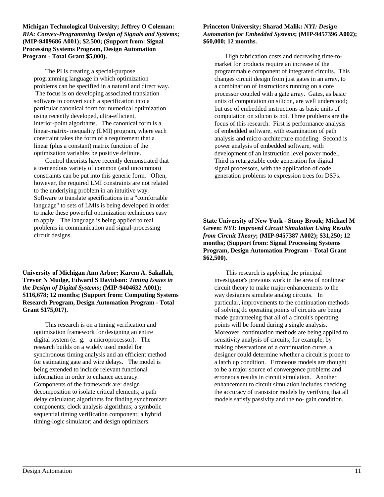**Michigan Technological University; Jeffrey O Coleman:** *RIA: Convex-Programming Design of Signals and Systems***; (MIP-9409686 A001); \$2,500; (Support from: Signal Processing Systems Program, Design Automation Program - Total Grant \$5,000).**

The PI is creating a special-purpose programming language in which optimization problems can be specified in a natural and direct way. The focus is on developing associated translation software to convert such a specification into a particular canonical form for numerical optimization using recently developed, ultra-efficient, interior-point algorithms. The canonical form is a linear-matrix- inequality (LMI) program, where each constraint takes the form of a requirement that a linear (plus a constant) matrix function of the optimization variables be positive definite.

Control theorists have recently demonstrated that a tremendous variety of common (and uncommon) constraints can be put into this generic form. Often, however, the required LMI constraints are not related to the underlying problem in an intuitive way. Software to translate specifications in a "comfortable language" to sets of LMIs is being developed in order to make these powerful optimization techniques easy to apply. The language is being applied to real problems in communication and signal-processing circuit designs.

**University of Michigan Ann Arbor; Karem A. Sakallah, Trevor N Mudge, Edward S Davidson:** *Timing Issues in the Design of Digital Systems***; (MIP-9404632 A001); \$116,678; 12 months; (Support from: Computing Systems Research Program, Design Automation Program - Total Grant \$175,017).**

This research is on a timing verification and optimization framework for designing an entire digital system (e. g. a microprocessor). The research builds on a widely used model for synchronous timing analysis and an efficient method for estimating gate and wire delays. The model is being extended to include relevant functional information in order to enhance accuracy. Components of the framework are: design decomposition to isolate critical elements; a path delay calculator; algorithms for finding synchronizer components; clock analysis algorithms; a symbolic sequential timing verification component; a hybrid timing-logic simulator; and design optimizers.

#### **Princeton University; Sharad Malik:** *NYI: Design Automation for Embedded Systems***; (MIP-9457396 A002); \$60,000; 12 months.**

High fabrication costs and decreasing time-tomarket for products require an increase of the programmable component of integrated circuits. This changes circuit design from just gates in an array, to a combination of instructions running on a core processor coupled with a gate array. Gates, as basic units of computation on silicon, are well understood; but use of embedded instructions as basic units of computation on silicon is not. Three problems are the focus of this research. First is performance analysis of embedded software, with examination of path analysis and micro-architecture modeling. Second is power analysis of embedded software, with development of an instruction level power model. Third is retargetable code generation for digital signal processors, with the application of code generation problems to expression trees for DSPs.

**State University of New York - Stony Brook; Michael M Green:** *NYI: Improved Circuit Simulation Using Results from Circuit Theory***; (MIP-9457387 A002); \$31,250; 12 months; (Support from: Signal Processing Systems Program, Design Automation Program - Total Grant \$62,500).**

This research is applying the principal investigator's previous work in the area of nonlinear circuit theory to make major enhancements to the way designers simulate analog circuits. In particular, improvements to the continuation methods of solving dc operating points of circuits are being made guaranteeing that all of a circuit's operating points will be found during a single analysis. Moreover, continuation methods are being applied to sensitivity analysis of circuits; for example, by making observations of a continuation curve, a designer could determine whether a circuit is prone to a latch up condition. Erroneous models are thought to be a major source of convergence problems and erroneous results in circuit simulation. Another enhancement to circuit simulation includes checking the accuracy of transistor models by verifying that all models satisfy passivity and the no- gain condition.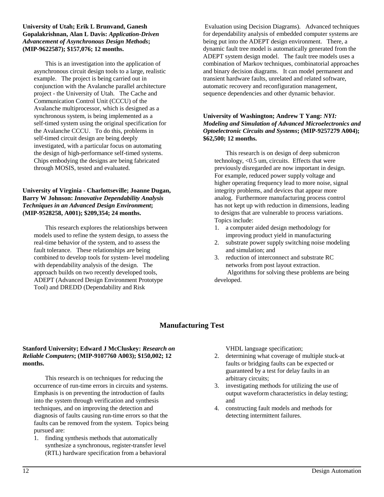#### **University of Utah; Erik L Brunvand, Ganesh Gopalakrishnan, Alan L Davis:** *Application-Driven Advancement of Asynchronous Design Methods***; (MIP-9622587); \$157,076; 12 months.**

This is an investigation into the application of asynchronous circuit design tools to a large, realistic example. The project is being carried out in conjunction with the Avalanche parallel architecture project - the University of Utah. The Cache and Communication Control Unit (CCCU) of the Avalanche multiprocessor, which is designed as a synchronous system, is being implemented as a self-timed system using the original specification for the Avalanche CCCU. To do this, problems in self-timed circuit design are being deeply investigated, with a particular focus on automating the design of high-performance self-timed systems. Chips embodying the designs are being fabricated through MOSIS, tested and evaluated.

#### **University of Virginia - Charlottseville; Joanne Dugan, Barry W Johnson:** *Innovative Dependability Analysis Techniques in an Advanced Design Environment***; (MIP-9528258, A001); \$209,354; 24 months.**

This research explores the relationships between models used to refine the system design, to assess the real-time behavior of the system, and to assess the fault tolerance. These relationships are being combined to develop tools for system- level modeling with dependability analysis of the design. The approach builds on two recently developed tools, ADEPT (Advanced Design Environment Prototype Tool) and DREDD (Dependability and Risk

 Evaluation using Decision Diagrams). Advanced techniques for dependability analysis of embedded computer systems are being put into the ADEPT design environment. There, a dynamic fault tree model is automatically generated from the ADEPT system design model. The fault tree models uses a combination of Markov techniques, combinatorial approaches and binary decision diagrams. It can model permanent and transient hardware faults, unrelated and related software, automatic recovery and reconfiguration management, sequence dependencies and other dynamic behavior.

#### **University of Washington; Andrew T Yang:** *NYI: Modeling and Simulation of Advanced Microelectronics and Optoelectronic Circuits and Systems***; (MIP-9257279 A004); \$62,500; 12 months.**

This research is on design of deep submicron technology, <0.5 um, circuits. Effects that were previously disregarded are now important in design. For example, reduced power supply voltage and higher operating frequency lead to more noise, signal integrity problems, and devices that appear more analog. Furthermore manufacturing process control has not kept up with reduction in dimensions, leading to designs that are vulnerable to process variations. Topics include:

- 1. a computer aided design methodology for improving product yield in manufacturing
- 2. substrate power supply switching noise modeling and simulation; and
- 3. reduction of interconnect and substrate RC networks from post layout extraction.

 Algorithms for solving these problems are being developed.

# **Manufacturing Test**

#### **Stanford University; Edward J McCluskey:** *Research on Reliable Computers***; (MIP-9107760 A003); \$150,002; 12 months.**

This research is on techniques for reducing the occurrence of run-time errors in circuits and systems. Emphasis is on preventing the introduction of faults into the system through verification and synthesis techniques, and on improving the detection and diagnosis of faults causing run-time errors so that the faults can be removed from the system. Topics being pursued are:

1. finding synthesis methods that automatically synthesize a synchronous, register-transfer level (RTL) hardware specification from a behavioral VHDL language specification;

- 2. determining what coverage of multiple stuck-at faults or bridging faults can be expected or guaranteed by a test for delay faults in an arbitrary circuits;
- 3. investigating methods for utilizing the use of output waveform characteristics in delay testing; and
- 4. constructing fault models and methods for detecting intermittent failures.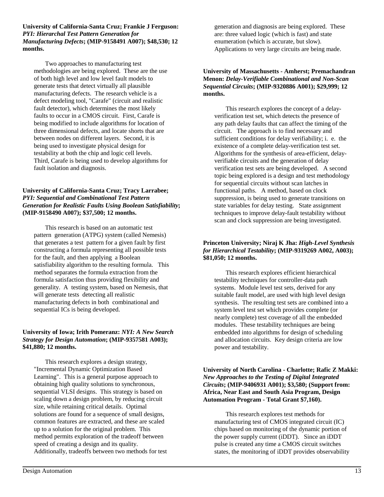**University of California-Santa Cruz; Frankie J Ferguson:** *PYI: Hierarchal Test Pattern Generation for Manufacturing Defects***; (MIP-9158491 A007); \$48,530; 12 months.**

Two approaches to manufacturing test methodologies are being explored. These are the use of both high level and low level fault models to generate tests that detect virtually all plausible manufacturing defects. The research vehicle is a defect modeling tool, "Carafe" (circuit and realistic fault detector), which determines the most likely faults to occur in a CMOS circuit. First, Carafe is being modified to include algorithms for location of three dimensional defects, and locate shorts that are between nodes on different layers. Second, it is being used to investigate physical design for testability at both the chip and logic cell levels. Third, Carafe is being used to develop algorithms for fault isolation and diagnosis.

#### **University of California-Santa Cruz; Tracy Larrabee;**  *PYI: Sequential and Combinational Test Pattern Generation for Realistic Faults Using Boolean Satisfiability***; (MIP-9158490 A007); \$37,500; 12 months.**

This research is based on an automatic test pattern generation (ATPG) system (called Nemesis) that generates a test pattern for a given fault by first constructing a formula representing all possible tests for the fault, and then applying a Boolean satisfiability algorithm to the resulting formula. This method separates the formula extraction from the formula satisfaction thus providing flexibility and generality. A testing system, based on Nemesis, that will generate tests detecting all realistic manufacturing defects in both combinational and sequential ICs is being developed.

#### **University of Iowa; Irith Pomeranz:** *NYI: A New Search Strategy for Design Automation***; (MIP-9357581 A003); \$41,880; 12 months.**

This research explores a design strategy, "Incremental Dynamic Optimization Based Learning". This is a general purpose approach to obtaining high quality solutions to synchronous, sequential VLSI designs. This strategy is based on scaling down a design problem, by reducing circuit size, while retaining critical details. Optimal solutions are found for a sequence of small designs, common features are extracted, and these are scaled up to a solution for the original problem. This method permits exploration of the tradeoff between speed of creating a design and its quality. Additionally, tradeoffs between two methods for test generation and diagnosis are being explored. These are: three valued logic (which is fast) and state enumeration (which is accurate, but slow). Applications to very large circuits are being made.

#### **University of Massachusetts - Amherst; Premachandran Menon:** *Delay-Verifiable Combinational and Non-Scan Sequential Circuits***; (MIP-9320886 A001); \$29,999; 12 months.**

This research explores the concept of a delayverification test set, which detects the presence of any path delay faults that can affect the timing of the circuit. The approach is to find necessary and sufficient conditions for delay verifiability; i. e. the existence of a complete delay-verification test set. Algorithms for the synthesis of area-efficient, delayverifiable circuits and the generation of delay verification test sets are being developed. A second topic being explored is a design and test methodology for sequential circuits without scan latches in functional paths. A method, based on clock suppression, is being used to generate transitions on state variables for delay testing. State assignment techniques to improve delay-fault testability without scan and clock suppression are being investigated.

#### **Princeton University; Niraj K Jha:** *High-Level Synthesis for Hierarchical Testability***; (MIP-9319269 A002, A003); \$81,050; 12 months.**

This research explores efficient hierarchical testability techniques for controller-data path systems. Module level test sets, derived for any suitable fault model, are used with high level design synthesis. The resulting test sets are combined into a system level test set which provides complete (or nearly complete) test coverage of all the embedded modules. These testability techniques are being embedded into algorithms for design of scheduling and allocation circuits. Key design criteria are low power and testability.

#### **University of North Carolina - Charlotte; Rafic Z Makki:** *New Approaches to the Testing of Digital Integrated Circuits***; (MIP-9406931 A001); \$3,580; (Support from: Africa, Near East and South Asia Program, Design Automation Program - Total Grant \$7,160).**

This research explores test methods for manufacturing test of CMOS integrated circuit (IC) chips based on monitoring of the dynamic portion of the power supply current (iDDT). Since an iDDT pulse is created any time a CMOS circuit switches states, the monitoring of iDDT provides observability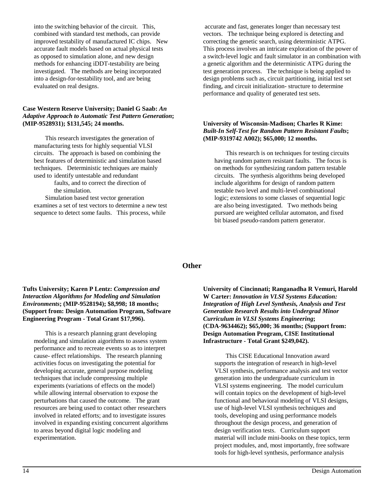into the switching behavior of the circuit. This, combined with standard test methods, can provide improved testability of manufactured IC chips. New accurate fault models based on actual physical tests as opposed to simulation alone, and new design methods for enhancing iDDT-testability are being investigated. The methods are being incorporated into a design-for-testability tool, and are being evaluated on real designs.

#### **Case Western Reserve University; Daniel G Saab:** *An Adaptive Approach to Automatic Test Pattern Generation***; (MIP-9528931); \$131,545; 24 months.**

This research investigates the generation of manufacturing tests for highly sequential VLSI circuits. The approach is based on combining the best features of deterministic and simulation based techniques. Deterministic techniques are mainly used to identify untestable and redundant faults, and to correct the direction of the simulation.

Simulation based test vector generation examines a set of test vectors to determine a new test sequence to detect some faults. This process, while

 accurate and fast, generates longer than necessary test vectors. The technique being explored is detecting and correcting the genetic search, using deterministic ATPG. This process involves an intricate exploration of the power of a switch-level logic and fault simulator in an combination with a genetic algorithm and the deterministic ATPG during the test generation process. The technique is being applied to design problems such as, circuit partitioning, initial test set finding, and circuit initialization- structure to determine performance and quality of generated test sets.

#### **University of Wisconsin-Madison; Charles R Kime:** *Built-In Self-Test for Random Pattern Resistant Faults***; (MIP-9319742 A002); \$65,000; 12 months.**

This research is on techniques for testing circuits having random pattern resistant faults. The focus is on methods for synthesizing random pattern testable circuits. The synthesis algorithms being developed include algorithms for design of random pattern testable two level and multi-level combinational logic; extensions to some classes of sequential logic are also being investigated. Two methods being pursued are weighted cellular automaton, and fixed bit biased pseudo-random pattern generator.

#### **Other**

#### **Tufts University; Karen P Lentz:** *Compression and Interaction Algorithms for Modeling and Simulation Environments***; (MIP-9528194); \$8,998; 18 months; (Support from: Design Automation Program, Software Engineering Program - Total Grant \$17,996).**

This is a research planning grant developing modeling and simulation aigorithms to assess system performance and to recreate events so as to interpret cause- effect relationships. The research planning activities focus on investigating the potential for developing accurate, general purpose modeling techniques that include compressing multiple experiments (variations of effects on the model) while allowing internal observation to expose the perturbations that caused the outcome. The grant resources are being used to contact other researchers involved in related efforts; and to investigate issures involved in expanding existing concurrent algorithms to areas beyond digital logic modeling and experimentation.

**University of Cincinnati; Ranganadha R Vemuri, Harold W Carter:** *Innovation in VLSI Systems Education: Integration of High Level Synthesis, Analysis and Test Generation Research Results into Undergrad Minor Curriculum in VLSI Systems Engineering***; (CDA-9634462); \$65,000; 36 months; (Support from: Design Automation Program, CISE Institutional Infrastructure - Total Grant \$249,042).**

This CISE Educational Innovation award supports the integration of research in high-level VLSI synthesis, performance analysis and test vector generation into the undergraduate curriculum in VLSI systems engineering. The model curriculum will contain topics on the development of high-level functional and behavioral modeling of VLSI designs, use of high-level VLSI synthesis techniques and tools, developing and using performance models throughout the design process, and generation of design verification tests. Curriculum support material will include mini-books on these topics, term project modules, and, most importantly, free software tools for high-level synthesis, performance analysis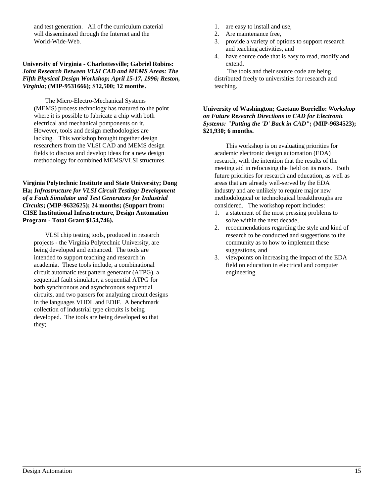and test generation. All of the curriculum material will disseminated through the Internet and the World-Wide-Web.

#### **University of Virginia - Charlottesville; Gabriel Robins:** *Joint Research Between VLSI CAD and MEMS Areas: The Fifth Physical Design Workshop; April 15-17, 1996; Reston, Virginia***; (MIP-9531666); \$12,500; 12 months.**

The Micro-Electro-Mechanical Systems (MEMS) process technology has matured to the point where it is possible to fabricate a chip with both electrical and mechanical pomponents on it. However, tools and design methodologies are lacking. This workshop brought together design researchers from the VLSI CAD and MEMS design fields to discuss and develop ideas for a new design methodology for combined MEMS/VLSI structures.

**Virginia Polytechnic Institute and State University; Dong Ha;** *Infrastructure for VLSI Circuit Testing: Development of a Fault Simulator and Test Generators for Industrial Circuits***; (MIP-9632625); 24 months; (Support from: CISE Institutional Infrastructure, Design Automation Program - Total Grant \$154,746).**

VLSI chip testing tools, produced in research projects - the Virginia Polytechnic University, are being developed and enhanced. The tools are intended to support teaching and research in academia. These tools include, a combinational circuit automatic test pattern generator (ATPG), a sequential fault simulator, a sequential ATPG for both synchronous and asynchronous sequential circuits, and two parsers for analyzing circuit designs in the languages VHDL and EDIF. A benchmark collection of industrial type circuits is being developed. The tools are being developed so that they;

- 1. are easy to install and use,
- 2. Are maintenance free,
- 3. provide a variety of options to support research and teaching activities, and
- 4. have source code that is easy to read, modify and extend.

 The tools and their source code are being distributed freely to universities for research and teaching.

**University of Washington; Gaetano Borriello:** *Workshop on Future Research Directions in CAD for Electronic Systems: "Putting the 'D' Back in CAD"***; (MIP-9634523); \$21,930; 6 months.**

This workshop is on evaluating priorities for academic electronic design automation (EDA) research, with the intention that the results of the meeting aid in refocusing the field on its roots. Both future priorities for research and education, as well as areas that are already well-served by the EDA industry and are unlikely to require major new methodological or technological breakthroughs are considered. The workshop report includes:

- 1. a statement of the most pressing problems to solve within the next decade,
- 2. recommendations regarding the style and kind of research to be conducted and suggestions to the community as to how to implement these suggestions, and
- 3. viewpoints on increasing the impact of the EDA field on education in electrical and computer engineering.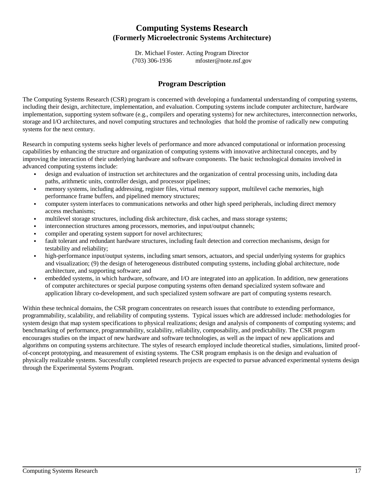# **Computing Systems Research (Formerly Microelectronic Systems Architecture)**

Dr. Michael Foster. Acting Program Director (703) 306-1936 mfoster@note.nsf.gov

## **Program Description**

The Computing Systems Research (CSR) program is concerned with developing a fundamental understanding of computing systems, including their design, architecture, implementation, and evaluation. Computing systems include computer architecture, hardware implementation, supporting system software (e.g., compilers and operating systems) for new architectures, interconnection networks, storage and I/O architectures, and novel computing structures and technologies that hold the promise of radically new computing systems for the next century.

Research in computing systems seeks higher levels of performance and more advanced computational or information processing capabilities by enhancing the structure and organization of computing systems with innovative architectural concepts, and by improving the interaction of their underlying hardware and software components. The basic technological domains involved in advanced computing systems include: &

- design and evaluation of instruction set architectures and the organization of central processing units, including data paths, arithmetic units, controller design, and processor pipelines;
- memory systems, including addressing, register files, virtual memory support, multilevel cache memories, high performance frame buffers, and pipelined memory structures;
- computer system interfaces to communications networks and other high speed peripherals, including direct memory access mechanisms;
- multilevel storage structures, including disk architecture, disk caches, and mass storage systems;  $\ddot{\phantom{0}}$
- interconnection structures among processors, memories, and input/output channels;  $\ddot{\phantom{0}}$
- compiler and operating system support for novel architectures; &
- fault tolerant and redundant hardware structures, including fault detection and correction mechanisms, design for testability and reliability;
- high-performance input/output systems, including smart sensors, actuators, and special underlying systems for graphics and visualization; (9) the design of heterogeneous distributed computing systems, including global architecture, node architecture, and supporting software; and
- embedded systems, in which hardware, software, and I/O are integrated into an application. In addition, new generations of computer architectures or special purpose computing systems often demand specialized system software and application library co-development, and such specialized system software are part of computing systems research.

Within these technical domains, the CSR program concentrates on research issues that contribute to extending performance, programmability, scalability, and reliability of computing systems. Typical issues which are addressed include: methodologies for system design that map system specifications to physical realizations; design and analysis of components of computing systems; and benchmarking of performance, programmability, scalability, reliability, composability, and predictability. The CSR program encourages studies on the impact of new hardware and software technologies, as well as the impact of new applications and algorithms on computing systems architecture. The styles of research employed include theoretical studies, simulations, limited proofof-concept prototyping, and measurement of existing systems. The CSR program emphasis is on the design and evaluation of physically realizable systems. Successfully completed research projects are expected to pursue advanced experimental systems design through the Experimental Systems Program.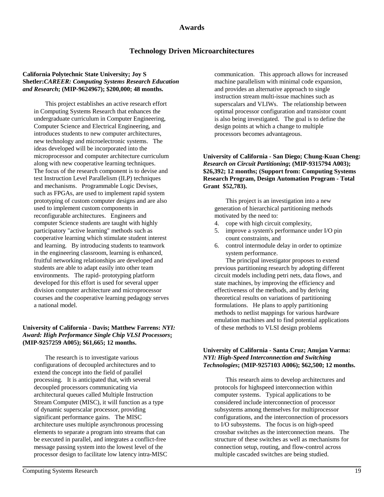# **Awards**

# **Technology Driven Microarchitectures**

#### **California Polytechnic State University; Joy S Shetler:***CAREER: Computing Systems Research Education and Research***; (MIP-9624967); \$200,000; 48 months.**

This project establishes an active research effort in Computing Systems Research that enhances the undergraduate curriculum in Computer Engineering, Computer Science and Electrical Engineering, and introduces students to new computer architectures, new technology and microelectronic systems. The ideas developed will be incorporated into the microprocessor and computer architecture curriculum along with new cooperative learning techniques. The focus of the research component is to devise and test Instruction Level Parallelism (ILP) techniques and mechanisms. Programmable Logic Devises, such as FPGAs, are used to implement rapid system prototyping of custom computer designs and are also used to implement custom components in reconfigurable architectures. Engineers and computer Science students are taught with highly participatory "active learning" methods such as cooperative learning which stimulate student interest and learning. By introducing students to teamwork in the engineering classroom, learning is enhanced, fruitful networking relationships are developed and students are able to adapt easily into other team environments. The rapid- prototyping platform developed for this effort is used for several upper division computer architecture and microprocessor courses and the cooperative learning pedagogy serves a national model.

#### **University of California - Davis; Matthew Farrens:** *NYI: Award: High Performance Single Chip VLSI Processors***; (MIP-9257259 A005); \$61,665; 12 months.**

The research is to investigate various configurations of decoupled architectures and to extend the concept into the field of parallel processing. It is anticipated that, with several decoupled processors communicating via architectural queues called Multiple Instruction Stream Computer (MISC), it will function as a type of dynamic superscalar processor, providing significant performance gains. The MISC architecture uses multiple asynchronous processing elements to separate a program into streams that can be executed in parallel, and integrates a conflict-free message passing system into the lowest level of the processor design to facilitate low latency intra-MISC communication. This approach allows for increased machine parallelism with minimal code expansion, and provides an alternative approach to single instruction stream multi-issue machines such as superscalars and VLIWs. The relationship between optimal processor configuration and transistor count is also being investigated. The goal is to define the design points at which a change to multiple processors becomes advantageous.

#### **University of California - San Diego; Chung-Kuan Cheng:** *Research on Circuit Partitioning***; (MIP-9315794 A003); \$26,392; 12 months; (Support from: Computing Systems Research Program, Design Automation Program - Total Grant \$52,783).**

This project is an investigation into a new generation of hierarchical partitioning methods motivated by the need to:

- 4. cope with high circuit complexity,
- 5. improve a system's performance under I/O pin count constraints, and
- 6. control intermodule delay in order to optimize system performance.

The principal investigator proposes to extend previous partitioning research by adopting different circuit models including petri nets, data flows, and state machines, by improving the efficiency and effectiveness of the methods, and by deriving theoretical results on variations of partitioning formulations. He plans to apply partitioning methods to netlist mappings for various hardware emulation machines and to find potential applications of these methods to VLSI design problems

#### **University of California - Santa Cruz; Anujan Varma:** *NYI: High-Speed Interconnection and Switching Technologies***; (MIP-9257103 A006); \$62,500; 12 months.**

This research aims to develop architectures and protocols for highspeed interconnection within computer systems. Typical applications to be considered include interconnection of processor subsystems among themselves for multiprocessor configurations, and the interconnection of processors to I/O subsystems. The focus is on high-speed crossbar switches as the interconnection means. The structure of these switches as well as mechanisms for connection setup, routing, and flow-control across multiple cascaded switches are being studied.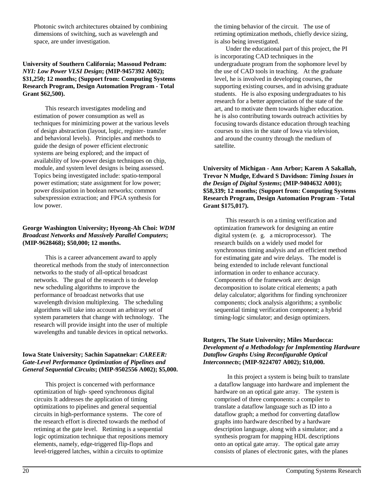Photonic switch architectures obtained by combining dimensions of switching, such as wavelength and space, are under investigation.

#### **University of Southern California; Massoud Pedram:** *NYI: Low Power VLSI Design***; (MIP-9457392 A002); \$31,250; 12 months; (Support from: Computing Systems Research Program, Design Automation Program - Total Grant \$62,500).**

This research investigates modeling and estimation of power consumption as well as techniques for minimizing power at the various levels of design abstraction (layout, logic, register- transfer and behavioral levels). Principles and methods to guide the design of power efficient electronic systems are being explored; and the impact of availability of low-power design techniques on chip, module, and system level designs is being assessed. Topics being investigated include: spatio-temporal power estimation; state assignment for low power; power dissipation in boolean networks; common subexpression extraction; and FPGA synthesis for low power.

#### **George Washington University; Hyeong-Ah Choi:** *WDM Broadcast Networks and Massively Parallel Computers***; (MIP-9628468); \$50,000; 12 months.**

This is a career advancement award to apply theoretical methods from the study of interconnection networks to the study of all-optical broadcast networks. The goal of the research is to develop new scheduling algorithms to improve the performance of broadcast networks that use wavelength division multiplexing. The scheduling algorithms will take into account an arbitrary set of system parameters that change with technology. The research will provide insight into the user of multiple wavelengths and tunable devices in optical networks.

#### **Iowa State University; Sachin Sapatnekar:** *CAREER: Gate-Level Performance Optimization of Pipelines and General Sequential Circuits***; (MIP-9502556 A002); \$5,000.**

This project is concerned with performance optimization of high- speed synchronous digital circuits It addresses the application of timing optimizations to pipelines and general sequential circuits in high-performance systems. The core of the research effort is directed towards the method of retiming at the gate level. Retiming is a sequential logic optimization technique that repositions memory elements, namely, edge-triggered flip-flops and level-triggered latches, within a circuits to optimize

the timing behavior of the circuit. The use of retiming optimization methods, chiefly device sizing, is also being investigated.

Under the educational part of this project, the PI is incorporating CAD techniques in the undergraduate program from the sophomore level by the use of CAD tools in teaching. At the graduate level, he is involved in developing courses, the supporting existing courses, and in advising graduate students. He is also exposing undergraduates to his research for a better appreciation of the state of the art, and to motivate them towards higher education. he is also contributing towards outreach activities by focusing towards distance education through teaching courses to sites in the state of Iowa via television, and around the country through the medium of satellite.

**University of Michigan - Ann Arbor; Karem A Sakallah, Trevor N Mudge, Edward S Davidson:** *Timing Issues in the Design of Digital Systems***; (MIP-9404632 A001); \$58,339; 12 months; (Support from: Computing Systems Research Program, Design Automation Program - Total Grant \$175,017).**

This research is on a timing verification and optimization framework for designing an entire digital system (e. g. a microprocessor). The research builds on a widely used model for synchronous timing analysis and an efficient method for estimating gate and wire delays. The model is being extended to include relevant functional information in order to enhance accuracy. Components of the framework are: design decomposition to isolate critical elements; a path delay calculator; algorithms for finding synchronizer components; clock analysis algorithms; a symbolic sequential timing verification component; a hybrid timing-logic simulator; and design optimizers.

#### **Rutgers, The State University; Miles Murdocca:** *Development of a Methodology for Implementing Hardware Dataflow Graphs Using Reconfigurable Optical Interconnects***; (MIP-9224707 A002); \$10,000.**

 In this project a system is being built to translate a dataflow language into hardware and implement the hardware on an optical gate array. The system is comprised of three components: a compiler to translate a dataflow language such as ID into a dataflow graph; a method for converting dataflow graphs into hardware described by a hardware description language, along with a simulator; and a synthesis program for mapping HDL descriptions onto an optical gate array. The optical gate array consists of planes of electronic gates, with the planes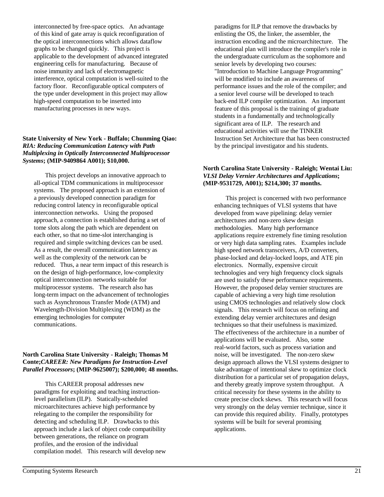interconnected by free-space optics. An advantage of this kind of gate array is quick reconfiguration of the optical interconnections which allows dataflow graphs to be changed quickly. This project is applicable to the development of advanced integrated engineering cells for manufacturing. Because of noise immunity and lack of electromagnetic interference, optical computation is well-suited to the factory floor. Reconfigurable optical computers of the type under development in this project may allow high-speed computation to be inserted into manufacturing processes in new ways.

#### **State University of New York - Buffalo; Chunming Qiao:** *RIA: Reducing Communication Latency with Path Multiplexing in Optically Interconnected Multiprocessor Systems***; (MIP-9409864 A001); \$10,000.**

This project develops an innovative approach to all-optical TDM communications in multiprocessor systems. The proposed approach is an extension of a previously developed connection paradigm for reducing control latency in reconfigurable optical interconnection networks. Using the proposed approach, a connection is established during a set of tome slots along the path which are dependent on each other, so that no time-slot interchanging is required and simple switching devices can be used. As a result, the overall communication latency as well as the complexity of the network can be reduced. Thus, a near term impact of this research is on the design of high-performance, low-complexity optical interconnection networks suitable for multiprocessor systems. The research also has long-term impact on the advancement of technologies such as Asynchronous Transfer Mode (ATM) and Wavelength-Division Multiplexing (WDM) as the emerging technologies for computer communications.

#### **North Carolina State University - Raleigh; Thomas M Conte;***CAREER: New Paradigms for Instruction-Level Parallel Processors***; (MIP-9625007); \$200,000; 48 months.**

This CAREER proposal addresses new paradigms for exploiting and teaching instructionlevel parallelism (ILP). Statically-scheduled microarchitectures achieve high performance by relegating to the compiler the responsibility for detecting and scheduling ILP. Drawbacks to this approach include a lack of object code compatibility between generations, the reliance on program profiles, and the erosion of the individual compilation model. This research will develop new

paradigms for ILP that remove the drawbacks by enlisting the OS, the linker, the assembler, the instruction encoding and the microarchitecture. The educational plan will introduce the compiler's role in the undergraduate curriculum as the sophomore and senior levels by developing two courses: "Introduction to Machine Language Programming" will be modified to include an awareness of performance issues and the role of the compiler; and a senior level course will be developed to teach back-end ILP compiler optimization. An important feature of this proposal is the training of graduate students in a fundamentally and technologically significant area of ILP. The research and educational activities will use the TINKER Instruction Set Architecture that has been constructed by the principal investigator and his students.

### **North Carolina State University - Raleigh; Wentai Liu:** *VLSI Delay Vernier Architectures and Applications***; (MIP-9531729, A001); \$214,300; 37 months.**

This project is concerned with two performance enhancing techniques of VLSI systems that have developed from wave pipelining: delay vernier architectures and non-zero skew design methodologies. Many high performance applications require extremely fine timing resolution or very high data sampling rates. Examples include high speed network transceivers, A/D converters, phase-locked and delay-locked loops, and ATE pin electronics. Normally, expensive circuit technologies and very high frequency clock signals are used to satisfy these performance requirements. However, the proposed delay vernier structures are capable of achieving a very high time resolution using CMOS technologies and relatively slow clock signals. This research will focus on refining and extending delay vernier architectures and design techniques so that their usefulness is maximized. The effectiveness of the architecture in a number of applications will be evaluated. Also, some real-world factors, such as process variation and noise, will be investigated. The non-zero skew design approach allows the VLSI systems designer to take advantage of intentional skew to optimize clock distribution for a particular set of propagation delays, and thereby greatly improve system throughput. A critical necessity for these systems in the ability to create precise clock skews. This research will focus very strongly on the delay vernier technique, since it can provide this required ability. Finally, prototypes systems will be built for several promising applications.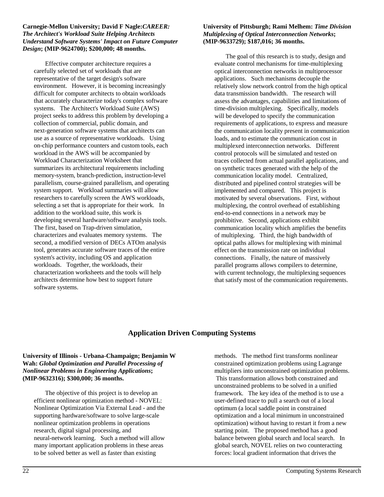#### **Carnegie-Mellon University; David F Nagle:***CAREER: The Architect's Workload Suite Helping Architects Understand Software Systems' Impact on Future Computer Design***; (MIP-9624700); \$200,000; 48 months.**

Effective computer architecture requires a carefully selected set of workloads that are representative of the target design's software environment. However, it is becoming increasingly difficult for computer architects to obtain workloads that accurately characterize today's complex software systems. The Architect's Workload Suite (AWS) project seeks to address this problem by developing a collection of commercial, public domain, and next-generation software systems that architects can use as a source of representative workloads. Using on-chip performance counters and custom tools, each workload in the AWS will be accompanied by Workload Characterization Worksheet that summarizes its architectural requirements including memory-system, branch-prediction, instruction-level parallelism, course-grained parallelism, and operating system support. Workload summaries will allow researchers to carefully screen the AWS workloads, selecting a set that is appropriate for their work. In addition to the workload suite, this work is developing several hardware/software analysis tools. The first, based on Trap-driven simulation, characterizes and evaluates memory systems. The second, a modified version of DECs ATOm analysis tool, generates accurate software traces of the entire system's activity, including OS and application workloads. Together, the workloads, their characterization worksheets and the tools will help architects determine how best to support future software systems.

#### **University of Pittsburgh; Rami Melhem:** *Time Division Multiplexing of Optical Interconnection Networks***; (MIP-9633729); \$187,016; 36 months.**

The goal of this research is to study, design and evaluate control mechanisms for time-multiplexing optical interconnection networks in multiprocessor applications. Such mechanisms decouple the relatively slow network control from the high optical data transmission bandwidth. The research will assess the advantages, capabilities and limitations of time-division multiplexing. Specifically, models will be developed to specify the communication requirements of applications, to express and measure the communication locality present in communication loads, and to estimate the communication cost in multiplexed interconnection networks. Different control protocols will be simulated and tested on traces collected from actual parallel applications, and on synthetic traces generated with the help of the communication locality model. Centralized, distributed and pipelined control strategies will be implemented and compared. This project is motivated by several observations. First, without multiplexing, the control overhead of establishing end-to-end connections in a network may be prohibitive. Second, applications exhibit communication locality which amplifies the benefits of multiplexing. Third, the high bandwidth of optical paths allows for multiplexing with minimal effect on the transmission rate on individual connections. Finally, the nature of massively parallel programs allows compilers to determine, with current technology, the multiplexing sequences that satisfy most of the communication requirements.

# **Application Driven Computing Systems**

#### **University of Illinois - Urbana-Champaign; Benjamin W Wah:** *Global Optimization and Parallel Processing of Nonlinear Problems in Engineering Applications***; (MIP-9632316); \$300,000; 36 months.**

The objective of this project is to develop an efficient nonlinear optimization method - NOVEL: Nonlinear Optimization Via External Lead - and the supporting hardware/software to solve large-scale nonlinear optimization problems in operations research, digital signal processing, and neural-network learning. Such a method will allow many important application problems in these areas to be solved better as well as faster than existing

methods. The method first transforms nonlinear constrained optimization problems using Lagrange multipliers into unconstrained optimization problems. This transformation allows both constrained and unconstrained problems to be solved in a unified framework. The key idea of the method is to use a user-defined trace to pull a search out of a local optimum (a local saddle point in constrained optimization and a local minimum in unconstrained optimization) without having to restart it from a new starting point. The proposed method has a good balance between global search and local search. In global search, NOVEL relies on two counteracting forces: local gradient information that drives the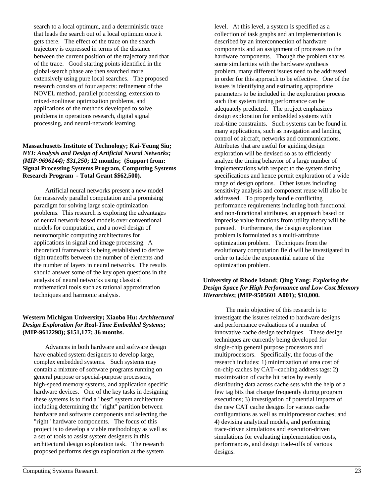search to a local optimum, and a deterministic trace that leads the search out of a local optimum once it gets there. The effect of the trace on the search trajectory is expressed in terms of the distance between the current position of the trajectory and that of the trace. Good starting points identified in the global-search phase are then searched more extensively using pure local searches. The proposed research consists of four aspects: refinement of the NOVEL method, parallel processing, extension to mixed-nonlinear optimization problems, and applications of the methods developed to solve problems in operations research, digital signal processing, and neural-network learning.

#### **Massachusetts Institute of Technology; Kai-Yeung Siu;** *NYI: Analysis and Design of Artificial Neural Networks; (MIP-9696144); \$31,250***; 12 months; (Support from: Signal Processing Systems Program, Computing Systems Research Program - Total Grant \$\$62,500).**

Artificial neural networks present a new model for massively parallel computation and a promising paradigm for solving large scale optimization problems. This research is exploring the advantages of neural network-based models over conventional models for computation, and a novel design of neuromorphic computing architectures for applications in signal and image processing. A theoretical framework is being established to derive tight tradeoffs between the number of elements and the number of layers in neural networks. The results should answer some of the key open questions in the analysis of neural networks using classical mathematical tools such as rational approximation techniques and harmonic analysis.

#### **Western Michigan University; Xiaobo Hu:** *Architectural Design Exploration for Real-Time Embedded Systems***; (MIP-9612298); \$151,177; 36 months.**

Advances in both hardware and software design have enabled system designers to develop large, complex embedded systems. Such systems may contain a mixture of software programs running on general purpose or special-purpose processors, high-speed memory systems, and application specific hardware devices. One of the key tasks in designing these systems is to find a "best" system architecture including determining the "right" partition between hardware and software components and selecting the "right" hardware components. The focus of this project is to develop a viable methodology as well as a set of tools to assist system designers in this architectural design exploration task. The research proposed performs design exploration at the system

level. At this level, a system is specified as a collection of task graphs and an implementation is described by an interconnection of hardware components and an assignment of processes to the hardware components. Though the problem shares some similarities with the hardware synthesis problem, many different issues need to be addressed in order for this approach to be effective. One of the issues is identifying and estimating appropriate parameters to be included in the exploration process such that system timing performance can be adequately predicted. The project emphasizes design exploration for embedded systems with real-time constraints. Such systems can be found in many applications, such as navigation and landing control of aircraft, networks and communications. Attributes that are useful for guiding design exploration will be devised so as to efficiently analyze the timing behavior of a large number of implementations with respect to the system timing specifications and hence permit exploration of a wide range of design options. Other issues including sensitivity analysis and component reuse will also be addressed. To properly handle conflicting performance requirements including both functional and non-functional attributes, an approach based on imprecise value functions from utility theory will be pursued. Furthermore, the design exploration problem is formulated as a multi-attribute optimization problem. Techniques from the evolutionary computation field will be investigated in order to tackle the exponential nature of the optimization problem.

#### **University of Rhode Island; Qing Yang:** *Exploring the Design Space for High Performance and Low Cost Memory Hierarchies***; (MIP-9505601 A001); \$10,000.**

The main objective of this research is to investigate the issures related to hardware designs and performance evaluations of a number of innovative cache design techniques. These design techniques are currently being developed for single-chip general purpose processors and multiprocessors. Specifically, the focus of the research includes: 1) minimization of area cost of on-chip caches by CAT--caching address tags: 2) maximization of cache hit ratios by evenly distributing data across cache sets with the help of a few tag bits that change frequently during program executions; 3) investigation of potential impacts of the new CAT cache designs for various cache configurations as well as multiprocessor caches; and 4) devising analytical models, and performing trace-driven simulations and execution-driven simulations for evaluating implementation costs, performances, and design trade-offs of various designs.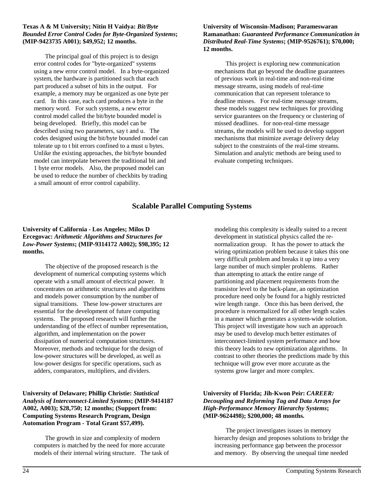#### **Texas A & M University; Nitin H Vaidya:** *Bit/Byte Bounded Error Control Codes for Byte-Organized Systems***; (MIP-9423735 A001); \$49,952; 12 months.**

The principal goal of this project is to design error control codes for "byte-organized" systems using a new error control model. In a byte-organized system, the hardware is partitioned such that each part produced a subset of hits in the output. For example, a memory may be organized as one byte per card. In this case, each card produces a byte in the memory word. For such systems, a new error control model called the bit/byte bounded model is being developed. Briefly, this model can be described using two parameters, say t and u. The codes designed using the bit/byte bounded model can tolerate up to t bit errors confined to a must u bytes. Unlike the existing approaches, the bit/byte bounded model can interpolate between the traditional bit and 1 byte error models. Also, the proposed model can be used to reduce the number of checkbits by trading a small amount of error control capability.

#### **University of Wisconsin-Madison; Parameswaran Ramanathan:** *Guaranteed Performance Communication in Distributed Real-Time Systems***; (MIP-9526761); \$70,000; 12 months.**

This project is exploring new communication mechanisms that go beyond the deadline guarantees of previous work in real-time and non-real-time message streams, using models of real-time communication that can represent tolerance to deadline misses. For real-time message streams, these models suggest new techniques for providing service guarantees on the frequency or clustering of missed deadlines. for non-real-time message streams, the models will be used to develop support mechanisms that minimize average delivery delay subject to the constraints of the real-time streams. Simulation and analytic methods are being used to evaluate competing techniques.

# **Scalable Parallel Computing Systems**

#### **University of California - Los Angeles; Milos D Ercegovac:** *Arithmetic Algorithms and Structures for Low-Power Systems***; (MIP-9314172 A002); \$98,395; 12 months.**

The objective of the proposed research is the development of numerical computing systems which operate with a small amount of electrical power. It concentrates on arithmetic structures and algorithms and models power consumption by the number of signal transitions. These low-power structures are essential for the development of future computing systems. The proposed research will further the understanding of the effect of number representation, algorithm, and implementation on the power dissipation of numerical computation structures. Moreover, methods and technique for the design of low-power structures will be developed, as well as low-power designs for specific operations, such as adders, comparators, multipliers, and dividers.

#### **University of Delaware; Phillip Christie:** *Statistical Analysis of Interconnect-Limited Systems***; (MIP-9414187 A002, A003); \$28,750; 12 months; (Support from: Computing Systems Research Program, Design Automation Program - Total Grant \$57,499).**

The growth in size and complexity of modern computers is matched by the need for more accurate models of their internal wiring structure. The task of modeling this complexity is ideally suited to a recent development in statistical physics called the renormalization group. It has the power to attack the wiring optimization problem because it takes this one very difficult problem and breaks it up into a very large number of much simpler problems. Rather than attempting to attack the entire range of partitioning and placement requirements from the transistor level to the back-plane, an optimization procedure need only be found for a highly restricted wire length range. Once this has been derived, the procedure is renormalized for all other length scales in a manner which generates a system-wide solution. This project will investigate how such an approach may be used to develop much better estimates of interconnect-limited system performance and how this theory leads to new optimization algorithms. In contrast to other theories the predictions made by this technique will grow ever more accurate as the systems grow larger and more complex.

## **University of Florida; Jih-Kwon Peir:** *CAREER: Decoupling and Reforming Tag and Data Arrays for High-Performance Memory Hierarchy Systems***; (MIP-9624498); \$200,000; 48 months.**

The project investigates issues in memory hierarchy design and proposes solutions to bridge the increasing performance gap between the processor and memory. By observing the unequal time needed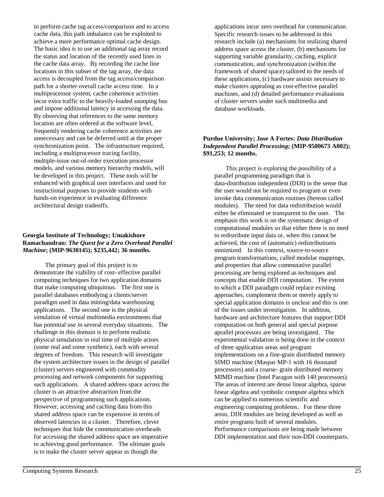to perform cache tag access/comparison and to access cache data, this path imbalance can be exploited to achieve a more performance optimal cache design. The basic idea is to use an additional tag array record the status and location of the recently used lines in the cache data array. By recording the cache line locations in this subset of the tag array, the data access is decoupled from the tag access/comparison path for a shorter overall cache access time. In a multiprocessor system, cache coherence activities incur extra traffic to the heavily-loaded snooping bus and impose additional latency in accessing the data. By observing that references to the same memory location are often ordered at the software level, frequently rendering cache coherence activities are unnecessary and can be deferred until at the proper synchronization point. The infrastructure required, including a multiprocessor tracing facility, multiple-issue out-of-order execution processor models, and various memory hierarchy models, will be developed in this project. These tools will be enhanced with graphical user interfaces and used for instructional purposes to provide students with hands-on experience in evaluating difference architectural design tradeoffs.

#### **Georgia Institute of Technology; Umakishore Ramachandran:** *The Quest for a Zero Overhead Parallel Machine***; (MIP-9630145); \$235,442; 36 months.**

The primary goal of this project is to demonstrate the viability of cost- effective parallel computing techniques for two application domains that make computing ubiquitous. The first one is parallel databases embodying a clients/server paradigm used in data mining/data warehousing applications. The second one is the physical simulation of virtual multimedia environments that has potential use in several everyday situations. The challenge in this domain is to perform realistic physical simulation in real time of multiple actors (some real and some synthetic), each with several degrees of freedom. This research will investigate the system architecture issues in the design of parallel (cluster) servers engineered with commodity processing and network components for supporting such applications. A shared address space across the cluster is an attractive abstraction from the perspective of programming such applications. However, accessing and caching data from this shared address space can be expensive in terms of observed latencies in a cluster. Therefore, clever techniques that hide the communication overheads for accessing the shared address space are imperative to achieving good performance. The ultimate goals is to make the cluster server appear as though the

applications incur zero overhead for communication. Specific research issues to be addressed in this research include (a) mechanisms for realizing shared address space across the cluster, (b) mechanisms for supporting variable granularity, caching, explicit communication, and synchronization (within the framework of shared space) tailored to the needs of these applications, (c) hardware assists necessary to make clusters appealing as cost-effective parallel machines, and (d) detailed performance evaluations of cluster servers under such multimedia and database workloads.

#### **Purdue University; Jose A Fortes:** *Data Distribution Independent Parallel Processing***; (MIP-9500673 A002); \$91,253; 12 months.**

This project is exploring the possibility of a parallel programming paradigm that is data-distribution independent (DDI) in the sense that the user would not be required to program or even invoke data communication routines (hereon called modules). The need for data redistribution would either be eliminated or transparent to the user. The emphasis this work is on the systematic design of computational modules so that either there is no need to redistribute input data or, when this cannot be achieved, the cost of (automatic) redistributionis minimized. In this context, source-to-source program transformations, called modular mappings, and properties that allow commutative parallel processing are being explored as techniques and concepts that enable DDI computation. The extent to which a DDI paradigm could replace existing approaches, complement them or merely apply to special application domains is unclear and this is one of the issues under investigation. In addition, hardware and architecture features that support DDI computation on both general and special purpose aprallel processors are being investigated. The experimental validation is being done in the context of three application areas and program implementations on a fine-grain distributed memory SIMD machine (Maspar MP-1 with 16 thousand processors) and a coarse- grain distributed memory MIMD machine (Intel Paragon with 140 processors). The areas of interest are dense linear algebra, sparse linear algebra and symbolic compute algebra which can be applied to numerous scientific and engineering computing problems. For these three areas, DDI modules are being developed as well as entire programs built of several modules. Performance comparisons are being made between DDI implementation and their non-DDI counterparts.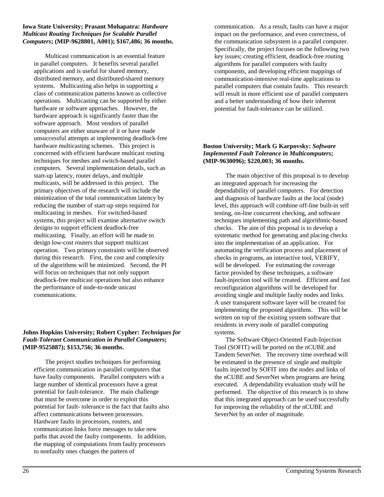#### **Iowa State University; Prasant Mohapatra:** *Hardware Multicast Routing Techniques for Scalable Parallel Computers***; (MIP-9628801, A001); \$167,486; 36 months.**

Multicast communication is an essential feature in parallel computers. It benefits several parallel applications and is useful for shared memory, distributed memory, and distributed-shared memory systems. Multicasting also helps in supporting a class of communication patterns known as collective operations. Multicasting can be supported by either hardware or software approaches. However, the hardware approach is significantly faster than the software approach. Most vendors of parallel computers are either unaware of it or have made unsuccessful attempts at implementing deadlock-free hardware multicasting schemes. This project is concerned with efficient hardware multicast routing techniques for meshes and switch-based parallel computers. Several implementation details, such as start-up latency, router delays, and multiple multicasts, will be addressed in this project. The primary objectives of the research will include the minimization of the total communication latency by reducing the number of start-up steps required for multicasting in meshes. For switched-based systems, this project will examine alternative switch designs to support efficient deadlock-free multicasting. Finally, an effort will be made to design low-cost routers that support multicast operation. Two primary constraints will be observed during this research. First, the cost and complexity of the algorithms will be minimized. Second, the PI will focus on techniques that not only support deadlock-free multicast operations but also enhance the performance of node-to-node unicast communications.

#### **Johns Hopkins University; Robert Cypher:** *Techniques for Fault-Tolerant Communication in Parallel Computers***; (MIP-9525887); \$153,756; 36 months.**

The project studies techniques for performing efficient communication in parallel computers that have faulty components. Parallel computers with a large number of identical processors have a great potential for fault-tolerance. The main challenge that must be overcome in order to exploit this potential for fault- tolerance is the fact that faults also affect communications between processors. Hardware faults in processors, routers, and communication links force messages to take new paths that avoid the faulty components. In addition, the mapping of computations from faulty processors to nonfaulty ones changes the pattern of

communication. As a result, faults can have a major impact on the performance, and even correctness, of the communication subsystem in a parallel computer. Specifically, the project focuses on the following two key issues; creating efficient, deadlock-free routing algorithms for parallel computers with faulty components, and developing efficient mappings of communication-intensive real-time applications to parallel computers that contain faults. This research will result in more efficient use of parallel computers and a better understanding of how their inherent potential for fault-tolerance can be utilized.

#### **Boston University; Mark G Karpovsky:** *Software Implemented Fault Tolerance in Multicomputers***; (MIP-9630096); \$220,003; 36 months.**

The main objective of this proposal is to develop an integrated approach for increasing the dependability of parallel computers. For detection and diagnosis of hardware faults at the local (node) level, this approach will combine off-line built-in self testing, on-line concurrent checking, and software techniques implementing path and algorithmic-based checks. The aim of this proposal is to develop a systematic method for generating and placing checks into the implementation of an application. For automating the verification process and placement of checks in programs, an interactive tool, VERIFY, will be developed. For estimating the coverage factor provided by these techniques, a software fault-injection tool will be created. Efficient and fast reconfiguration algorithms will be developed for avoiding single and multiple faulty nodes and links. A user transparent software layer will be created for implementing the proposed algorithms. This will be written on top of the existing system software that residents in every node of parallel computing systems.

The Software Object-Oriented Fault-Injection Tool (SOFIT) will be ported on the nCUBE and Tandem SeverNet. The recovery time overhead will be estimated in the presence of single and multiple faults injected by SOFIT into the nodes and links of the nCUBE and SeverNet when programs are being executed. A dependability evaluation study will be performed. The objective of this research is to show that this integrated approach can be used successfully for improving the reliability of the nCUBE and SeverNet by an order of magnitude.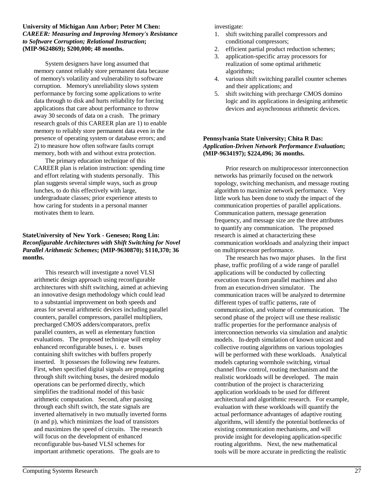#### **University of Michigan Ann Arbor; Peter M Chen:** *CAREER: Measuring and Improving Memory's Resistance to Software Corruption; Relational Instruction***; (MIP-9624869); \$200,000; 48 months.**

System designers have long assumed that memory cannot reliably store permanent data because of memory's volatility and vulnerability to software corruption. Memory's unreliability slows system performance by forcing some applications to write data through to disk and hurts reliability for forcing applications that care about performance to throw away 30 seconds of data on a crash. The primary research goals of this CAREER plan are 1) to enable memory to reliably store permanent data even in the presence of operating system or database errors; and 2) to measure how often software faults corrupt memory, both with and without extra protection.

The primary education technique of this CAREER plan is relation instruction: spending time and effort relating with students personally. This plan suggests several simple ways, such as group lunches, to do this effectively with large, undergraduate classes; prior experience attests to how caring for students in a personal manner motivates them to learn.

#### **StateUniversity of New York - Geneseo; Rong Lin:** *Reconfigurable Architectures with Shift Switching for Novel Parallel Arithmetic Schemes***; (MIP-9630870); \$110,370; 36 months.**

This research will investigate a novel VLSI arithmetic design approach using reconfigurable architectures with shift switching, aimed at achieving an innovative design methodology which could lead to a substantial improvement on both speeds and areas for several arithmetic devices including parallel counters, parallel compressors, parallel multipliers, precharged CMOS adders/comparators, prefix parallel counters, as well as elementary function evaluations. The proposed technique will employ enhanced reconfigurable buses, i. e. buses containing shift switches with buffers properly inserted. It possesses the following new features. First, when specified digital signals are propagating through shift switching buses, the desired modulo operations can be performed directly, which simplifies the traditional model of this basic arithmetic computation. Second, after passing through each shift switch, the state signals are inverted alternatively in two mutually inverted forms (n and p), which minimizes the load of transistors and maximizes the speed of circuits. The research will focus on the development of enhanced reconfigurable bus-based VLSI schemes for important arithmetic operations. The goals are to

investigate:

- 1. shift switching parallel compressors and conditional compressors;
- 2. efficient partial product reduction schemes;
- 3. application-specific array processors for realization of some optimal arithmetic algorithms;
- 4. various shift switching parallel counter schemes and their applications; and
- 5. shift switching with precharge CMOS domino logic and its applications in designing arithmetic devices and asynchronous arithmetic devices.

#### **Pennsylvania State University; Chita R Das:** *Application-Driven Network Performance Evaluation***; (MIP-9634197); \$224,496; 36 months.**

Prior research on multiprocessor interconnection networks has primarily focused on the network topology, switching mechanism, and message routing algorithm to maximize network performance. Very little work has been done to study the impact of the communication properties of parallel applications. Communication pattern, message generation frequency, and message size are the three attributes to quantify any communication. The proposed research is aimed at characterizing these communication workloads and analyzing their impact on multiprocessor performance.

The research has two major phases. In the first phase, traffic profiling of a wide range of parallel applications will be conducted by collecting execution traces from parallel machines and also from an execution-driven simulator. The communication traces will be analyzed to determine different types of traffic patterns, rate of communication, and volume of communication. The second phase of the project will use these realistic traffic properties for the performance analysis of interconnection networks via simulation and analytic models. In-depth simulation of known unicast and collective routing algorithms on various topologies will be performed with these workloads. Analytical models capturing wormhole switching, virtual channel flow control, routing mechanism and the realistic workloads will be developed. The main contribution of the project is characterizing application workloads to be used for different architectural and algorithmic research. For example, evaluation with these workloads will quantify the actual performance advantages of adaptive routing algorithms, will identify the potential bottlenecks of existing communication mechanisms, and will provide insight for developing application-specific routing algorithms. Next, the new mathematical tools will be more accurate in predicting the realistic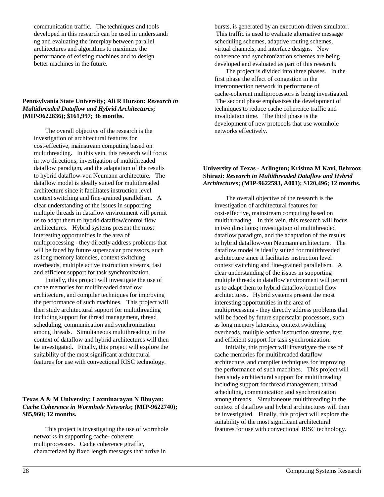communication traffic. The techniques and tools developed in this research can be used in understandi ng and evaluating the interplay between parallel architectures and algorithms to maximize the performance of existing machines and to design better machines in the future.

#### **Pennsylvania State University; Ali R Hurson:** *Research in Multithreaded Dataflow and Hybrid Architectures***; (MIP-9622836); \$161,997; 36 months.**

The overall objective of the research is the investigation of architectural features for cost-effective, mainstream computing based on multithreading. In this vein, this research will focus in two directions; investigation of multithreaded dataflow paradigm, and the adaptation of the results to hybrid dataflow-von Neumann architecture. The dataflow model is ideally suited for multithreaded architecture since it facilitates instruction level context switching and fine-grained parallelism. A clear understanding of the issues in supporting multiple threads in dataflow environment will permit us to adapt them to hybrid dataflow/control flow architectures. Hybrid systems present the most interesting opportunities in the area of multiprocessing - they directly address problems that will be faced by future superscalar processors, such as long memory latencies, context switching overheads, multiple active instruction streams, fast and efficient support for task synchronization.

Initially, this project will investigate the use of cache memories for multihreaded dataflow architecture, and compiler techniques for improving the performance of such machines. This project will then study architectural support for multithreading including support for thread management, thread scheduling, communication and synchronization among threads. Simultaneous multithreading in the context of dataflow and hybrid architectures will then be investigated. Finally, this project will explore the suitability of the most significant architectural features for use with convectional RISC technology.

#### **Texas A & M University; Laxminarayan N Bhuyan:** *Cache Coherence in Wormhole Networks***; (MIP-9622740); \$85,960; 12 months.**

This project is investigating the use of wormhole networks in supporting cache- coherent multiprocessors. Cache coherence gtraffic, characterized by fixed length messages that arrive in

bursts, is generated by an execution-driven simulator. This traffic is used to evaluate alternative message scheduling schemes, adaptive routing schemes, virtual channels, and interface designs. New coherence and synchronization schemes are being developed and evaluated as part of this research.

The project is divided into three phases. In the first phase the effect of congestion in the interconnection network in performane of cache-coherent multiprocessors is being investigated. The second phase emphasizes the development of techniques to reduce cache coherence traffic and invalidation time. The third phase is the development of new protocols that use wormhole networks effectively.

#### **University of Texas - Arlington; Krishna M Kavi, Behrooz Shirazi:** *Research in Multithreaded Dataflow and Hybrid Architectures***; (MIP-9622593, A001); \$120,496; 12 months.**

The overall objective of the research is the investigation of architectural features for cost-effective, mainstream computing based on multithreading. In this vein, this research will focus in two directions; investigation of multithreaded dataflow paradigm, and the adaptation of the results to hybrid dataflow-von Neumann architecture. The dataflow model is ideally suited for multithreaded architecture since it facilitates instruction level context switching and fine-grained parallelism. A clear understanding of the issues in supporting multiple threads in dataflow environment will permit us to adapt them to hybrid dataflow/control flow architectures. Hybrid systems present the most interesting opportunities in the area of multiprocessing - they directly address problems that will be faced by future superscalar processors, such as long memory latencies, context switching overheads, multiple active instruction streams, fast and efficient support for task synchronization.

Initially, this project will investigate the use of cache memories for multihreaded dataflow architecture, and compiler techniques for improving the performance of such machines. This project will then study architectural support for multithreading including support for thread management, thread scheduling, communication and synchronization among threads. Simultaneous multithreading in the context of dataflow and hybrid architectures will then be investigated. Finally, this project will explore the suitability of the most significant architectural features for use with convectional RISC technology.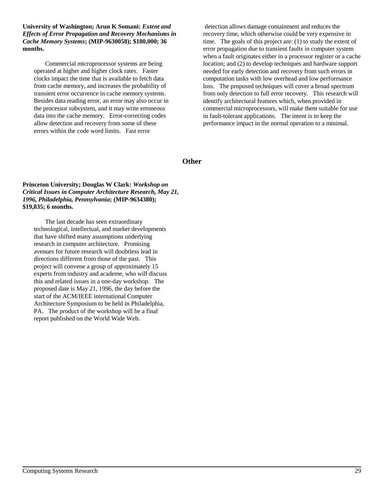**University of Washington; Arun K Somani:** *Extent and Effects of Error Propagation and Recovery Mechanisms in Cache Memory Systems***; (MIP-9630058); \$180,000; 36 months.**

Commercial microprocessor systems are being operated at higher and higher clock rates. Faster clocks impact the time that is available to fetch data from cache memory, and increases the probability of transient error occurrence in cache memory systems. Besides data reading error, an error may also occur in the processor subsystem, and it may write erroneous data into the cache memory. Error-correcting codes allow detection and recovery from some of these errors within the code word limits. Fast error

 detection allows damage containment and reduces the recovery time, which otherwise could be very expensive in time. The goals of this project are: (1) to study the extent of error propagation due to transient faults in computer system when a fault originates either in a processor register or a cache location; and (2) to develop techniques and hardware support needed for early detection and recovery from such errors in computation tasks with low overhead and low performance loss. The proposed techniques will cover a broad spectrum from only detection to full error recovery. This research will identify architectural features which, when provided in commercial microprocessors, will make them suitable for use in fault-tolerant applications. The intent is to keep the performance impact in the normal operation to a minimal.

**Other**

#### **Princeton University; Douglas W Clark:** *Workshop on Critical Issues in Computer Architecture Research, May 21, 1996, Philadelphia, Pennsylvania***; (MIP-9634380); \$19,835; 6 months.**

The last decade has seen extraordinary technological, intellectual, and market developments that have shifted many assumptions underlying research in computer architecture. Promising avenues for future research will doubtless lead in directions different from those of the past. This project will convene a group of approximately 15 experts from industry and academe, who will discuss this and related issues in a one-day workshop. The proposed date is May 21, 1996, the day before the start of the ACM/IEEE international Computer Architecture Symposium to be held in Philadelphia, PA. The product of the workshop will be a final report published on the World Wide Web.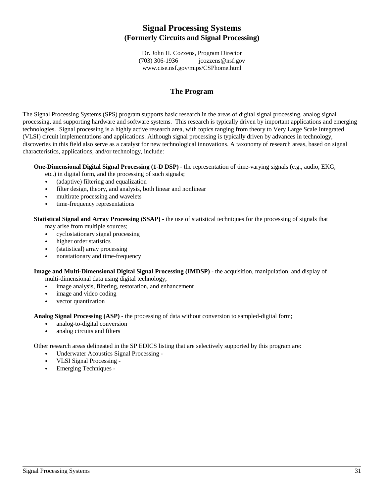# **Signal Processing Systems (Formerly Circuits and Signal Processing)**

Dr. John H. Cozzens, Program Director (703) 306-1936 icozzens@nsf.go icozzens@nsf.gov www.cise.nsf.gov/mips/CSPhome.html

## **The Program**

The Signal Processing Systems (SPS) program supports basic research in the areas of digital signal processing, analog signal processing, and supporting hardware and software systems. This research is typically driven by important applications and emerging technologies. Signal processing is a highly active research area, with topics ranging from theory to Very Large Scale Integrated (VLSI) circuit implementations and applications. Although signal processing is typically driven by advances in technology, discoveries in this field also serve as a catalyst for new technological innovations. A taxonomy of research areas, based on signal characteristics, applications, and/or technology, include:

## **One-Dimensional Digital Signal Processing (1-D DSP)** - the representation of time-varying signals (e.g., audio, EKG,

- etc.) in digital form, and the processing of such signals; &
- (adaptive) filtering and equalization  $\ddot{\phantom{0}}$
- filter design, theory, and analysis, both linear and nonlinear  $\ddot{\phantom{0}}$
- multirate processing and wavelets  $\ddot{\phantom{0}}$
- time-frequency representations

**Statistical Signal and Array Processing (SSAP)** - the use of statistical techniques for the processing of signals that

may arise from multiple sources; &

- cyclostationary signal processing  $\ddot{\phantom{0}}$
- higher order statistics  $\ddot{\phantom{0}}$
- (statistical) array processing  $\ddot{\phantom{0}}$
- nonstationary and time-frequency

**Image and Multi-Dimensional Digital Signal Processing (IMDSP)** - the acquisition, manipulation, and display of multi-dimensional data using digital technology; &

- image analysis, filtering, restoration, and enhancement  $\ddot{\phantom{0}}$
- image and video coding  $\ddot{\phantom{0}}$
- vector quantization

**Analog Signal Processing (ASP)** - the processing of data without conversion to sampled-digital form; &

- analog-to-digital conversion  $\ddot{\phantom{0}}$
- analog circuits and filters

Other research areas delineated in the SP EDICS listing that are selectively supported by this program are: &

- Underwater Acoustics Signal Processing  $\ddot{\phantom{0}}$
- VLSI Signal Processing  $\ddot{\phantom{0}}$
- Emerging Techniques -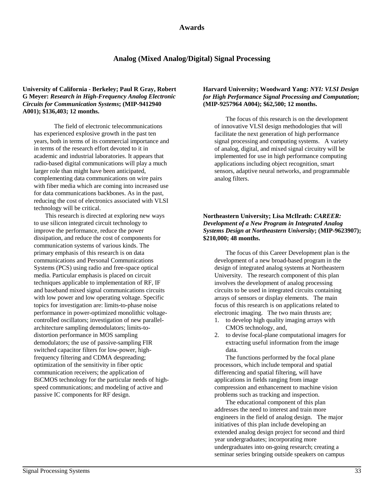## **Awards**

## **Analog (Mixed Analog/Digital) Signal Processing**

#### **University of California - Berkeley; Paul R Gray, Robert G Meyer:** *Research in High-Frequency Analog Electronic Circuits for Communication Systems***; (MIP-9412940 A001); \$136,403; 12 months.**

The field of electronic telecommunications has experienced explosive growth in the past ten years, both in terms of its commercial importance and in terms of the research effort devoted to it in academic and industrial laboratories. It appears that radio-based digital communications will play a much larger role than might have been anticipated, complementing data communications on wire pairs with fiber media which are coming into increased use for data communications backbones. As in the past, reducing the cost of electronics associated with VLSI technology will be critical.

This research is directed at exploring new ways to use silicon integrated circuit technology to improve the performance, reduce the power dissipation, and reduce the cost of components for communication systems of various kinds. The primary emphasis of this research is on data communications and Personal Communications Systems (PCS) using radio and free-space optical media. Particular emphasis is placed on circuit techniques applicable to implementation of RF, IF and baseband mixed signal communications circuits with low power and low operating voltage. Specific topics for investigation are: limits-to-phase noise performance in power-optimized monolithic voltagecontrolled oscillators; investigation of new parallelarchitecture sampling demodulators; limits-todistortion performance in MOS sampling demodulators; the use of passive-sampling FIR switched capacitor filters for low-power, highfrequency filtering and CDMA despreading; optimization of the sensitivity in fiber optic communication receivers; the application of BiCMOS technology for the particular needs of highspeed communications; and modeling of active and passive IC components for RF design.

### **Harvard University; Woodward Yang:** *NYI: VLSI Design for High Performance Signal Processing and Computation***; (MIP-9257964 A004); \$62,500; 12 months.**

The focus of this research is on the development of innovative VLSI design methodologies that will facilitate the next generation of high performance signal processing and computing systems. A variety of analog, digital, and mixed signal circuitry will be implemented for use in high performance computing applications including object recognition, smart sensors, adaptive neural networks, and programmable analog filters.

## **Northeastern University; Lisa McIlrath:** *CAREER: Development of a New Program in Integrated Analog Systems Design at Northeastern University***; (MIP-9623907); \$210,000; 48 months.**

The focus of this Career Development plan is the development of a new broad-based program in the design of integrated analog systems at Northeastern University. The research component of this plan involves the development of analog processing circuits to be used in integrated circuits containing arrays of sensors or display elements. The main focus of this research is on applications related to electronic imaging. The two main thrusts are;

- 1. to develop high quality imaging arrays with CMOS technology, and,
- 2. to devise focal-plane computational imagers for extracting useful information from the image data.

The functions performed by the focal plane processors, which include temporal and spatial differencing and spatial filtering, will have applications in fields ranging from image compression and enhancement to machine vision problems such as tracking and inspection.

The educational component of this plan addresses the need to interest and train more engineers in the field of analog design. The major initiatives of this plan include developing an extended analog design project for second and third year undergraduates; incorporating more undergraduates into on-going research; creating a seminar series bringing outside speakers on campus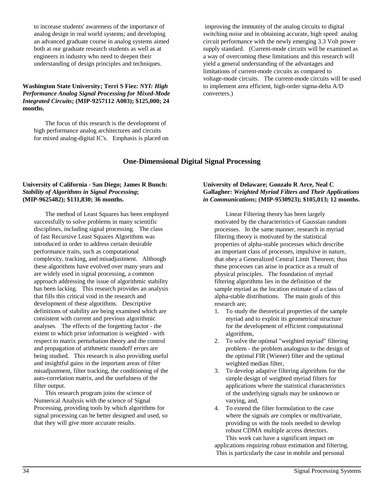to increase students' awareness of the importance of analog design in real world systems; and developing an advanced graduate course in analog systems aimed both at our graduate research students as well as at engineers in industry who need to deepen their understanding of design principles and techniques.

### **Washington State University; Terri S Fiez:** *NYI: High Performance Analog Signal Processing for Mixed-Mode Integrated Circuits***; (MIP-9257112 A003); \$125,000; 24 months.**

The focus of this research is the development of high performance analog architectures and circuits for mixed analog-digital IC's. Emphasis is placed on

 improving the immunity of the analog circuits to digital switching noise and in obtaining accurate, high speed analog circuit performance with the newly emerging 3.3 Volt power supply standard. (Current-mode circuits will be examined as a way of overcoming these limitations and this research will yield a general understanding of the advantages and limitations of current-mode circuits as compared to voltage-mode circuits. The current-mode circuits will be used to implement area efficient, high-order sigma-delta A/D converters.)

## **One-Dimensional Digital Signal Processing**

#### **University of California - San Diego; James R Bunch:** *Stability of Algorithms in Signal Processing***; (MIP-9625482); \$131,830; 36 months.**

The method of Least Squares has been employed successfully to solve problems in many scientific disciplines, including signal processing. The class of fast Recursive Least Squares Algorithms was introduced in order to address certain desirable performance traits, such as computational complexity, tracking, and misadjustment. Although these algorithms have evolved over many years and are widely used in signal processing, a common approach addressing the issue of algorithmic stability has been lacking. This research provides an analysis that fills this critical void in the research and development of these algorithms. Descriptive definitions of stability are being examined which are consistent with current and previous algorithmic analyses. The effects of the forgetting factor - the extent to which prior information is weighted - with respect to matrix perturbation theory and the control and propagation of arithmetic roundoff errors are being studied. This research is also providing useful and insightful gains in the important areas of filter misadjustment, filter tracking, the conditioning of the auto-correlation matrix, and the usefulness of the filter output.

This research program joins the science of Numerical Analysis with the science of Signal Processing, providing tools by which algorithms for signal processing can be better designed and used, so that they will give more accurate results.

#### **University of Delaware; Gonzalo R Arce, Neal C Gallagher:** *Weighted Myriad Filters and Their Applications in Communications***; (MIP-9530923); \$105,013; 12 months.**

Linear Filtering theory has been largely motivated by the characteristics of Gaussian random processes. In the same manner, research in myriad filtering theory is motivated by the statistical properties of alpha-stable processes which describe an important class of processes, impulsive in nature, that obey a Generalized Central Limit Theorem; thus these processes can arise in practice as a result of physical principles. The foundation of myriad filtering algorithms lies in the definition of the sample myriad as the location estimate of a class of alpha-stable distributions. The main goals of this research are;

- 1. To study the theoretical properties of the sample myriad and to exploit its geometrical structure for the development of efficient computational algorithms,
- 2. To solve the optimal "weighted myriad" filtering problem - the problem analogous to the design of the optimal FIR (Wiener) filter and the optimal weighted median filter,
- 3. To develop adaptive filtering algorithms for the simple design of weighted myriad filters for applications where the statistical characteristics of the underlying signals may be unknown or varying, and,
- 4. To extend the filter formulation to the case where the signals are complex or multivariate, providing us with the tools needed to develop robust CDMA multiple access detectors.

This work can have a significant impact on applications requiring robust estimation and filtering. This is particularly the case in mobile and personal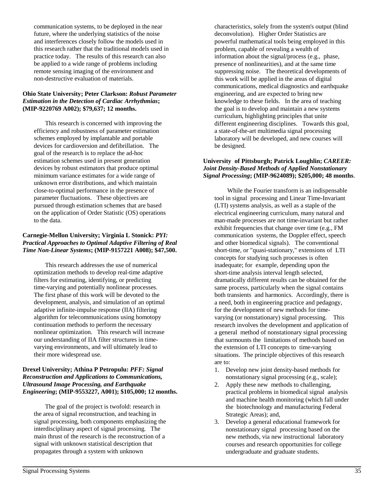communication systems, to be deployed in the near future, where the underlying statistics of the noise and interferences closely follow the models used in this research rather that the traditional models used in practice today. The results of this research can also be applied to a wide range of problems including remote sensing imaging of the environment and non-destructive evaluation of materials.

#### **Ohio State University; Peter Clarkson:** *Robust Parameter Estimation in the Detection of Cardiac Arrhythmias***; (MIP-9220769 A002); \$79,637; 12 months.**

This research is concerned with improving the efficiency and robustness of parameter estimation schemes employed by implantable and portable devices for cardioversion and defibrillation. The goal of the research is to replace the ad-hoc estimation schemes used in present generation devices by robust estimators that produce optimal minimum variance estimates for a wide range of unknown error distributions, and which maintain close-to-optimal performance in the presence of parameter fluctuations. These objectives are pursued through estimation schemes that are based on the application of Order Statistic (OS) operations to the data.

## **Carnegie-Mellon University; Virginia L Stonick:** *PYI: Practical Approaches to Optimal Adaptive Filtering of Real Time Non-Linear Systems***; (MIP-9157221 A008); \$47,500.**

This research addresses the use of numerical optimization methods to develop real-time adaptive filters for estimating, identifying, or predicting time-varying and potentially nonlinear processes. The first phase of this work will be devoted to the development, analysis, and simulation of an optimal adaptive infinite-impulse response (IIA) filtering algorithm for telecommunications using homotopy continuation methods to perform the necessary nonlinear optimization. This research will increase our understanding of IIA filter structures in timevarying environments, and will ultimately lead to their more widespread use.

#### **Drexel University; Athina P Petropulu:** *PFF: Signal Reconstruction and Applications to Communications, Ultrasound Image Processing, and Earthquake Engineering***; (MIP-9553227, A001); \$105,000; 12 months.**

The goal of the project is twofold: research in the area of signal reconstruction, and teaching in signal processing, both components emphasizing the interdisciplinary aspect of signal processing. The main thrust of the research is the reconstruction of a signal with unknown statistical description that propagates through a system with unknown

characteristics, solely from the system's output (blind deconvolution). Higher Order Statistics are powerful mathematical tools being employed in this problem, capable of revealing a wealth of information about the signal/process (e.g., phase, presence of nonlinearities), and at the same time suppressing noise. The theoretical developments of this work will be applied in the areas of digital communications, medical diagnostics and earthquake engineering, and are expected to bring new knowledge to these fields. In the area of teaching the goal is to develop and maintain a new systems curriculum, highlighting principles that unite different engineering disciplines. Towards this goal, a state-of-the-art multimedia signal processing laboratory will be developed, and new courses will be designed.

### **University of Pittsburgh; Patrick Loughlin;** *CAREER: Joint Density-Based Methods of Applied Nonstationary Signal Processing***; (MIP-9624089); \$205,000; 48 months**.

 While the Fourier transform is an indispensable tool in signal processing and Linear Time-Invariant (LTI) systems analysis, as well as a staple of the electrical engineering curriculum, many natural and man-made processes are not time-invariant but rather exhibit frequencies that change over time (e.g., FM communication systems, the Doppler effect, speech and other biomedical signals). The conventional short-time, or "quasi-stationary," extensions of LTI concepts for studying such processes is often inadequate; for example, depending upon the short-time analysis interval length selected, dramatically different results can be obtained for the same process, particularly when the signal contains both transients and harmonics. Accordingly, there is a need, both in engineering practice and pedagogy, for the development of new methods for timevarying (or nonstationary) signal processing. This research involves the development and application of a general method of nonstationary signal processing that surmounts the limitations of methods based on the extension of LTI concepts to time-varying situations. The principle objectives of this research are to:

- 1. Develop new joint density-based methods for nonstationary signal processing (e.g., scale);
- 2. Apply these new methods to challenging, practical problems in biomedical signal analysis and machine health monitoring (which fall under the biotechnology and manufacturing Federal Strategic Areas); and,
- 3. Develop a general educational framework for nonstationary signal processing based on the new methods, via new instructional laboratory courses and research opportunities for college undergraduate and graduate students.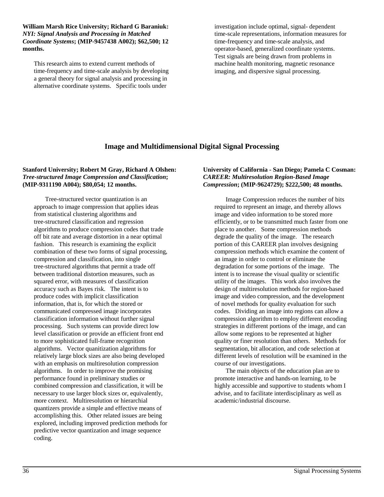**William Marsh Rice University; Richard G Baraniuk:** *NYI: Signal Analysis and Processing in Matched Coordinate Systems***; (MIP-9457438 A002); \$62,500; 12 months.**

This research aims to extend current methods of time-frequency and time-scale analysis by developing a general theory for signal analysis and processing in alternative coordinate systems. Specific tools under

investigation include optimal, signal- dependent time-scale representations, information measures for time-frequency and time-scale analysis, and operator-based, generalized coordinate systems. Test signals are being drawn from problems in machine health monitoring, magnetic resonance imaging, and dispersive signal processing.

## **Image and Multidimensional Digital Signal Processing**

## **Stanford University; Robert M Gray, Richard A Olshen:** *Tree-structured Image Compression and Classification***; (MIP-9311190 A004); \$80,054; 12 months.**

Tree-structured vector quantization is an approach to image compression that applies ideas from statistical clustering algorithms and tree-structured classification and regression algorithms to produce compression codes that trade off bit rate and average distortion in a near optimal fashion. This research is examining the explicit combination of these two forms of signal processing, compression and classification, into single tree-structured algorithms that permit a trade off between traditional distortion measures, such as squared error, with measures of classification accuracy such as Bayes risk. The intent is to produce codes with implicit classification information, that is, for which the stored or communicated compressed image incorporates classification information without further signal processing. Such systems can provide direct low level classification or provide an efficient front end to more sophisticated full-frame recognition algorithms. Vector quanitization algorithms for relatively large block sizes are also being developed with an emphasis on multiresolution compression algorithms. In order to improve the promising performance found in preliminary studies or combined compression and classification, it will be necessary to use larger block sizes or, equivalently, more context. Multiresolution or hierarchial quantizers provide a simple and effective means of accomplishing this. Other related issues are being explored, including improved prediction methods for predictive vector quantization and image sequence coding.

#### **University of California - San Diego; Pamela C Cosman:** *CAREER: Multiresolution Region-Based Image Compression***; (MIP-9624729); \$222,500; 48 months.**

Image Compression reduces the number of bits required to represent an image, and thereby allows image and video information to be stored more efficiently, or to be transmitted much faster from one place to another. Some compression methods degrade the quality of the image. The research portion of this CAREER plan involves designing compression methods which examine the content of an image in order to control or eliminate the degradation for some portions of the image. The intent is to increase the visual quality or scientific utility of the images. This work also involves the design of multiresolution methods for region-based image and video compression, and the development of novel methods for quality evaluation for such codes. Dividing an image into regions can allow a compression algorithm to employ different encoding strategies in different portions of the image, and can allow some regions to be represented at higher quality or finer resolution than others. Methods for segmentation, bit allocation, and code selection at different levels of resolution will be examined in the course of our investigations.

The main objects of the education plan are to promote interactive and hands-on learning, to be highly accessible and supportive to students whom I advise, and to facilitate interdisciplinary as well as academic/industrial discourse.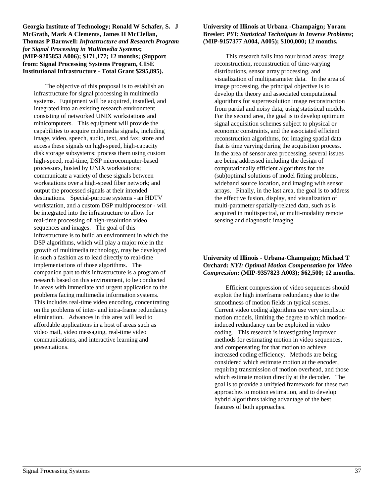**Georgia Institute of Technology; Ronald W Schafer, S. J McGrath, Mark A Clements, James H McClellan, Thomas P Barnwell:** *Infrastructure and Research Program for Signal Processing in Multimedia Systems***; (MIP-9205853 A006); \$171,177; 12 months; (Support from: Signal Processing Systems Program, CISE Institutional Infrastructure - Total Grant \$295,895).**

The objective of this proposal is to establish an infrastructure for signal processing in multimedia systems. Equipment will be acquired, installed, and integrated into an existing research environment consisting of networked UNIX workstations and minicomputers. This equipment will provide the capabilities to acquire multimedia signals, including image, video, speech, audio, text, and fax; store and access these signals on high-speed, high-capacity disk storage subsystems; process them using custom high-speed, real-time, DSP microcomputer-based processors, hosted by UNIX workstations; communicate a variety of these signals between workstations over a high-speed fiber network; and output the processed signals at their intended destinations. Special-purpose systems - an HDTV workstation, and a custom DSP multiprocessor - will be integrated into the infrastructure to allow for real-time processing of high-resolution video sequences and images. The goal of this infrastructure is to build an environment in which the DSP algorithms, which will play a major role in the growth of multimedia technology, may be developed in such a fashion as to lead directly to real-time implementations of those algorithms. The companion part to this infrastructure is a program of research based on this environment, to be conducted in areas with immediate and urgent application to the problems facing multimedia information systems. This includes real-time video encoding, concentrating on the problems of inter- and intra-frame redundancy elimination. Advances in this area will lead to affordable applications in a host of areas such as video mail, video messaging, real-time video communications, and interactive learning and presentations.

#### **University of Illinois at Urbana -Champaign; Yoram Bresler:** *PYI: Statistical Techniques in Inverse Problems***; (MIP-9157377 A004, A005); \$100,000; 12 months.**

This research falls into four broad areas: image reconstruction, reconstruction of time-varying distributions, sensor array processing, and visualization of multiparameter data. In the area of image processing, the principal objective is to develop the theory and associated computational algorithms for superresolution image reconstruction from partial and noisy data, using statistical models. For the second area, the goal is to develop optimum signal acquisition schemes subject to physical or economic constraints, and the associated efficient reconstruction algorithms, for imaging spatial data that is time varying during the acquisition process. In the area of sensor area processing, several issues are being addressed including the design of computationally efficient algorithms for the (sub)optimal solutions of model fitting problems, wideband source location, and imaging with sensor arrays. Finally, in the last area, the goal is to address the effective fusion, display, and visualization of multi-parameter spatially-related data, such as is acquired in multispectral, or multi-modality remote sensing and diagnostic imaging.

### **University of Illinois - Urbana-Champaign; Michael T Orchard:** *NYI: Optimal Motion Compensation for Video Compression***; (MIP-9357823 A003); \$62,500; 12 months.**

Efficient compression of video sequences should exploit the high interframe redundancy due to the smoothness of motion fields in typical scenes. Current video coding algorithms use very simplistic motion models, limiting the degree to which motioninduced redundancy can be exploited in video coding. This research is investigating improved methods for estimating motion in video sequences, and compensating for that motion to achieve increased coding efficiency. Methods are being considered which estimate motion at the encoder, requiring transmission of motion overhead, and those which estimate motion directly at the decoder. The goal is to provide a unifyied framework for these two approaches to motion estimation, and to develop hybrid algorithms taking advantage of the best features of both approaches.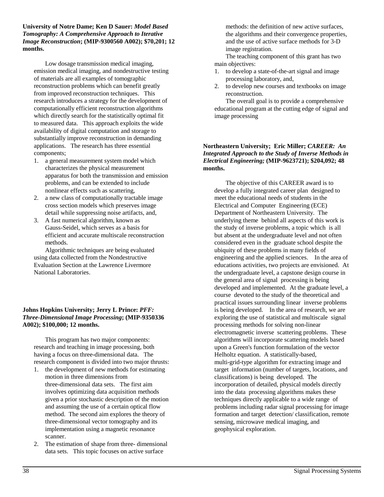**University of Notre Dame; Ken D Sauer:** *Model Based Tomography: A Comprehensive Approach to Iterative Image Reconstruction***; (MIP-9300560 A002); \$70,201; 12 months.**

Low dosage transmission medical imaging, emission medical imaging, and nondestructive testing of materials are all examples of tomographic reconstruction problems which can benefit greatly from improved reconstruction techniques. This research introduces a strategy for the development of computationally efficient reconstruction algorithms which directly search for the statistically optimal fit to measured data. This approach exploits the wide availability of digital computation and storage to substantially improve reconstruction in demanding applications. The research has three essential components;

- 1. a general measurement system model which characterizes the physical measurement apparatus for both the transmission and emission problems, and can be extended to include nonlinear effects such as scattering,
- 2. a new class of computationally tractable image cross section models which preserves image detail while suppressing noise artifacts, and,
- 3. A fast numerical algorithm, known as Gauss-Seidel, which serves as a basis for efficient and accurate multiscale reconstruction methods.

Algorithmic techniques are being evaluated using data collected from the Nondestructive Evaluation Section at the Lawrence Livermore National Laboratories.

## **Johns Hopkins University; Jerry L Prince:** *PFF: Three-Dimensional Image Processing***; (MIP-9350336 A002); \$100,000; 12 months.**

This program has two major components: research and teaching in image processing, both having a focus on three-dimensional data. The research component is divided into two major thrusts:

- 1. the development of new methods for estimating motion in three dimensions from three-dimensional data sets. The first aim involves optimizing data acquisition methods given a prior stochastic description of the motion and assuming the use of a certain optical flow method. The second aim explores the theory of three-dimensional vector tomography and its implementation using a magnetic resonance scanner.
- 2. The estimation of shape from three- dimensional data sets. This topic focuses on active surface

methods: the definition of new active surfaces, the algorithms and their convergence properties, and the use of active surface methods for 3-D image registration.

The teaching component of this grant has two main objectives:

- 1. to develop a state-of-the-art signal and image processing laboratory, and,
- 2. to develop new courses and textbooks on image reconstruction.

The overall goal is to provide a comprehensive educational program at the cutting edge of signal and image processing

### **Northeastern University; Eric Miller;** *CAREER: An Integrated Approach to the Study of Inverse Methods in Electrical Engineering;* **(MIP-9623721); \$204,092; 48 months.**

The objective of this CAREER award is to develop a fully integrated career plan designed to meet the educational needs of students in the Electrical and Computer Engineering (ECE) Department of Northeastern University. The underlying theme behind all aspects of this work is the study of inverse problems, a topic which is all but absent at the undergraduate level and not often considered even in the graduate school despite the ubiquity of these problems in many fields of engineering and the applied sciences. In the area of educations activities, two projects are envisioned. At the undergraduate level, a capstone design course in the general area of signal processing is being developed and implemented. At the graduate level, a course devoted to the study of the theoretical and practical issues surrounding linear inverse problems is being developed. In the area of research, we are exploring the use of statistical and multiscale signal processing methods for solving non-linear electromagnetic inverse scattering problems. These algorithms will incorporate scattering models based upon a Green's function formulation of the vector Helholtz equation. A statistically-based, multi-grid-type algorithm for extracting image and target information (number of targets, locations, and classifications) is being developed. The incorporation of detailed, physical models directly into the data processing algorithms makes these techniques directly applicable to a wide range of problems including radar signal processing for image formation and target detection/ classification, remote sensing, microwave medical imaging, and geophysical exploration.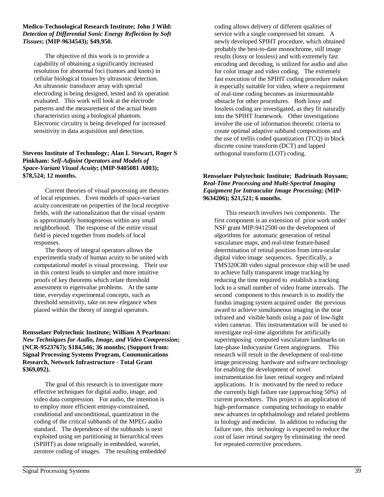#### **Medico-Technological Research Institute; John J Wild:** *Detection of Differential Sonic Energy Reflection by Soft Tissues***; (MIP-9634543); \$49,950.**

The objective of this work is to provide a capability of obtaining a significantly increased resolution for abnormal foci (tumors and knots) in cellular biological tissues by ultrasonic detection. An ultrasonic transducer array with special electroding is being designed, tested and its operation evaluated. This work will look at the electrode patterns and the measurement of the actual beam characteristics using a biological phantom. Electronic circuitry is being developed for increased sensitivity in data acquisition and detection.

## **Stevens Institute of Technology; Alan L Stewart, Roger S Pinkham:** *Self-Adjoint Operators and Models of Space-Variant Visual Acuity***; (MIP-9405081 A003); \$78,524; 12 months.**

Current theories of visual processing are theories of local responses. Even models of space-variant acuity concentrate on properties of the local receptive fields, with the rationalization that the visual system is approximately homogeneous within any small neighborhood. The response of the entire visual field is pieced together from models of local responses.

The theory of integral operators allows the experimentla study of human acuity to be united with computational model is visual processing. Their use in this context leads to simpler and more intuitive proofs of key theorems which relate threshold assessment to eigenvalue problems. At the same time, everyday experimental concepts, such as threshold sensitivity, take on new elegance when placed within the theory of integral operators.

### **Rensselaer Polytechnic Institute; William A Pearlman:** *New Techniques for Audio, Image, and Video Compression***; (NCR-9523767); \$184,546; 36 months; (Support from: Signal Processing Systems Program, Communications Research, Network Infrastructure - Total Grant \$369,092).**

The goal of this research is to investigate more effective techniques for digital audio, image, and video data compression. For audio, the intention is to employ more efficient entropy-constrained, conditional and unconditional, quantization in the coding of the critical subbands of the MPEG audio standard. The dependence of the subbands is next exploited using set partitioning in hierarchical trees (SPIHT) as done originally in embedded, wavelet, zerotree coding of images. The resulting embedded coding allows delivery of different qualities of service with a single compressed bit stream. A newly developed SPIHT procedure, which obtained probably the best-to-date monochrome, still image results (lossy or lossless) and with extremely fast encoding and decoding, is utilized for audio and also for color image and video coding. The extremely fast execution of the SPIHT coding procedure makes it especially suitable for video, where a requirement of real-time coding becomes an insurmountable obstacle for other procedures. Both lossy and lossless coding are investigated, as they fit naturally into the SPIHT framework. Other investigations involve the use of information theoretic criteria to create optimal adaptive subband compositions and the use of trellis coded quantization (TCQ) in block discrete cosine transform (DCT) and lapped orthogonal transform (LOT) coding.

### **Rensselaer Polytechnic Institute; Badrinath Roysam;** *Real-Time Processing and Multi-Spectral Imaging Equipment for Intraocular Image Processing;* **(MIP-9634206); \$21,521; 6 months.**

This research involves two components. The first component is an extension of prior work under NSF grant MIP-9412500 on the development of algorithms for automatic generation of retinal vasculature maps, and real-time feature-based determination of retinal position from intra-ocular digital video image sequences. Specifically, a TMS320C80 video signal processor chip will be used to achieve fully transparent image tracking by reducing the time required to establish a tracking lock to a small number of video frame intervals. The second component to this research is to modify the fundus imaging system acquired under the previous award to achieve simultaneous imaging in the near infrared and visible bands using a pair of low-light video cameras. This instrumentation will be used to investigate real-time algorithms for artificially superimposing computed vasculature landmarks on late-phase Indocyanine Green angiograms. This research will result in the development of real-time image processing hardware and software technology for enabling the development of novel instrumentation for laser retinal surgery and related applications. It is motivated by the need to reduce the currently high failure rate (approaching 50%) of current procedures. This project is an application of high-performance computing technology to enable new advances in ophthalmology and related problems in biology and medicine. In addition to reducing the failure rate, this technology is expected to reduce the cost of laser retinal surgery by eliminating the need for repeated corrective procedures.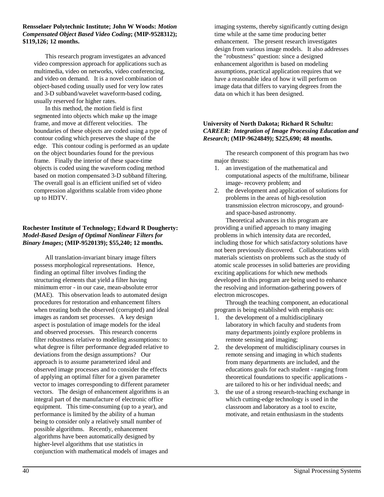#### **Rensselaer Polytechnic Institute; John W Woods:** *Motion Compensated Object Based Video Coding***; (MIP-9528312); \$119,126; 12 months.**

This research program investigates an advanced video compression approach for applications such as multimedia, video on networks, video conferencing, and video on demand. It is a novel combination of object-based coding usually used for very low rates and 3-D subband/wavelet waveform-based coding, usually reserved for higher rates.

In this method, the motion field is first segmented into objects which make up the image frame, and move at different velocities. The boundaries of these objects are coded using a type of contour coding which preserves the shape of the edge. This contour coding is performed as an update on the object boundaries found for the previous frame. Finally the interior of these space-time objects is coded using the waveform coding method based on motion compensated 3-D subband filtering. The overall goal is an efficient unified set of video compression algorithms scalable from video phone up to HDTV.

## **Rochester Institute of Technology; Edward R Dougherty:** *Model-Based Design of Optimal Nonlinear Filters for Binary Images***; (MIP-9520139); \$55,240; 12 months.**

All translation-invariant binary image filters possess morphological representations. Hence, finding an optimal filter involves finding the structuring elements that yield a filter having minimum error - in our case, mean-absolute error (MAE). This observation leads to automated design procedures for restoration and enhancement filters when treating both the observed (corrupted) and ideal images as random set processes. A key design aspect is postulation of image models for the ideal and observed processes. This research concerns filter robustness relative to modeling assumptions: to what degree is filter performance degraded relative to deviations from the design assumptions? Our approach is to assume parameterized ideal and observed image processes and to consider the effects of applying an optimal filter for a given parameter vector to images corresponding to different parameter vectors. The design of enhancement algorithms is an integral part of the manufacture of electronic office equipment. This time-consuming (up to a year), and performance is limited by the ability of a human being to consider only a relatively small number of possible algorithms. Recently, enhancement algorithms have been automatically designed by higher-level algorithms that use statistics in conjunction with mathematical models of images and

imaging systems, thereby significantly cutting design time while at the same time producing better enhancement. The present research investigates design from various image models. It also addresses the "robustness" question: since a designed enhancement algorithm is based on modeling assumptions, practical application requires that we have a reasonable idea of how it will perform on image data that differs to varying degrees from the data on which it has been designed.

#### **University of North Dakota; Richard R Schultz:** *CAREER: Integration of Image Processing Education and Research***; (MIP-9624849); \$225,690; 48 months.**

The research component of this program has two major thrusts:

- 1. an investigation of the mathematical and computational aspects of the multiframe, bilinear image- recovery problem; and
- 2. the development and application of solutions for problems in the areas of high-resolution transmission electron microscopy, and groundand space-based astronomy.

Theoretical advances in this program are providing a unified approach to many imaging problems in which intensity data are recorded, including those for which satisfactory solutions have not been previously discovered. Collaborations with materials scientists on problems such as the study of atomic scale processes in solid batteries are providing exciting applications for which new methods developed in this program are being used to enhance the resolving and information-gathering powers of electron microscopes.

Through the teaching component, an educational program is being established with emphasis on:

- 1. the development of a multidisciplinary laboratory in which faculty and students from many departments jointly explore problems in remote sensing and imaging;
- 2. the development of multidisciplinary courses in remote sensing and imaging in which students from many departments are included, and the educations goals for each student - ranging from theoretical foundations to specific applications are tailored to his or her individual needs; and
- 3. the use of a strong research-teaching exchange in which cutting-edge technology is used in the classroom and laboratory as a tool to excite, motivate, and retain enthusiasm in the students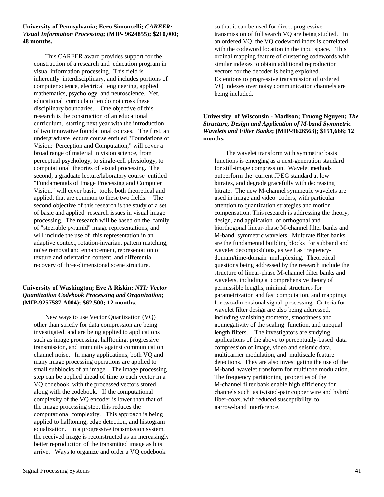#### **University of Pennsylvania; Eero Simoncelli;** *CAREER: Visual Information Processing***; (MIP- 9624855); \$210,000; 48 months.**

This CAREER award provides support for the construction of a research and education program in visual information processing. This field is inherently interdisciplinary, and includes portions of computer science, electrical engineering, applied mathematics, psychology, and neuroscience. Yet, educational curricula often do not cross these disciplinary boundaries. One objective of this research is the construction of an educational curriculum, starting next year with the introduction of two innovative foundational courses. The first, an undergraduate lecture course entitled "Foundations of Vision: Perception and Computation," will cover a broad range of material in vision science, from perceptual psychology, to single-cell physiology, to computational theories of visual processing. The second, a graduate lecture/laboratory course entitled "Fundamentals of Image Processing and Computer Vision," will cover basic tools, both theoretical and applied, that are common to these two fields. The second objective of this research is the study of a set of basic and applied research issues in visual image processing. The research will be based on the family of "steerable pyramid" image representations, and will include the use of this representation in an adaptive context, rotation-invariant pattern matching, noise removal and enhancement, representation of texture and orientation content, and differential recovery of three-dimensional scene structure.

## **University of Washington; Eve A Riskin:** *NYI: Vector Quantization Codebook Processing and Organization***; (MIP-9257587 A004); \$62,500; 12 months.**

New ways to use Vector Quantization (VQ) other than strictly for data compression are being investigated, and are being applied to applications such as image processing, halftoning, progressive transmission, and immunity against communication channel noise. In many applications, both VQ and many image processing operations are applied to small subblocks of an image. The image processing step can be applied ahead of time to each vector in a VQ codebook, with the processed vectors stored along with the codebook. If the computational complexity of the VQ encoder is lower than that of the image processing step, this reduces the computational complexity. This approach is being applied to halftoning, edge detection, and histogram equalization. In a progressive transmission system, the received image is reconstructed as an increasingly better reproduction of the transmitted image as bits arrive. Ways to organize and order a VQ codebook

so that it can be used for direct progressive transmission of full search VQ are being studied. In an ordered VQ, the VQ codeword index is correlated with the codeword location in the input space. This ordinal mapping feature of clustering codewords with similar indexes to obtain additional reproduction vectors for the decoder is being exploited. Extentions to progressive transmission of ordered VQ indexes over noisy communication channels are being included.

### **University of Wisconsin - Madison; Truong Nguyen;** *The Structure, Design and Application of M-band Symmetric Wavelets and Filter Banks***; (MIP-9626563); \$151,666; 12 months.**

The wavelet transform with symmetric basis functions is emerging as a next-generation standard for still-image compression. Wavelet methods outperform the current JPEG standard at low bitrates, and degrade gracefully with decreasing bitrate. The new M-channel symmetric wavelets are used in image and video coders, with particular attention to quantization strategies and motion compensation. This research is addressing the theory, design, and application of orthogonal and biorthogonal linear-phase M-channel filter banks and M-band symmetric wavelets. Multirate filter banks are the fundamental building blocks for subband and wavelet decompositions, as well as frequencydomain/time-domain multiplexing. Theoretical questions being addressed by the research include the structure of linear-phase M-channel filter banks and wavelets, including a comprehensive theory of permissible lengths, minimal structures for parametrization and fast computation, and mappings for two-dimensional signal processing. Criteria for wavelet filter design are also being addressed, including vanishing moments, smoothness and nonnegativity of the scaling function, and unequal length filters. The investigators are studying applications of the above to perceptually-based data compression of image, video and seismic data, multicarrier modulation, and multiscale feature detections. They are also investigating the use of the M-band wavelet transform for multitone modulation. The frequency partitioning properties of the M-channel filter bank enable high efficiency for channels such as twisted-pair copper wire and hybrid fiber-coax, with reduced susceptibility to narrow-band interference.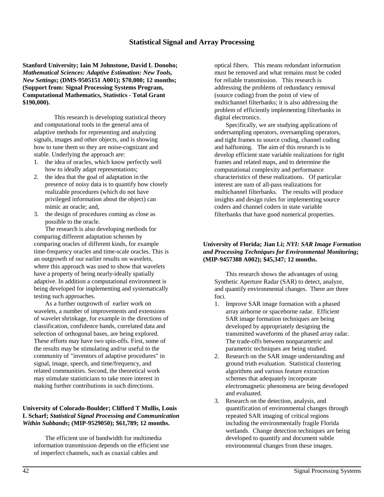## **Statistical Signal and Array Processing**

**Stanford University; Iain M Johnstone, David L Donoho;** *Mathematical Sciences: Adaptive Estimation: New Tools, New Settings***; (DMS-9505151 A001); \$70,000; 12 months; (Support from: Signal Processing Systems Program, Computational Mathematics, Statistics - Total Grant \$190,000).**

This research is developing statistical theory and computational tools in the general area of adaptive methods for representing and analyzing signals, images and other objects, and is showing how to tune them so they are noise-cognizant and stable. Underlying the approach are:

- 1. the idea of oracles, which know perfectly well how to ideally adapt representations;
- 2. the idea that the goal of adaptation in the presence of noisy data is to quantify how closely realizable procedures (which do not have privileged information about the object) can mimic an oracle; and,
- 3. the design of procedures coming as close as possible to the oracle.

The research is also developing methods for comparing different adaptation schemes by comparing oracles of different kinds, for example time-frequency oracles and time-scale oracles. This is an outgrowth of our earlier results on wavelets, where this approach was used to show that wavelets have a property of being nearly-ideally spatially adaptive. In addition a computational environment is being developed for implementing and systematically testing such approaches.

As a further outgrowth of earlier work on wavelets, a number of improvements and extensions of wavelet shrinkage, for example in the directions of classification, confidence bands, correlated data and selection of orthogonal bases, are being explored. These efforts may have two spin-offs. First, some of the results may be stimulating and/or useful to the community of "inventors of adaptive procedures" in signal, image, speech, and time/frequency, and related communities. Second, the theoretical work may stimulate statisticians to take more interest in making further contributions in such directions.

### **University of Colorado-Boulder; Clifford T Mullis, Louis L Scharf;** *Statistical Signal Processing and Communication Within Subbands***; (MIP-9529050); \$61,789; 12 months.**

The efficient use of bandwidth for multimedia information transmission depends on the efficient use of imperfect channels, such as coaxial cables and

optical fibers. This means redundant information must be removed and what remains must be coded for reliable transmission. This research is addressing the problems of redundancy removal (source coding) from the point of view of multichannel filterbanks; it is also addressing the problem of efficiently implementing filterbanks in digital electronics.

Specifically, we are studying applications of undersampling operators, oversampling operators, and tight frames to source coding, channel coding and halftoning. The aim of this research is to develop efficient state variable realizations for tight frames and related maps, and to determine the computational complexity and performance characteristics of these realizations. Of particular interest are sum of all-pass realizations for multichannel filterbanks. The results will produce insights and design rules for implementing source coders and channel coders in state variable filterbanks that have good numerical properties.

#### **University of Florida; Jian Li;** *NYI: SAR Image Formation and Processing Techniques for Environmental Monitoring***; (MIP-9457388 A002); \$45,347; 12 months.**

This research shows the advantages of using Synthetic Aperture Radar (SAR) to detect, analyze, and quantify environmental changes. There are three foci.

- 1. Improve SAR image formation with a phased array airborne or spaceborne radar. Efficient SAR image formation techniques are being developed by appropriately designing the transmitted waveforms of the phased array radar. The trade-offs between nonparametric and parametric techniques are being studied.
- 2. Research on the SAR image understanding and ground truth evaluation. Statistical clustering algorithms and various feature extraction schemes that adequately incorporate electromagnetic phenomena are being developed and evaluated.
- 3. Research on the detection, analysis, and quantification of environmental changes through repeated SAR imaging of critical regions including the environmentally fragile Florida wetlands. Change detection techniques are being developed to quantify and document subtle environmental changes from these images.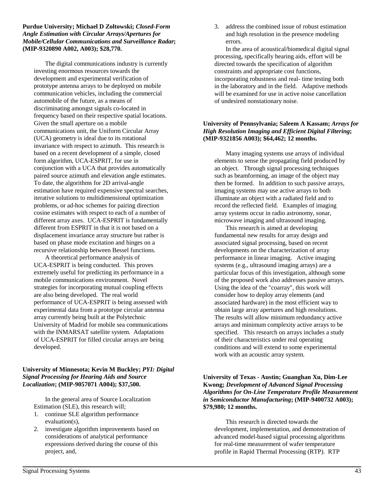#### **Purdue University; Michael D Zoltowski;** *Closed-Form Angle Estimation with Circular Arrays/Apertures for Mobile/Cellular Communications and Surveillance Radar***; (MIP-9320890 A002, A003); \$28,770.**

The digital communications industry is currently investing enormous resources towards the development and experimental verification of prototype antenna arrays to be deployed on mobile communication vehicles, including the commercial automobile of the future, as a means of discriminating amongst signals co-located in frequency based on their respective spatial locations. Given the small aperture on a mobile communications unit, the Uniform Circular Array (UCA) geometry is ideal due to its rotational invariance with respect to azimuth. This research is based on a recent development of a simple, closed form algorithm, UCA-ESPRIT, for use in conjunction with a UCA that provides automatically paired source azimuth and elevation angle estimates. To date, the algorithms for 2D arrival-angle estimation have required expensive spectral searches, iterative solutions to multidimensional optimization problems, or ad-hoc schemes for pairing direction cosine estimates with respect to each of a number of different array axes. UCA-ESPRIT is fundamentally different from ESPRIT in that it is not based on a displacement invariance array structure but rather is based on phase mode excitation and hinges on a recursive relationship between Bessel functions.

A theoretical performance analysis of UCA-ESPRIT is being conducted. This proves extremely useful for predicting its performance in a mobile communications environment. Novel strategies for incorporating mutual coupling effects are also being developed. The real world performance of UCA-ESPRIT is being assessed with experimental data from a prototype circular antenna array currently being built at the Polytechnic University of Madrid for mobile sea communications with the INMARSAT satellite system. Adaptations of UCA-ESPRIT for filled circular arrays are being developed.

#### **University of Minnesota; Kevin M Buckley;** *PYI: Digital Signal Processing for Hearing Aids and Source Localization***; (MIP-9057071 A004); \$37,500.**

In the general area of Source Localization Estimation (SLE), this research will;

- 1. continue SLE algorithm performance evaluation(s),
- 2. investigate algorithm improvements based on considerations of analytical performance expressions derived during the course of this project, and,

3. address the combined issue of robust estimation and high resolution in the presence modeling errors.

In the area of acoustical/biomedical digital signal processing, specifically hearing aids, effort will be directed towards the specification of algorithm constraints and appropriate cost functions, incorporating robustness and real- time testing both in the laboratory and in the field. Adaptive methods will be examined for use in active noise cancellation of undesired nonstationary noise.

## **University of Pennsylvania; Saleem A Kassam;** *Arrays for High Resolution Imaging and Efficient Digital Filtering***; (MIP-9321856 A003); \$64,462; 12 months.**

Many imaging systems use arrays of individual elements to sense the propagating field produced by an object. Through signal processing techniques such as beamforming, an image of the object may then be formed. In addition to such passive arrays, imaging systems may use active arrays to both illuminate an object with a radiated field and to record the reflected field. Examples of imaging array systems occur in radio astronomy, sonar, microwave imaging and ultrasound imaging.

This research is aimed at developing fundamental new results for array design and associated signal processing, based on recent developments on the characterization of array performance in linear imaging. Active imaging systems (e.g., ultrasound imaging arrays) are a particular focus of this investigation, although some of the proposed work also addresses passive arrays. Using the idea of the "coarray", this work will consider how to deploy array elements (and associated hardware) in the most efficient way to obtain large array apertures and high resolutions. The results will allow minimum redundancy active arrays and minimum complexity active arrays to be specified. This research on arrays includes a study of their characteristics under real operating conditions and will extend to some experimental work with an acoustic array system.

#### **University of Texas - Austin; Guanghan Xu, Dim-Lee Kwong;** *Development of Advanced Signal Processing Algorithms for On-Line Temperature Profile Measurement in Semiconductor Manufacturing***; (MIP-9400732 A003); \$79,980; 12 months.**

This research is directed towards the development, implementation, and demonstration of advanced model-based signal processing algorithms for real-time measurement of wafer temperature profile in Rapid Thermal Processing (RTP). RTP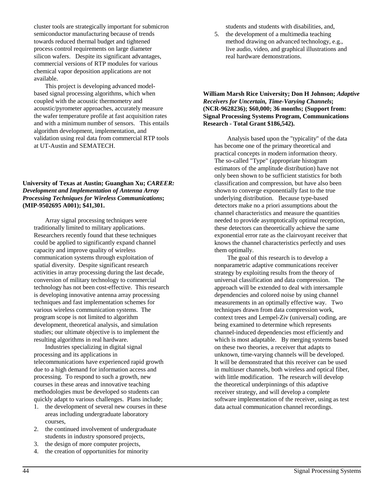cluster tools are strategically important for submicron semiconductor manufacturing because of trends towards reduced thermal budget and tightened process control requirements on large diameter silicon wafers. Despite its significant advantages, commercial versions of RTP modules for various chemical vapor deposition applications are not available.

This project is developing advanced modelbased signal processing algorithms, which when coupled with the acoustic thermometry and acoustic/pyrometer approaches, accurately measure the wafer temperature profile at fast acquisition rates and with a minimum number of sensors. This entails algorithm development, implementation, and validation using real data from commercial RTP tools at UT-Austin and SEMATECH.

**University of Texas at Austin; Guanghan Xu;** *CAREER: Development and Implementation of Antenna Array Processing Techniques for Wireless Communications***; (MIP-9502695 A001); \$41,301.**

Array signal processing techniques were traditionally limited to military applications. Researchers recently found that these techniques could be applied to significantly expand channel capacity and improve quality of wireless communication systems through exploitation of spatial diversity. Despite significant research activities in array processing during the last decade, conversion of military technology to commercial technology has not been cost-effective. This research is developing innovative antenna array processing techniques and fast implementation schemes for various wireless communication systems. The program scope is not limited to algorithm development, theoretical analysis, and simulation studies; our ultimate objective is to implement the resulting algorithms in real hardware.

Industries specializing in digital signal processing and its applications in telecommunications have experienced rapid growth due to a high demand for information access and processing. To respond to such a growth, new courses in these areas and innovative teaching methodologies must be developed so students can quickly adapt to various challenges. Plans include;

- 1. the development of several new courses in these areas including undergraduate laboratory courses,
- 2. the continued involvement of undergraduate students in industry sponsored projects,
- 3. the design of more computer projects,
- 4. the creation of opportunities for minority

students and students with disabilities, and,

5. the development of a multimedia teaching method drawing on advanced technology, e.g., live audio, video, and graphical illustrations and real hardware demonstrations.

### **William Marsh Rice University; Don H Johnson;** *Adaptive Receivers for Uncertain, Time-Varying Channels***; (NCR-9628236); \$60,000; 36 months; (Support from: Signal Processing Systems Program, Communications Research - Total Grant \$186,542).**

 Analysis based upon the "typicality" of the data has become one of the primary theoretical and practical concepts in modern information theory. The so-called "Type" (appropriate histogram estimators of the amplitude distribution) have not only been shown to be sufficient statistics for both classification and compression, but have also been shown to converge exponentially fast to the true underlying distribution. Because type-based detectors make no a priori assumptions about the channel characteristics and measure the quantities needed to provide asymptotically optimal reception, these detectors can theoretically achieve the same exponential error rate as the clairvoyant receiver that knows the channel characteristics perfectly and uses them optimally.

 The goal of this research is to develop a nonparametric adaptive communications receiver strategy by exploiting results from the theory of universal classification and data compression. The approach will be extended to deal with intersample dependencies and colored noise by using channel measurements in an optimally effective way. Two techniques drawn from data compression work, context trees and Lempel-Ziv (universal) coding, are being examined to determine which represents channel-induced dependencies most efficiently and which is most adaptable. By merging systems based on these two theories, a receiver that adapts to unknown, time-varying channels will be developed. It will be demonstrated that this receiver can be used in multiuser channels, both wireless and optical fiber, with little modification. The research will develop the theoretical underpinnings of this adaptive receiver strategy, and will develop a complete software implementation of the receiver, using as test data actual communication channel recordings.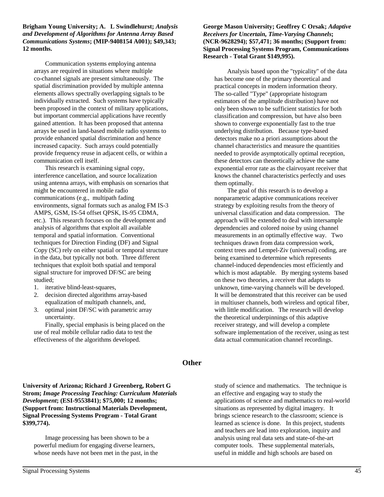**Brigham Young University; A. L Swindlehurst;** *Analysis and Development of Algorithms for Antenna Array Based Communications Systems***; (MIP-9408154 A001); \$49,343; 12 months.**

Communication systems employing antenna arrays are required in situations where multiple co-channel signals are present simultaneously. The spatial discrimination provided by multiple antenna elements allows spectrally overlapping signals to be individually extracted. Such systems have typically been proposed in the context of military applications, but important commercial applications have recently gained attention. It has been proposed that antenna arrays be used in land-based mobile radio systems to provide enhanced spatial discrimination and hence increased capacity. Such arrays could potentially provide frequency reuse in adjacent cells, or within a communication cell itself.

This research is examining signal copy, interference cancellation, and source localization using antenna arrays, with emphasis on scenarios that might be encountered in mobile radio communications (e.g., multipath fading environments, signal formats such as analog FM IS-3 AMPS, GSM, IS-54 offset QPSK, IS-95 CDMA, etc.). This research focuses on the development and analysis of algorithms that exploit all available temporal and spatial information. Conventional techniques for Direction Finding (DF) and Signal Copy (SC) rely on either spatial or temporal structure in the data, but typically not both. Three different techniques that exploit both spatial and temporal signal structure for improved DF/SC are being studied;

- 1. iterative blind-least-squares,
- 2. decision directed algorithms array-based equalization of multipath channels, and,
- 3. optimal joint DF/SC with parametric array uncertainty.

Finally, special emphasis is being placed on the use of real mobile cellular radio data to test the effectiveness of the algorithms developed.

## **George Mason University; Geoffrey C Orsak;** *Adaptive Receivers for Uncertain, Time-Varying Channels***; (NCR-9628294); \$57,471; 36 months; (Support from: Signal Processing Systems Program, Communications Research - Total Grant \$149,995).**

 Analysis based upon the "typicality" of the data has become one of the primary theoretical and practical concepts in modern information theory. The so-called "Type" (appropriate histogram estimators of the amplitude distribution) have not only been shown to be sufficient statistics for both classification and compression, but have also been shown to converge exponentially fast to the true underlying distribution. Because type-based detectors make no a priori assumptions about the channel characteristics and measure the quantities needed to provide asymptotically optimal reception, these detectors can theoretically achieve the same exponential error rate as the clairvoyant receiver that knows the channel characteristics perfectly and uses them optimally.

 The goal of this research is to develop a nonparametric adaptive communications receiver strategy by exploiting results from the theory of universal classification and data compression. The approach will be extended to deal with intersample dependencies and colored noise by using channel measurements in an optimally effective way. Two techniques drawn from data compression work, context trees and Lempel-Ziv (universal) coding, are being examined to determine which represents channel-induced dependencies most efficiently and which is most adaptable. By merging systems based on these two theories, a receiver that adapts to unknown, time-varying channels will be developed. It will be demonstrated that this receiver can be used in multiuser channels, both wireless and optical fiber, with little modification. The research will develop the theoretical underpinnings of this adaptive receiver strategy, and will develop a complete software implementation of the receiver, using as test data actual communication channel recordings.

## **Other**

**University of Arizona; Richard J Greenberg, Robert G Strom;** *Image Processing Teaching: Curriculum Materials Development***; (ESI-9553841); \$75,000; 12 months; (Support from: Instructional Materials Development, Signal Processing Systems Program - Total Grant \$399,774).**

Image processing has been shown to be a powerful medium for engaging diverse learners, whose needs have not been met in the past, in the

study of science and mathematics. The technique is an effective and engaging way to study the applications of science and mathematics to real-world situations as represented by digital imagery. It brings science research to the classroom; science is learned as science is done. In this project, students and teachers are lead into exploration, inquiry and analysis using real data sets and state-of-the-art computer tools. These supplemental materials, useful in middle and high schools are based on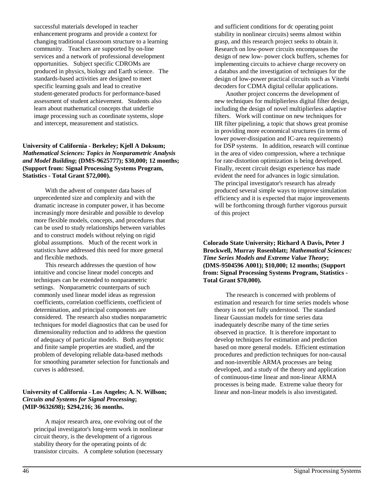successful materials developed in teacher enhancement programs and provide a context for changing traditional classroom structure to a learning community. Teachers are supported by on-line services and a network of professional development opportunities. Subject specific CDROMs are produced in physics, biology and Earth science. The standards-based activities are designed to meet specific learning goals and lead to creative student-generated products for performance-based assessment of student achievement. Students also learn about mathematical concepts that underlie image processing such as coordinate systems, slope and intercept, measurement and statistics.

### **University of California - Berkeley; Kjell A Doksum;** *Mathematical Sciences: Topics in Nonparametric Analysis and Model Building***; (DMS-9625777); \$30,000; 12 months; (Support from: Signal Processing Systems Program, Statistics - Total Grant \$72,000).**

With the advent of computer data bases of unprecedented size and complexity and with the dramatic increase in computer power, it has become increasingly more desirable and possible to develop more flexible models, concepts, and procedures that can be used to study relationships between variables and to construct models without relying on rigid global assumptions. Much of the recent work in statistics have addressed this need for more general and flexible methods.

This research addresses the question of how intuitive and concise linear model concepts and techniques can be extended to nonparametric settings. Nonparametric counterparts of such commonly used linear model ideas as regression coefficients, correlation coefficients, coefficient of determination, and principal components are considered. The research also studies nonparametric techniques for model diagnostics that can be used for dimensionality reduction and to address the question of adequacy of particular models. Both asymptotic and finite sample properties are studied, and the problem of developing reliable data-based methods for smoothing parameter selection for functionals and curves is addressed.

### **University of California - Los Angeles; A. N. Willson;** *Circuits and Systems for Signal Processing***; (MIP-9632698); \$294,216; 36 months.**

A major research area, one evolving out of the principal investigator's long-term work in nonlinear circuit theory, is the development of a rigorous stability theory for the operating points of dc transistor circuits. A complete solution (necessary

and sufficient conditions for dc operating point stability in nonlinear circuits) seems almost within grasp, and this research project seeks to obtain it. Research on low-power circuits encompasses the design of new low- power clock buffers, schemes for implementing circuits to achieve charge recovery on a databus and the investigation of techniques for the design of low-power practical circuits such as Viterbi decoders for CDMA digital cellular applications.

Another project concerns the development of new techniques for multiplierless digital filter design, including the design of novel multiplierless adaptive filters. Work will continue on new techniques for IIR filter pipelining, a topic that shows great promise in providing more economical structures (in terms of lower power-dissipation and IC-area requirements) for DSP systems. In addition, research will continue in the area of video compression, where a technique for rate-distortion optimization is being developed. Finally, recent circuit design experience has made evident the need for advances in logic simulation. The principal investigator's research has already produced several simple ways to improve simulation efficiency and it is expected that major improvements will be forthcoming through further vigorous pursuit of this project

**Colorado State University; Richard A Davis, Peter J Brockwell, Murray Rosenblatt;** *Mathematical Sciences: Time Series Models and Extreme Value Theory***; (DMS-9504596 A001); \$10,000; 12 months; (Support from: Signal Processing Systems Program, Statistics - Total Grant \$70,000).**

The research is concerned with problems of estimation and research for time series models whose theory is not yet fully understood. The standard linear Gaussian models for time series data inadequately describe many of the time series observed in practice. It is therefore important to develop techniques for estimation and prediction based on more general models. Efficient estimation procedures and prediction techniques for non-causal and non-invertible ARMA processes are being developed, and a study of the theory and application of continuous-time linear and non-linear ARMA processes is being made. Extreme value theory for linear and non-linear models is also investigated.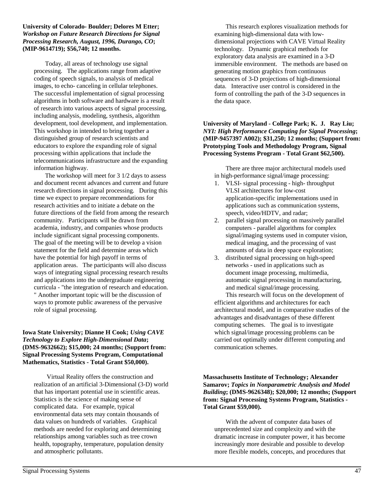**University of Colorado- Boulder; Delores M Etter;** *Workshop on Future Research Directions for Signal Processing Research, August, 1996, Durango, CO***; (MIP-9614719); \$56,740; 12 months.**

Today, all areas of technology use signal processing. The applications range from adaptive coding of speech signals, to analysis of medical images, to echo- canceling in cellular telephones. The successful implementation of signal processing algorithms in both software and hardware is a result of research into various aspects of signal processing, including analysis, modeling, synthesis, algorithm development, tool development, and implementation. This workshop in intended to bring together a distinguished group of research scientists and educators to explore the expanding role of signal processing within applications that include the telecommunications infrastructure and the expanding information highway.

The workshop will meet for 3 1/2 days to assess and document recent advances and current and future research directions in signal processing. During this time we expect to prepare recommendations for research activities and to initiate a debate on the future directions of the field from among the research community. Participants will be drawn from academia, industry, and companies whose products include significant signal processing components. The goal of the meeting will be to develop a vision statement for the field and determine areas which have the potential for high payoff in terms of application areas. The participants will also discuss ways of integrating signal processing research results and applications into the undergraduate engineering curricula - "the integration of research and education. " Another important topic will be the discussion of ways to promote public awareness of the pervasive role of signal processing.

## **Iowa State University; Dianne H Cook;** *Using CAVE Technology to Explore High-Dimensional Data***; (DMS-9632662); \$15,000; 24 months; (Support from: Signal Processing Systems Program, Computational Mathematics, Statistics - Total Grant \$50,000).**

 Virtual Reality offers the construction and realization of an artificial 3-Dimensional (3-D) world that has important potential use in scientific areas. Statistics is the science of making sense of complicated data. For example, typical environmental data sets may contain thousands of data values on hundreds of variables. Graphical methods are needed for exploring and determining relationships among variables such as tree crown health, topography, temperature, population density and atmospheric pollutants.

This research explores visualization methods for examining high-dimensional data with lowdimensional projections with CAVE Virtual Reality technology. Dynamic graphical methods for exploratory data analysis are examined in a 3-D immersible environment. The methods are based on generating motion graphics from continuous sequences of 3-D projections of high-dimensional data. Interactive user control is considered in the form of controlling the path of the 3-D sequences in the data space.

## **University of Maryland - College Park; K. J. Ray Liu;** *NYI: High Performance Computing for Signal Processing***; (MIP-9457397 A002); \$31,250; 12 months; (Support from: Prototyping Tools and Methodology Program, Signal Processing Systems Program - Total Grant \$62,500).**

There are three major architectural models used in high-performance signal/image processing:

- 1. VLSI- signal processing high- throughput VLSI architectures for low-cost application-specific implementations used in applications such as communication systems, speech, video/HDTV, and radar;
- 2. parallel signal processing on massively parallel computers - parallel algorithms for complex signal/imaging systems used in computer vision, medical imaging, and the processing of vast amounts of data in deep space exploration;
- 3. distributed signal processing on high-speed networks - used in applications such as document image processing, multimedia, automatic signal processing in manufacturing, and medical signal/image processing.

This research will focus on the development of efficient algorithms and architectures for each architectural model, and in comparative studies of the advantages and disadvantages of these different computing schemes. The goal is to investigate which signal/image processing problems can be carried out optimally under different computing and communication schemes.

**Massachusetts Institute of Technology; Alexander Samarov;** *Topics in Nonparametric Analysis and Model Building***; (DMS-9626348); \$20,000; 12 months; (Support from: Signal Processing Systems Program, Statistics - Total Grant \$59,000).**

With the advent of computer data bases of unprecedented size and complexity and with the dramatic increase in computer power, it has become increasingly more desirable and possible to develop more flexible models, concepts, and procedures that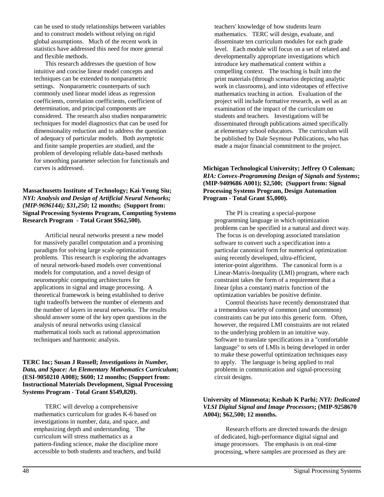can be used to study relationships between variables and to construct models without relying on rigid global assumptions. Much of the recent work in statistics have addressed this need for more general and flexible methods.

This research addresses the question of how intuitive and concise linear model concepts and techniques can be extended to nonparametric settings. Nonparametric counterparts of such commonly used linear model ideas as regression coefficients, correlation coefficients, coefficient of determination, and principal components are considered. The research also studies nonparametric techniques for model diagnostics that can be used for dimensionality reduction and to address the question of adequacy of particular models. Both asymptotic and finite sample properties are studied, and the problem of developing reliable data-based methods for smoothing parameter selection for functionals and curves is addressed.

#### **Massachusetts Institute of Technology; Kai-Yeung Siu;** *NYI: Analysis and Design of Artificial Neural Networks; (MIP-9696144); \$31,250***; 12 months; (Support from: Signal Processing Systems Program, Computing Systems Research Program - Total Grant \$\$62,500).**

Artificial neural networks present a new model for massively parallel computation and a promising paradigm for solving large scale optimization problems. This research is exploring the advantages of neural network-based models over conventional models for computation, and a novel design of neuromorphic computing architectures for applications in signal and image processing. A theoretical framework is being established to derive tight tradeoffs between the number of elements and the number of layers in neural networks. The results should answer some of the key open questions in the analysis of neural networks using classical mathematical tools such as rational approximation techniques and harmonic analysis.

## **TERC Inc; Susan J Russell;** *Investigations in Number, Data, and Space: An Elementary Mathematics Curriculum***; (ESI-9050210 A008); \$600; 12 months; (Support from: Instructional Materials Development, Signal Processing Systems Program - Total Grant \$549,820).**

TERC will develop a comprehensive mathematics curriculum for grades K-6 based on investigations in number, data, and space, and emphasizing depth and understanding. The curriculum will stress mathematics as a pattern-finding science, make the discipline more accessible to both students and teachers, and build teachers' knowledge of how students learn mathematics. TERC will design, evaluate, and disseminate ten curriculum modules for each grade level. Each module will focus on a set of related and developmentally appropriate investigations which introduce key mathematical content within a compelling context. The teaching is built into the print materials (through scenarios depicting analytic work in classrooms), and into videotapes of effective mathematics teaching in action. Evaluation of the project will include formative research, as well as an examination of the impact of the curriculum on students and teachers. Investigations will be disseminated through publications aimed specifically at elementary school educators. The curriculum will be published by Dale Seymour Publications, who has made a major financial commitment to the project.

## **Michigan Technological University; Jeffrey O Coleman;** *RIA: Convex-Programming Design of Signals and Systems***; (MIP-9409686 A001); \$2,500; (Support from: Signal Processing Systems Program, Design Automation Program - Total Grant \$5,000).**

The PI is creating a special-purpose programming language in which optimization problems can be specified in a natural and direct way. The focus is on developing associated translation software to convert such a specification into a particular canonical form for numerical optimization using recently developed, ultra-efficient, interior-point algorithms. The canonical form is a Linear-Matrix-Inequality (LMI) program, where each constraint takes the form of a requirement that a linear (plus a constant) matrix function of the optimization variables be positive definite.

Control theorists have recently demonstrated that a tremendous variety of common (and uncommon) constraints can be put into this generic form. Often, however, the required LMI constraints are not related to the underlying problem in an intuitive way. Software to translate specifications in a "comfortable language" to sets of LMIs is being developed in order to make these powerful optimization techniques easy to apply. The language is being applied to real problems in communication and signal-processing circuit designs.

## **University of Minnesota; Keshab K Parhi;** *NYI: Dedicated VLSI Digital Signal and Image Processors***; (MIP-9258670 A004); \$62,500; 12 months.**

Research efforts are directed towards the design of dedicated, high-performance digital signal and image processors. The emphasis is on real-time processing, where samples are processed as they are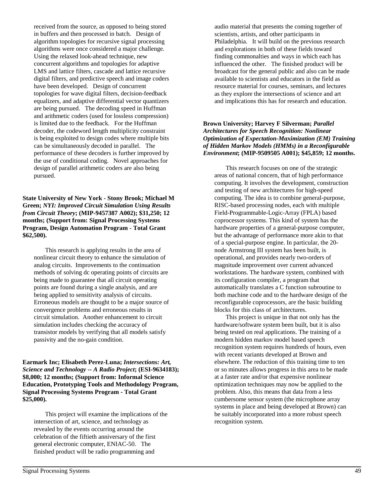received from the source, as opposed to being stored in buffers and then processed in batch. Design of algorithm topologies for recursive signal processing algorithms were once considered a major challenge. Using the relaxed look-ahead technique, new concurrent algorithms and topologies for adaptive LMS and lattice filters, cascade and lattice recursive digital filters, and predictive speech and image coders have been developed. Design of concurrent topologies for wave digital filters, decision-feedback equalizers, and adaptive differential vector quantizers are being pursued. The decoding speed in Huffman and arithmetic coders (used for lossless compression) is limited due to the feedback. For the Huffman decoder, the codeword length multiplicity constraint is being exploited to design codes where multiple bits can be simultaneously decoded in parallel. The performance of these decoders is further improved by the use of conditional coding. Novel approaches for design of parallel arithmetic coders are also being pursued.

**State University of New York - Stony Brook; Michael M Green;** *NYI: Improved Circuit Simulation Using Results from Circuit Theory***; (MIP-9457387 A002); \$31,250; 12 months; (Support from: Signal Processing Systems Program, Design Automation Program - Total Grant \$62,500).**

This research is applying results in the area of nonlinear circuit theory to enhance the simulation of analog circuits. Improvements to the continuation methods of solving dc operating points of circuits are being made to guarantee that all circuit operating points are found during a single analysis, and are being applied to sensitivity analysis of circuits. Erroneous models are thought to be a major source of convergence problems and erroneous results in circuit simulation. Another enhancement to circuit simulation includes checking the accuracy of transistor models by verifying that all models satisfy passivity and the no-gain condition.

**Earmark Inc; Elisabeth Perez-Luna;** *Intersections: Art, Science and Technology -- A Radio Project***; (ESI-9634183); \$8,000; 12 months; (Support from: Informal Science Education, Prototyping Tools and Methodology Program, Signal Processing Systems Program - Total Grant \$25,000).**

This project will examine the implications of the intersection of art, science, and technology as revealed by the events occurring around the celebration of the fiftieth anniversary of the first general electronic computer, ENIAC-50. The finished product will be radio programming and

audio material that presents the coming together of scientists, artists, and other participants in Philadelphia. It will build on the previous research and explorations in both of these fields toward finding commonalties and ways in which each has influenced the other. The finished product will be broadcast for the general public and also can be made available to scientists and educators in the field as resource material for courses, seminars, and lectures as they explore the intersections of science and art and implications this has for research and education.

#### **Brown University; Harvey F Silverman;** *Parallel Architectures for Speech Recognition: Nonlinear Optimization of Expectation-Maximization (EM) Training of Hidden Markov Models (HMMs) in a Reconfigurable Environment***; (MIP-9509505 A001); \$45,859; 12 months.**

This research focuses on one of the strategic areas of national concern, that of high performance computing. It involves the development, construction and testing of new architectures for high-speed computing. The idea is to combine general-purpose, RISC-based processing nodes, each with multiple Field-Programmable-Logic-Array (FPLA) based coprocessor systems. This kind of system has the hardware properties of a general-purpose computer, but the advantage of performance more akin to that of a special-purpose engine. In particular, the 20 node Armstrong III system has been built, is operational, and provides nearly two-orders of magnitude improvement over current advanced workstations. The hardware system, combined with its configuration compiler, a program that automatically translates a C function subroutine to both machine code and to the hardware design of the reconfigurable coprocessors, are the basic building blocks for this class of architectures.

This project is unique in that not only has the hardware/software system been built, but it is also being tested on real applications. The training of a modern hidden markov model based speech recognition system requires hundreds of hours, even with recent variants developed at Brown and elsewhere. The reduction of this training time to ten or so minutes allows progress in this area to be made at a faster rate and/or that expensive nonlinear optimization techniques may now be applied to the problem. Also, this means that data from a less cumbersome sensor system (the microphone array systems in place and being developed at Brown) can be suitably incorporated into a more robust speech recognition system.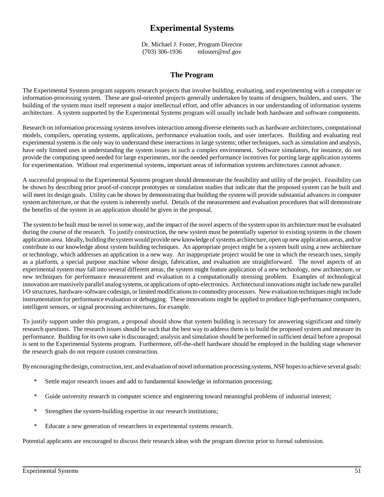# **Experimental Systems**

Dr. Michael J. Foster, Program Director (703) 306-1936 mfoster@nsf.gov

## **The Program**

The Experimental Systems program supports research projects that involve building, evaluating, and experimenting with a computer or information-processing system. These are goal-oriented projects generally undertaken by teams of designers, builders, and users. The building of the system must itself represent a major intellectual effort, and offer advances in our understanding of information systems architecture. A system supported by the Experimental Systems program will usually include both hardware and software components.

Research on information processing systems involves interaction among diverse elements such as hardware architectures, computational models, compilers, operating systems, applications, performance evaluation tools, and user interfaces. Building and evaluating real experimental systems is the only way to understand these interactions in large systems; other techniques, such as simulation and analysis, have only limited uses in understanding the system issues in such a complex environment. Software simulators, for instance, do not provide the computing speed needed for large experiments, nor the needed performance incentives for porting large application systems for experimentation. Without real experimental systems, important areas of information systems architectures cannot advance.

A successful proposal to the Experimental Systems program should demonstrate the feasibility and utility of the project. Feasibility can be shown by describing prior proof-of-concept prototypes or simulation studies that indicate that the proposed system can be built and will meet its design goals. Utility can be shown by demonstrating that building the system will provide substantial advances in computer system architecture, or that the system is inherently useful. Details of the measurement and evaluation procedures that will demonstrate the benefits of the system in an application should be given in the proposal.

The system to be built must be novel in some way, and the impact of the novel aspects of the system upon its architecture must be evaluated during the course of the research. To justify construction, the new system must be potentially superior to existing systems in the chosen application area. Ideally, building the system would provide new knowledge of systems architecture, open up new application areas, and/or contribute to our knowledge about system building techniques. An appropriate project might be a system built using a new architecture or technology, which addresses an application in a new way. An inappropriate project would be one in which the research uses, simply as a platform, a special purpose machine whose design, fabrication, and evaluation are straightforward. The novel aspects of an experimental system may fall into several different areas; the system might feature application of a new technology, new architecture, or new techniques for performance measurement and evaluation to a computationally stressing problem. Examples of technological innovation are massively parallel analog systems, or applications of opto-electronics. Architectural innovations might include new parallel l/O structures, hardware-software codesign, or limited modifications to commodity processors. New evaluation techniques might include instrumentation for performance evaluation or debugging. These innovations might be applied to produce high-performance computers, intelligent sensors, or signal processing architectures, for example.

To justify support under this program, a proposal should show that system building is necessary for answering significant and timely research questions. The research issues should be such that the best way to address them is to build the proposed system and measure its performance. Building for its own sake is discouraged; analysis and simulation should be performed in sufficient detail before a proposal is sent to the Experimental Systems program. Furthermore, off-the-shelf hardware should be employed in the building stage whenever the research goals do not require custom construction.

By encouraging the design, construction, test, and evaluation of novel information processing systems, NSF hopes to achieve several goals:

- Settle major research issues and add to fundamental knowledge in information processing;
- \* Guide university research in computer science and engineering toward meaningful problems of industrial interest;
- \* Strengthen the system-building expertise in our research institutions;
- \* Educate a new generation of researchers in experimental systems research.

Potential applicants are encouraged to discuss their research ideas with the program director prior to formal submission.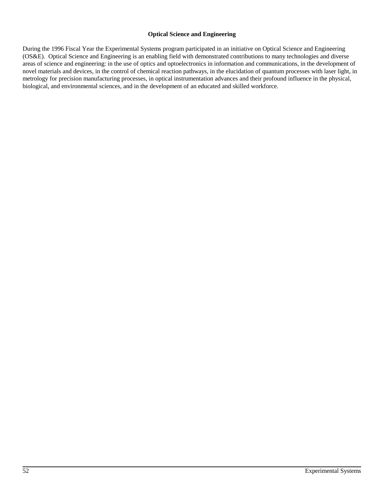#### **Optical Science and Engineering**

During the 1996 Fiscal Year the Experimental Systems program participated in an initiative on Optical Science and Engineering (OS&E). Optical Science and Engineering is an enabling field with demonstrated contributions to many technologies and diverse areas of science and engineering: in the use of optics and optoelectronics in information and communications, in the development of novel materials and devices, in the control of chemical reaction pathways, in the elucidation of quantum processes with laser light, in metrology for precision manufacturing processes, in optical instrumentation advances and their profound influence in the physical, biological, and environmental sciences, and in the development of an educated and skilled workforce.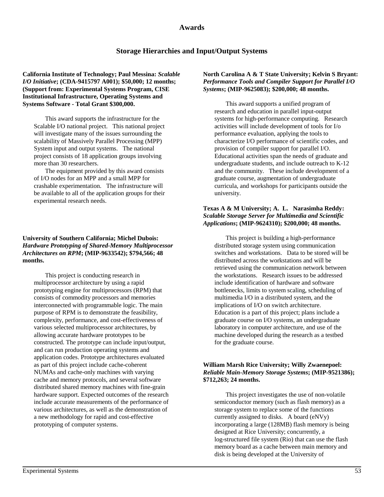## **Awards**

## **Storage Hierarchies and Input/Output Systems**

**California Institute of Technology; Paul Messina:** *Scalable I/O Initiative***; (CDA-9415797 A001); \$50,000; 12 months; (Support from: Experimental Systems Program, CISE Institutional Infrastructure, Operating Systems and Systems Software - Total Grant \$300,000.**

This award supports the infrastructure for the Scalable I/O national project. This national project will investigate many of the issues surrounding the scalability of Massively Parallel Processing (MPP) System input and output systems. The national project consists of 18 application groups involving more than 30 researchers.

The equipment provided by this award consists of I/O nodes for an MPP and a small MPP for crashable experimentation. The infrastructure will be available to all of the application groups for their experimental research needs.

#### **University of Southern California; Michel Dubois:** *Hardware Prototyping of Shared-Memory Multiprocessor Architectures on RPM***; (MIP-9633542); \$794,566; 48 months.**

This project is conducting research in multiprocessor architecture by using a rapid prototyping engine for multiprocessors (RPM) that consists of commodity processors and memories interconnected with programmable logic. The main purpose of RPM is to demonstrate the feasibility, complexity, performance, and cost-effectiveness of various selected multiprocessor architectures, by allowing accurate hardware prototypes to be constructed. The prototype can include input/output, and can run production operating systems and application codes. Prototype architectures evaluated as part of this project include cache-coherent NUMAs and cache-only machines with varying cache and memory protocols, and several software distributed shared memory machines with fine-grain hardware support. Expected outcomes of the research include accurate measurements of the performance of various architectures, as well as the demonstration of a new methodology for rapid and cost-effective prototyping of computer systems.

#### **North Carolina A & T State University; Kelvin S Bryant:** *Performance Tools and Compiler Support for Parallel I/O Systems***; (MIP-9625083); \$200,000; 48 months.**

This award supports a unified program of research and education in parallel input-output systems for high-performance computing. Research activities will include development of tools for I/o performance evaluation, applying the tools to characterize I/O performance of scientific codes, and provision of compiler support for parallel I/O. Educational activities span the needs of graduate and undergraduate students, and include outreach to K-12 and the community. These include development of a graduate course, augmentation of undergraduate curricula, and workshops for participants outside the university.

## **Texas A & M University; A. L. Narasimha Reddy:** *Scalable Storage Server for Multimedia and Scientific Applications***; (MIP-9624310); \$200,000; 48 months.**

This project is building a high-performance distributed storage system using communication switches and workstations. Data to be stored will be distributed across the workstations and will be retrieved using the communication network between the workstations. Research issues to be addressed include identification of hardware and software bottlenecks, limits to system scaling, scheduling of multimedia I/O in a distributed system, and the implications of I/O on switch architecture. Education is a part of this project; plans include a graduate course on I/O systems, an undergraduate laboratory in computer architecture, and use of the machine developed during the research as a testbed for the graduate course.

## **William Marsh Rice University; Willy Zwaenepoel:** *Reliable Main-Memory Storage Systems***; (MIP-9521386); \$712,263; 24 months.**

This project investigates the use of non-volatile semiconductor memory (such as flash memory) as a storage system to replace some of the functions currently assigned to disks. A board (eNVy) incorporating a large (128MB) flash memory is being designed at Rice University; concurrently, a log-structured file system (Rio) that can use the flash memory board as a cache between main memory and disk is being developed at the University of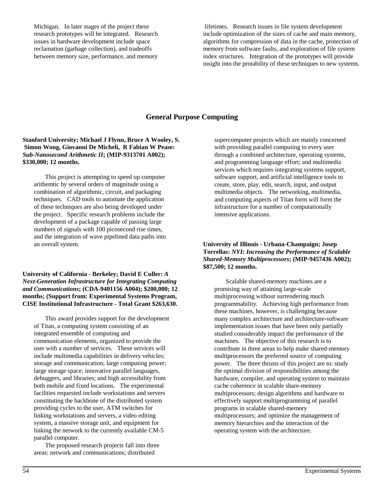Michigan. In later stages of the project these research prototypes will be integrated. Research issues in hardware development include space reclamation (garbage collection), and tradeoffs between memory size, performance, and memory

 lifetimes. Research issues in file system development include optimization of the sizes of cache and main memory, algorithms for compression of data in the cache, protection of memory from software faults, and exploration of file system index structures. Integration of the prototypes will provide insight into the protability of these techniques to new systems.

## **General Purpose Computing**

### **Stanford University; Michael J Flynn, Bruce A Wooley, S. Simon Wong, Giovanni De Micheli, R Fabian W Pease:** *Sub-Nanosecond Arithmetic II***; (MIP-9313701 A002); \$330,000; 12 months.**

This project is attempting to speed up computer arithemtic by several orders of magnitude using a combination of algorithmic, circuit, and packaging techniques. CAD tools to automate the application of these techniques are also being developed under the project. Specific research problems include the development of a package capable of passing large numbers of signals with 100 picosecond rise times, and the integration of wave pipelined data paths into an overall system.

#### **University of California - Berkeley; David E Culler:** *A Next-Generation Infrastructure for Integrating Computing and Communications***; (CDA-9401156 A004); \$200,000; 12 months; (Support from: Experimental Systems Program, CISE Institutional Infrastructure - Total Grant \$263,630.**

This award provides support for the development of Titan, a computing system consisting of an integrated ensemble of computing and communication elements, organized to provide the user with a number of services. These services will include multimedia capabilities in delivery vehicles; storage and communication; large computing power; large storage space; innovative parallel languages, debuggers, and libraries; and high accessibility from both mobile and fixed locations. The experimental facilities requested include workstations and servers constituting the backbone of the distributed system providing cycles to the user, ATM switches for linking workstations and servers, a video editing system, a massive storage unit, and equipment for linking the network to the currently available CM-5 parallel computer.

The proposed research projects fall into three areas: network and communications; distributed

supercomputer projects which are mainly concerned with providing parallel computing to every user through a combined architecture, operating systems, and programming language effort; and multimedia services which requires integrating systems support, software support, and artificial intelligence tools to create, store, play, edit, search, input, and output multimedia objects. The networking, multimedia, and computing aspects of Titan form will form the infrastructure for a number of computationally intensive applications.

### **University of Illinois - Urbana-Champaign; Josep Torrellas:** *NYI: Increasing the Performance of Scalable Shared-Memory Multiprocessors***; (MIP-9457436 A002); \$87,500; 12 months.**

Scalable shared-memory machines are a promising way of attaining large-scale multiprocessing without surrendering much programmability. Achieving high performance from these machines, however, is challenging because many complex architecture and architecture-software implementation issues that have been only partially studied considerably impact the performance of the machines. The objective of this research is to contribute in three areas to help make shared-memory multiprocessors the preferred source of computing power. The three thrusts of this project are to: study the optimal division of responsibilities among the hardware, compiler, and operating system to maintain cache coherence in scalable share-memory multiprocessors; design algorithms and hardware to effectively support multiprogramming of parallel programs in scalable shared-memory multiprocessors; and optimize the management of memory hierarchies and the interaction of the operating system with the architecture.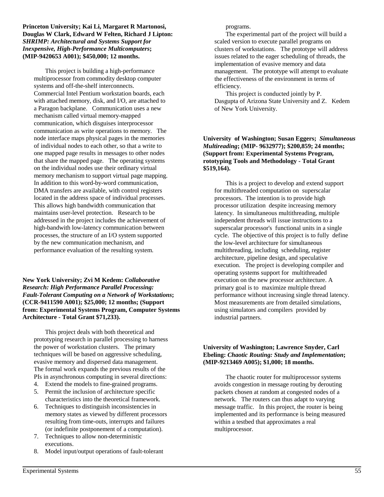**Princeton University; Kai Li, Margaret R Martonosi, Douglas W Clark, Edward W Felten, Richard J Lipton:** *SHRIMP: Architectural and Systems Support for Inexpensive, High-Performance Multicomputers***; (MIP-9420653 A001); \$450,000; 12 months.**

This project is building a high-performance multiprocessor from commodity desktop computer systems and off-the-shelf interconnects. Commercial Intel Pentium workstation boards, each with attached memory, disk, and I/O, are attached to a Paragon backplane. Communication uses a new mechanism called virtual memory-mapped communication, which disguises interprocessor communication as write operations to memory. The node interface maps physical pages in the memories of individual nodes to each other, so that a write to one mapped page results in messages to other nodes that share the mapped page. The operating systems on the individual nodes use their ordinary virtual memory mechanism to support virtual page mapping. In addition to this word-by-word communication, DMA transfers are available, with control registers located in the address space of individual processes. This allows high bandwidth communication that maintains user-level protection. Research to be addressed in the project includes the achievement of high-bandwith low-latency communication between processes, the structure of an I/O system supported by the new communication mechanism, and performance evaluation of the resulting system.

**New York University; Zvi M Kedem:** *Collaborative Research: High Performance Parallel Processing: Fault-Tolerant Computing on a Network of Workstations***; (CCR-9411590 A001); \$25,000; 12 months; (Support from: Experimental Systems Program, Computer Systems Architecture - Total Grant \$71,233).**

This project deals with both theoretical and prototyping research in parallel processing to harness the power of workstation clusters. The primary techniques will be based on aggressive scheduling, evasive memory and dispersed data management. The formal work expands the previous results of the PIs in asynchronous computing in several directions:

- 4. Extend the models to fine-grained programs.
- 5. Permit the inclusion of architecture specific characteristics into the theoretical framework.
- 6. Techniques to distinguish inconsistencies in memory states as viewed by different processors resulting from time-outs, interrupts and failures (or indefinite postponement of a computation).
- 7. Techniques to allow non-deterministic executions.
- 8. Model input/output operations of fault-tolerant

programs.

The experimental part of the project will build a scaled version to execute parallel programs on clusters of workstations. The prototype will address issues related to the eager scheduling of threads, the implementation of evasive memory and data management. The prototype will attempt to evaluate the effectiveness of the environment in terms of efficiency.

This project is conducted jointly by P. Dasgupta of Arizona State University and Z. Kedem of New York University.

#### **University of Washington; Susan Eggers;** *Simultaneous Multireading***; (MIP- 9632977); \$200,859; 24 months; (Support from: Experimental Systems Program, rototyping Tools and Methodology - Total Grant \$519,164).**

This is a project to develop and extend support for multithreaded computation on superscalar processors. The intention is to provide high processor utilization despite increasing memory latency. In simultaneous multithreading, multiple independent threads will issue instructions to a superscalar processor's functional units in a single cycle. The objective of this project is to fully define the low-level architecture for simultaneous multithreading, including scheduling, register architecture, pipeline design, and speculative execution. The project is developing compiler and operating systems support for multithreaded execution on the new processor architecture. A primary goal is to maximize multiple thread performance without increasing single thread latency. Most measurements are from detailed simulations, using simulators and compilers provided by industrial partners.

#### **University of Washington; Lawrence Snyder, Carl Ebeling:** *Chaotic Routing: Study and Implementation***; (MIP-9213469 A005); \$1,000; 18 months.**

The chaotic router for multiprocessor systems avoids congestion in message routing by derouting packets chosen at random at congested nodes of a network. The routers can thus adapt to varying message traffic. In this project, the router is being implemented and its performance is being measured within a testbed that approximates a real multiprocessor.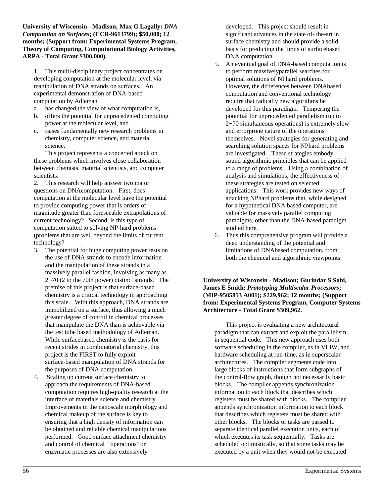**University of Wisconsin - Madison; Max G Lagally:** *DNA Computation on Surfaces***; (CCR-9613799); \$50,000; 12 months; (Support from: Experimental Systems Program, Theory of Computing, Computational Biology Activities, ARPA - Total Grant \$300,000).**

1. This multi-disciplinary project concentrates on developing computation at the molecular level, via manipulation of DNA strands on surfaces. An experimental demonstration of DNA-based computation by Adleman

- a. has changed the view of what computation is,
- b. offers the potential for unprecedented computing power at the molecular level, and
- c. raises fundamentally new research problems in chemistry, computer science, and material science.

This project represents a concerted attack on these problems which involves close collaboration between chemists, material scientists, and computer scientists.

2. This research will help answer two major questions on DNAcomputation. First, does computation at the molecular level have the potential to provide computing power that is orders of magnitude greater than foreseeable extrapolations of current technology? Second, is this type of computation suited to solving NP-hard problems (problems that are well beyond the limits of current technology?

- 3. The potential for huge computing power rests on the use of DNA strands to encode information and the manipulation of these strands in a massively parallel fashion, involving as many as 2¬70 (2 to the 70th power) distinct strands. The premise of this project is that surface-based chemistry is a critical technology in approaching this scale. With this approach, DNA strands are immobilized on a surface, thus allowing a much greater degree of control in chemical processes that manipulate the DNA than is achievable via the test tube based methodology of Adleman. While surfacebased chemistry is the basis for recent strides in combinatorial chemistry, this project is the FIRST to fully exploit surface-based manipulation of DNA strands for the purposes of DNA computation.
- 4. Scaling up current surface chemistry to approach the requirements of DNA-based computation requires high-quality research at the interface of materials science and chemistry. Improvements in the nanoscale morph ology and chemical makeup of the surface is key to ensuring that a high density of information can be obtained and reliable chemical manipulations performed. Good surface attachment chemistry and control of chemical ``operations'' or enzymatic processes are also extensively

developed. This project should result in significant advances in the state of- the-art in surface chemistry and should provide a solid basis for predicting the limits of surfacebased DNA computation.

- 5. An eventual goal of DNA-based computation is to perform massivelyparallel searches for optimal solutions of NPhard problems. However, the differences between DNAbased computation and conventional technology require that radically new algorithms be developed for this paradigm. Tempering the potential for unprecedented parallelism (up to 2¬70 simultaneous operations) is extremely slow and errorprone nature of the operations themselves. Novel strategies for generating and searching solution spaces for NPhard problems are investigated. These strategies embody sound algorithmic principles that can be applied to a range of problems. Using a combination of analysis and simulations, the effectiveness of these strategies are tested on selected applications. This work provides new ways of attacking NPhard problems that, while designed for a hypothetical DNA based computer, are valuable for massively parallel computing paradigms, other than the DNA-based paradigm studied here.
- 6. Thus this comprehensive program will provide a deep understanding of the potential and limitations of DNAbased computation, from both the chemical and algorithmic viewpoints.

### **University of Wisconsin - Madison; Gurindar S Sohi, James E Smith:** *Prototyping Multiscalar Processors***; (MIP-9505853 A001); \$229,962; 12 months; (Support from: Experimental Systems Program, Computer Systems Architecture - Total Grant \$309,962.**

This project is evaluating a new architectural paradigm that can extract and exploit the parallelism in sequential code. This new approach uses both software scheduling in the compiler, as in VLIW, and hardware scheduling at run-time, as in superscalar architectures. The compiler segments code into large blocks of instructions that form subgraphs of the control-flow graph, though not necessarily basic blocks. The compiler appends synchronization information to each block that describes which registers must be shared with blocks. The compiler appends synchronization information to each block that describes which registers must be shared with other blocks. The blocks or tasks are passed to separate identical parallel execution units, each of which executes its task sequentially. Tasks are scheduled optimistically, so that some tasks may be executed by a unit when they would not be executed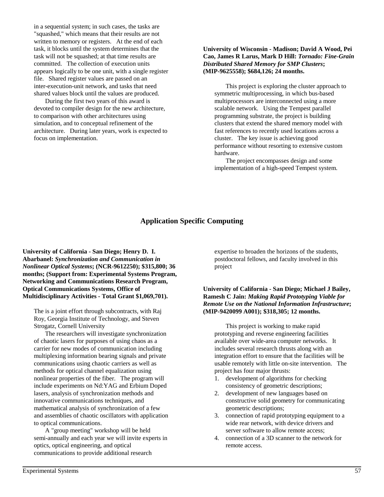in a sequential system; in such cases, the tasks are "squashed," which means that their results are not written to memory or registers. At the end of each task, it blocks until the system determines that the task will not be squashed; at that time results are committed. The collection of execution units appears logically to be one unit, with a single register file. Shared register values are passed on an inter-execution-unit network, and tasks that need shared values block until the values are produced.

During the first two years of this award is devoted to compiler design for the new architecture, to comparison with other architectures using simulation, and to conceptual refinement of the architecture. During later years, work is expected to focus on implementation.

### **University of Wisconsin - Madison; David A Wood, Pei Cao, James R Larus, Mark D Hill:** *Tornado: Fine-Grain Distributed Shared Memory for SMP Clusters***; (MIP-9625558); \$684,126; 24 months.**

This project is exploring the cluster approach to symmetric multiprocessing, in which bus-based multiprocessors are interconnected using a more scalable network. Using the Tempest parallel programming substrate, the project is building clusters that extend the shared memory model with fast references to recently used locations across a cluster. The key issue is achieving good performance without resorting to extensive custom hardware.

The project encompasses design and some implementation of a high-speed Tempest system.

## **Application Specific Computing**

**University of California - San Diego; Henry D. I. Abarbanel:** *Synchronization and Communication in Nonlinear Optical Systems***; (NCR-9612250); \$315,800; 36 months; (Support from: Experimental Systems Program, Networking and Communications Research Program, Optical Communications Systems, Office of Multidisciplinary Activities - Total Grant \$1,069,701).**

The is a joint effort through subcontracts, with Raj Roy, Georgia Institute of Technology, and Steven Strogatz, Cornell University

The researchers will investigate synchronization of chaotic lasers for purposes of using chaos as a carrier for new modes of communication including multiplexing information bearing signals and private communications using chaotic carriers as well as methods for optical channel equalization using nonlinear properties of the fiber. The program will include experiments on Nd:YAG and Erbium Doped lasers, analysis of synchronization methods and innovative communications techniques, and mathematical analysis of synchronization of a few and assemblies of chaotic oscillators with application to optical communications.

A "group meeting" workshop will be held semi-annually and each year we will invite experts in optics, optical engineering, and optical communications to provide additional research

expertise to broaden the horizons of the students, postdoctoral fellows, and faculty involved in this project

### **University of California - San Diego; Michael J Bailey, Ramesh C Jain:** *Making Rapid Prototyping Viable for Remote Use on the National Information Infrastructure***; (MIP-9420099 A001); \$318,305; 12 months.**

This project is working to make rapid prototyping and reverse engineering facilities available over wide-area computer networks. It includes several research thrusts along with an integration effort to ensure that the facilities will be usable remotely with little on-site intervention. The project has four major thrusts:

- 1. development of algorithms for checking consistency of geometric descriptions;
- 2. development of new languages based on constructive solid geometry for communicating geometric descriptions;
- 3. connection of rapid prototyping equipment to a wide rear network, with device drivers and server software to allow remote access;
- 4. connection of a 3D scanner to the network for remote access.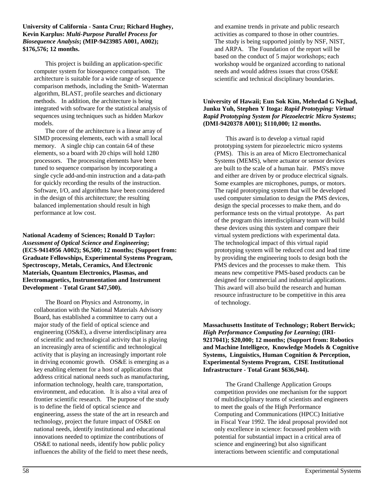**University of California - Santa Cruz; Richard Hughey, Kevin Karplus:** *Multi-Purpose Parallel Process for Biosequence Analysis***; (MIP-9423985 A001, A002); \$176,576; 12 months.**

This project is building an application-specific computer system for biosequence comparison. The architecture is suitable for a wide range of sequence comparison methods, including the Smith- Waterman algorithm, BLAST, profile searches and dictionary methods. In addition, the architecture is being integrated with software for the statistical analysis of sequences using techniques such as hidden Markov models.

The core of the architecture is a linear array of SIMD processing elements, each with a small local memory. A single chip can contain 64 of these elements, so a board with 20 chips will hold 1280 processors. The processing elements have been tuned to sequence comparison by incorporating a single cycle add-and-min instruction and a data-path for quickly recording the results of the instruction. Software, I/O, and algorithms have been considered in the design of this architecture; the resulting balanced implementation should result in high performance at low cost.

**National Academy of Sciences; Ronald D Taylor:** *Assessment of Optical Science and Engineering***; (ECS-9414956 A002); \$6,500; 12 months; (Support from: Graduate Fellowships, Experimental Systems Program, Spectroscopy, Metals, Ceramics, And Electronic Materials, Quantum Electronics, Plasmas, and Electromagnetics, Instrumentation and Instrument Development - Total Grant \$47,500).**

The Board on Physics and Astronomy, in collaboration with the National Materials Advisory Board, has established a committee to carry out a major study of the field of optical science and engineering (OS&E), a diverse interdisciplinary area of scientific and technological activity that is playing an increasingly area of scientific and technological activity that is playing an increasingly important role in driving economic growth. OS&E is emerging as a key enabling element for a host of applications that address critical national needs such as manufacturing, information technology, health care, transportation, environment, and education. It is also a vital area of frontier scientific research. The purpose of the study is to define the field of optical science and engineering, assess the state of the art in research and technology, project the future impact of OS&E on national needs, identify institutional and educational innovations needed to optimize the contributions of OS&E to national needs, identify how public policy influences the ability of the field to meet these needs,

and examine trends in private and public research activities as compared to those in other countries. The study is being supported jointly by NSF, NIST, and ARPA. The Foundation of the report will be based on the conduct of 5 major workshops; each workshop would be organized according to national needs and would address issues that cross OS&E scientific and technical disciplinary boundaries.

## **University of Hawaii; Eun Sok Kim, Mehrdad G Nejhad, Junku Yuh, Stephen Y Itoga:** *Rapid Prototyping: Virtual Rapid Prototyping System for Piezoelectric Micro Systems***; (DMI-9420378 A001); \$110,000; 12 months.**

This award is to develop a virtual rapid prototyping system for piezoelectric micro systems (PMS). This is an area of Micro Electromechanical Systems (MEMS), where actuator or sensor devices are built to the scale of a human hair. PMS's move and either are driven by or produce electrical signals. Some examples are microphones, pumps, or motors. The rapid prototyping system that will be developed used computer simulation to design the PMS devices, design the special processes to make them, and do performance tests on the virtual prototype. As part of the program this interdisciplinary team will build these devices using this system and compare their virtual system predictions with experimental data. The technological impact of this virtual rapid prototyping system will be reduced cost and lead time by providing the engineering tools to design both the PMS devices and the processes to make them. This means new competitive PMS-based products can be designed for commercial and industrial applications. This award will also build the research and human resource infrastructure to be competitive in this area of technology.

**Massachusetts Institute of Technology; Robert Berwick;** *High Performance Computing for Learning***; (IRI-9217041); \$20,000; 12 months; (Support from: Robotics and Machine Intelligece, Knowledge Models & Cognitive Systems, Linguistics, Human Cognition & Perception, Experimental Systems Program, CISE Institutional Infrastructure - Total Grant \$636,944).**

The Grand Challenge Application Groups competition provides one mechanism for the support of multidisciplinary teams of scientists and engineers to meet the goals of the High Performance Computing and Communications (HPCC) Initiative in Fiscal Year 1992. The ideal proposal provided not only excellence in science: focussed problem with potential for substantial impact in a critical area of science and engineering) but also significant interactions between scientific and computational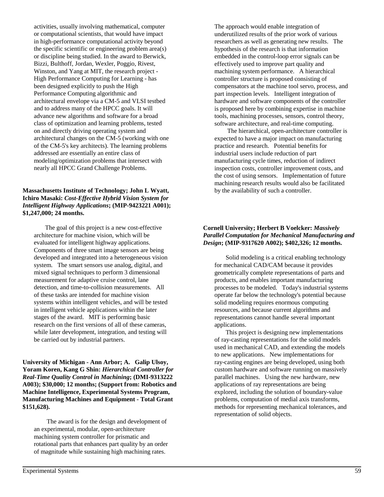activities, usually involving mathematical, computer or computational scientists, that would have impact in high-performance computational activity beyond the specific scientific or engineering problem area(s) or discipline being studied. In the award to Berwick, Bizzi, Bulthoff, Jordan, Wexler, Poggio, Rivest, Winston, and Yang at MIT, the research project - High Performance Computing for Learning - has been designed explicitly to push the High Performance Computing algorithmic and architectural envelope via a CM-5 and VLSI testbed and to address many of the HPCC goals. It will advance new algorithms and software for a broad class of optimization and learning problems, tested on and directly driving operating system and architectural changes on the CM-5 (working with one of the CM-5's key architects). The learning problems addressed are essentially an entire class of modeling/optimization problems that intersect with nearly all HPCC Grand Challenge Problems.

### **Massachusetts Institute of Technology; John L Wyatt, Ichiro Masaki:** *Cost-Effective Hybrid Vision System for Intelligent Highway Applications***; (MIP-9423221 A001); \$1,247,000; 24 months.**

The goal of this project is a new cost-effective architecture for machine vision, which will be evaluated for intelligent highway applications. Components of three smart image sensors are being developed and integrated into a heterogeneous vision system. The smart sensors use analog, digital, and mixed signal techniques to perform 3 dimensional measurement for adaptive cruise control, lane detection, and time-to-collision measurements. All of these tasks are intended for machine vision systems within intelligent vehicles, and will be tested in intelligent vehicle applications within the later stages of the award. MIT is performing basic research on the first versions of all of these cameras, while later development, integration, and testing will be carried out by industrial partners.

**University of Michigan - Ann Arbor; A. Galip Ulsoy, Yoram Koren, Kang G Shin:** *Hierarchical Controller for Real-Time Quality Control in Machining***; (DMI-9313222 A003); \$30,000; 12 months; (Support from: Robotics and Machine Intelligence, Experimental Systems Program, Manufacturing Machines and Equipment - Total Grant \$151,628).**

 The award is for the design and development of an experimental, modular, open-architecture machining system controller for prismatic and rotational parts that enhances part quality by an order of magnitude while sustaining high machining rates.

The approach would enable integration of underutilized results of the prior work of various researchers as well as generating new results. The hypothesis of the research is that information embedded in the control-loop error signals can be effectively used to improve part quality and machining system performance. A hierarchical controller structure is proposed consisting of compensators at the machine tool servo, process, and part inspection levels. Intelligent integration of hardware and software components of the controller is proposed here by combining expertise in machine tools, machining processes, sensors, control theory, software architecture, and real-time computing.

 The hierarchical, open-architecture controller is expected to have a major impact on manufacturing practice and research. Potential benefits for industrial users include reduction of part manufacturing cycle times, reduction of indirect inspection costs, controller improvement costs, and the cost of using sensors. Implementation of future machining research results would also be facilitated by the availability of such a controller.

## **Cornell University; Herbert B Voelcker:** *Massively Parallel Computation for Mechanical Manufacturing and Design***; (MIP-9317620 A002); \$402,326; 12 months.**

Solid modeling is a critical enabling technology for mechanical CAD/CAM because it provides geometrically complete representations of parts and products, and enables important manufacturing processes to be modeled. Today's industrial systems operate far below the technology's potential because solid modeling requires enormous computing resources, and because current algorithms and representations cannot handle several important applications.

This project is designing new implementations of ray-casting representations for the solid models used in mechanical CAD, and extending the models to new applications. New implementations for ray-casting engines are being developed, using both custom hardware and software running on massively parallel machines. Using the new hardware, new applications of ray representations are being explored, including the solution of boundary-value problems, computation of medial axis transforms, methods for representing mechanical tolerances, and representation of solid objects.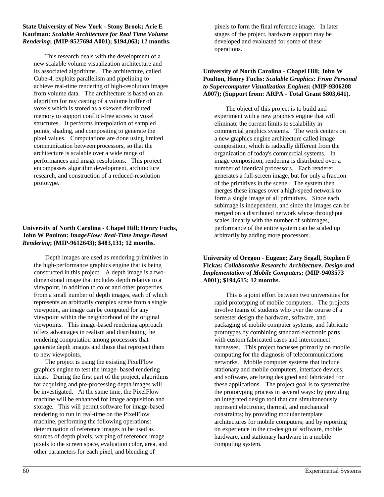#### **State University of New York - Stony Brook; Arie E Kaufman:** *Scalable Architecture for Real Time Volume Rendering***; (MIP-9527694 A001); \$194,063; 12 months.**

This research deals with the development of a new scalable volume visualization architecture and its associated algorithms. The architecture, called Cube-4, exploits parallelism and pipelining to achieve real-time rendering of high-resolution images from volume data. The architecture is based on an algorithm for ray casting of a volume buffer of voxels which is stored as a skewed distributed memory to support conflict-free access to voxel structures. It performs interpolation of sampled points, shading, and compositing to generate the pixel values. Computations are done using limited communication between processors, so that the architecture is scalable over a wide range of performances and image resolutions. This project encompasses algorithm development, architecture research, and construction of a reduced-resolution prototype.

## **University of North Carolina - Chapel Hill; Henry Fuchs, John W Poulton:** *ImageFlow: Real-Time Image-Based Rendering***; (MIP-9612643); \$483,131; 12 months.**

Depth images are used as rendering primitives in the high-performance graphics engine that is being constructed in this project. A depth image is a twodimensional image that includes depth relative to a viewpoint, in addition to color and other properties. From a small number of depth images, each of which represents an arbitrarily complex scene from a single viewpoint, an image can be computed for any viewpoint within the neighborhood of the original viewpoints. This image-based rendering approach offers advantages in realism and distributing the rendering computation among processors that generate depth images and those that reproject them to new viewpoints.

The project is using the existing PixelFlow graphics engine to test the image- based rendering ideas. During the first part of the project, algorithms for acquiring and pre-processing depth images will be investigated. At the same time, the PixelFlow machine will be enhanced for image acquisition and storage. This will permit software for image-based rendering to run in real-time on the PixelFlow machine, performing the following operations: determination of reference images to be used as sources of depth pixels, warping of reference image pixels to the screen space, evaluation color, area, and other parameters for each pixel, and blending of

pixels to form the final reference image. In later stages of the project, hardware support may be developed and evaluated for some of these operations.

## **University of North Carolina - Chapel Hill; John W Poulton, Henry Fuchs:** *Scalable Graphics: From Personal to Supercomputer Visualization Engines***; (MIP-9306208 A007); (Support from: ARPA - Total Grant \$803,641).**

The object of this project is to build and experiment with a new graphics engine that will eliminate the current limits to scalability in commercial graphics systems. The work centers on a new graphics engine architecture called image composition, which is radically different from the organization of today's commercial systems. In image composition, rendering is distributed over a number of identical processors. Each renderer generates a full-screen image, but for only a fraction of the primitives in the scene. The system then merges these images over a high-speed network to form a single image of all primitives. Since each subimage is independent, and since the images can be merged on a distributed network whose throughput scales linearly with the number of subimages, performance of the entire system can be scaled up arbitrarily by adding more processors.

## **University of Oregon - Eugene; Zary Segall, Stephen F Fickas:** *Collaborative Research: Architecture, Design and Implementation of Mobile Computers***; (MIP-9403573 A001); \$194,615; 12 months.**

This is a joint effort between two universities for rapid prototyping of mobile computers. The projects involve teams of students who over the course of a semester design the hardware, software, and packaging of mobile computer systems, and fabricate prototypes by combining standard electronic parts with custom fabricated cases and interconnect harnesses. This project focusses primarily on mobile computing for the diagnosis of telecommunications networks. Mobile computer systems that include stationary and mobile computers, interface devices, and software, are being designed and fabricated for these applications. The project goal is to systematize the prototyping process in several ways: by providing an integrated design tool that can simultaneously represent electronic, thermal, and mechanical constraints; by providing modular template architectures for mobile computers; and by reporting on experience in the co-design of software, mobile hardware, and stationary hardware in a mobile computing system.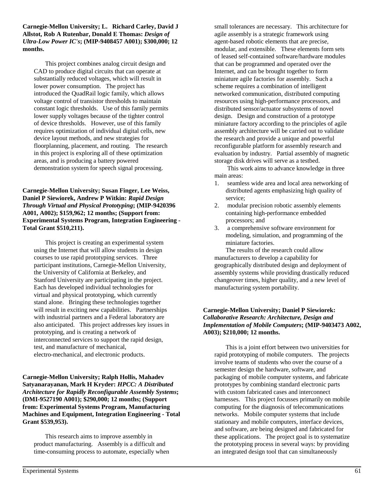**Carnegie-Mellon University; L. Richard Carley, David J Allstot, Rob A Rutenbar, Donald E Thomas:** *Design of Ultra-Low Power IC's***; (MIP-9408457 A001); \$300,000; 12 months.**

This project combines analog circuit design and CAD to produce digital circuits that can operate at substantially reduced voltages, which will result in lower power consumption. The project has introduced the QuadRail logic family, which allows voltage control of transistor thresholds to maintain constant logic thresholds. Use of this family permits lower supply voltages because of the tighter control of device thresholds. However, use of this family requires optimization of individual digital cells, new device layout methods, and new strategies for floorplanning, placement, and routing. The research in this project is exploring all of these optimization areas, and is producing a battery powered demonstration system for speech signal processing.

**Carnegie-Mellon University; Susan Finger, Lee Weiss, Daniel P Siewiorek, Andrew P Witkin:** *Rapid Design Through Virtual and Physical Prototyping***; (MIP-9420396 A001, A002); \$159,962; 12 months; (Support from: Experimental Systems Program, Integration Engineering - Total Grant \$510,211).**

This project is creating an experimental system using the Internet that will allow students in design courses to use rapid prototyping services. Three participant institutions, Carnegie-Mellon University, the University of California at Berkeley, and Stanford University are participating in the project. Each has developed individual technologies for virtual and physical prototyping, which currently stand alone. Bringing these technologies together will result in exciting new capabilities. Partnerships with industrial partners and a Federal laboratory are also anticipated. This project addresses key issues in prototyping, and is creating a network of interconnected services to support the rapid design, test, and manufacture of mechanical, electro-mechanical, and electronic products.

**Carnegie-Mellon University; Ralph Hollis, Mahadev Satyanarayanan, Mark H Kryder:** *HPCC: A Distributed Architecture for Rapidly Reconfigurable Assembly Systems***; (DMI-9527190 A001); \$290,000; 12 months; (Support from: Experimental Systems Program, Manufacturing Machines and Equipment, Integration Engineering - Total Grant \$539,953).**

This research aims to improve assembly in product manufacturing. Assembly is a difficult and time-consuming process to automate, especially when small tolerances are necessary. This architecture for agile assembly is a strategic framework using agent-based robotic elements that are precise, modular, and extensible. These elements form sets of leased self-contained software/hardware modules that can be programmed and operated over the Internet, and can be brought together to form miniature agile factories for assembly. Such a scheme requires a combination of intelligent networked communication, distributed computing resources using high-performance processors, and distributed sensor/actuator subsystems of novel design. Design and construction of a prototype miniature factory according to the principles of agile assembly architecture will be carried out to validate the research and provide a unique and powerful reconfigurable platform for assembly research and evaluation by industry. Partial assembly of magnetic storage disk drives will serve as a testbed.

 This work aims to advance knowledge in three main areas:

- 1. seamless wide area and local area networking of distributed agents emphasizing high quality of service;
- 2. modular precision robotic assembly elements containing high-performance embedded processors; and
- 3. a comprehensive software environment for modeling, simulation, and programming of the miniature factories.

The results of the research could allow manufacturers to develop a capability for geographically distributed design and deployment of assembly systems while providing drastically reduced changeover times, higher quality, and a new level of manufacturing system portability.

## **Carnegie-Mellon University; Daniel P Siewiorek:** *Collaborative Research: Architecture, Design and Implementation of Mobile Computers***; (MIP-9403473 A002, A003); \$210,000; 12 months.**

This is a joint effort between two universities for rapid prototyping of mobile computers. The projects involve teams of students who over the course of a semester design the hardware, software, and packaging of mobile computer systems, and fabricate prototypes by combining standard electronic parts with custom fabricated cases and interconnect harnesses. This project focusses primarily on mobile computing for the diagnosis of telecommunications networks. Mobile computer systems that include stationary and mobile computers, interface devices, and software, are being designed and fabricated for these applications. The project goal is to systematize the prototyping process in several ways: by providing an integrated design tool that can simultaneously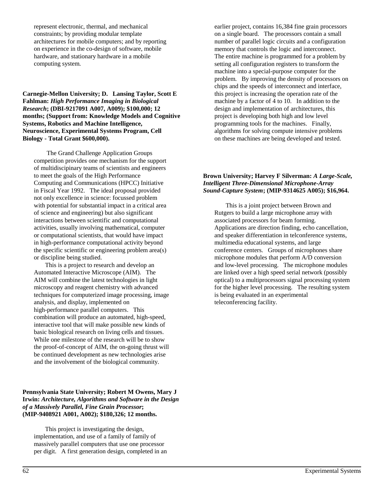represent electronic, thermal, and mechanical constraints; by providing modular template architectures for mobile computers; and by reporting on experience in the co-design of software, mobile hardware, and stationary hardware in a mobile computing system.

**Carnegie-Mellon University; D. Lansing Taylor, Scott E Fahlman:** *High Performance Imaging in Biological Research***; (DBI-9217091 A007, A009); \$100,000; 12 months; (Support from: Knowledge Models and Cognitive Systems, Robotics and Machine Intelligence, Neuroscience, Experimental Systems Program, Cell Biology - Total Grant \$600,000).**

 The Grand Challenge Application Groups competition provides one mechanism for the support of multidiscipinary teams of scientists and engineers to meet the goals of the High Performance Computing and Communications (HPCC) Initiative in Fiscal Year 1992. The ideal proposal provided not only excellence in science: focussed problem with potential for substantial impact in a critical area of science and engineering) but also significant interactions between scientific and computational activities, usually involving mathematical, computer or computational scientists, that would have impact in high-performance computational activity beyond the specific scientific or engineering problem area(s) or discipline being studied.

This is a project to research and develop an Automated Interactive Microscope (AIM). The AIM will combine the latest technologies in light microscopy and reagent chemistry with advanced techniques for computerized image processing, image analysis, and display, implemented on high-performance parallel computers. This combination will produce an automated, high-speed, interactive tool that will make possible new kinds of basic biological research on living cells and tissues. While one milestone of the research will be to show the proof-of-concept of AIM, the on-going thrust will be continued development as new technologies arise and the involvement of the biological community.

## **Pennsylvania State University; Robert M Owens, Mary J Irwin:** *Architecture, Algorithms and Software in the Design of a Massively Parallel, Fine Grain Processor***; (MIP-9408921 A001, A002); \$180,326; 12 months.**

This project is investigating the design, implementation, and use of a family of family of massively parallel computers that use one processor per digit. A first generation design, completed in an earlier project, contains 16,384 fine grain processors on a single board. The processors contain a small number of parallel logic circuits and a configuration memory that controls the logic and interconnect. The entire machine is programmed for a problem by setting all configuration registers to transform the machine into a special-purpose computer for the problem. By improving the density of processors on chips and the speeds of interconnect and interface, this project is increasing the operation rate of the machine by a factor of 4 to 10. In addition to the design and implementation of architectures, this project is developing both high and low level programming tools for the machines. Finally, algorithms for solving compute intensive problems on these machines are being developed and tested.

## **Brown University; Harvey F Silverman:** *A Large-Scale, Intelligent Three-Dimensional Microphone-Array Sound-Capture System***; (MIP-9314625 A005); \$16,964.**

This is a joint project between Brown and Rutgers to build a large microphone array with associated processors for beam forming. Applications are direction finding, echo cancellation, and speaker differentiation in telconference systems, multimedia educational systems, and large conference centers. Groups of microphones share microphone modules that perform A/D conversion and low-level processing. The microphone modules are linked over a high speed serial network (possibly optical) to a multiprocessors signal processing system for the higher level processing. The resulting system is being evaluated in an experimental teleconferencing facility.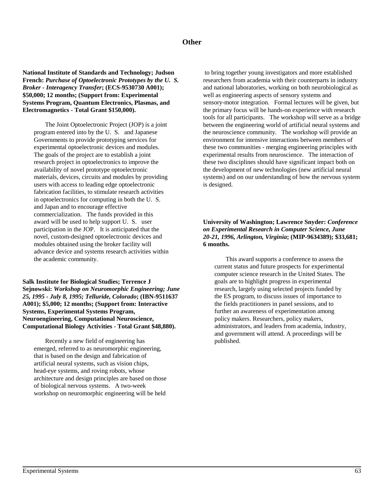## **Other**

**National Institute of Standards and Technology; Judson French:** *Purchase of Optoelectronic Prototypes by the U. S. Broker - Interagency Transfer***; (ECS-9530730 A001); \$50,000; 12 months; (Support from: Experimental Systems Program, Quantum Electronics, Plasmas, and Electromagnetics - Total Grant \$150,000).**

The Joint Optoelectronic Project (JOP) is a joint program entered into by the U. S. and Japanese Governments to provide prototyping services for experimental optoelectronic devices and modules. The goals of the project are to establish a joint research project in optoelectronics to improve the availability of novel prototype optoelectronic materials, devices, circuits and modules by providing users with access to leading edge optoelectronic fabrication facilities, to stimulate research activities in optoelectronics for computing in both the U. S. and Japan and to encourage effective commercialization. The funds provided in this award will be used to help support U. S. user participation in the JOP. It is anticipated that the novel, custom-designed optoelectronic devices and modules obtained using the broker facility will advance device and systems research activities within the academic community.

**Salk Institute for Biological Studies; Terrence J Sejnowski:** *Workshop on Neuromorphic Engineering; June 25, 1995 - July 8, 1995; Telluride, Colorado***; (IBN-9511637 A001); \$5,000; 12 months; (Support from: Interactive Systems, Experimental Systems Program, Neuroengineering, Computational Neuroscience, Computational Biology Activities - Total Grant \$48,880).**

Recently a new field of engineering has emerged, referred to as neuromorphic engineering, that is based on the design and fabrication of artificial neural systems, such as vision chips, head-eye systems, and roving robots, whose architecture and design principles are based on those of biological nervous systems. A two-week workshop on neuromorphic engineering will be held

 to bring together young investigators and more established researchers from academia with their counterparts in industry and national laboratories, working on both neurobiological as well as engineering aspects of sensory systems and sensory-motor integration. Formal lectures will be given, but the primary focus will be hands-on experience with research tools for all participants. The workshop will serve as a bridge between the engineering world of artificial neural systems and the neuroscience community. The workshop will provide an environment for intensive interactions between members of these two communities - merging engineering principles with experimental results from neuroscience. The interaction of these two disciplines should have significant impact both on the development of new technologies (new artificial neural systems) and on our understanding of how the nervous system is designed.

#### **University of Washington; Lawrence Snyder:** *Conference on Experimental Research in Computer Science, June 20-21, 1996, Arlington, Virginia***; (MIP-9634389); \$33,681; 6 months.**

This award supports a conference to assess the current status and future prospects for experimental computer science research in the United States. The goals are to highlight progress in experimental research, largely using selected projects funded by the ES program, to discuss issues of importance to the fields practitioners in panel sessions, and to further an awareness of experimentation among policy makers. Researchers, policy makers, administrators, and leaders from academia, industry, and government will attend. A proceedings will be published.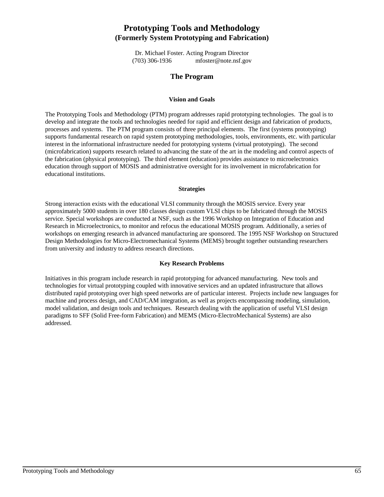# **Prototyping Tools and Methodology (Formerly System Prototyping and Fabrication)**

Dr. Michael Foster. Acting Program Director (703) 306-1936 mfoster@note.nsf.gov

## **The Program**

#### **Vision and Goals**

The Prototyping Tools and Methodology (PTM) program addresses rapid prototyping technologies. The goal is to develop and integrate the tools and technologies needed for rapid and efficient design and fabrication of products, processes and systems. The PTM program consists of three principal elements. The first (systems prototyping) supports fundamental research on rapid system prototyping methodologies, tools, environments, etc. with particular interest in the informational infrastructure needed for prototyping systems (virtual prototyping). The second (microfabrication) supports research related to advancing the state of the art in the modeling and control aspects of the fabrication (physical prototyping). The third element (education) provides assistance to microelectronics education through support of MOSIS and administrative oversight for its involvement in microfabrication for educational institutions.

#### **Strategies**

Strong interaction exists with the educational VLSI community through the MOSIS service. Every year approximately 5000 students in over 180 classes design custom VLSI chips to be fabricated through the MOSIS service. Special workshops are conducted at NSF, such as the 1996 Workshop on Integration of Education and Research in Microelectronics, to monitor and refocus the educational MOSIS program. Additionally, a series of workshops on emerging research in advanced manufacturing are sponsored. The 1995 NSF Workshop on Structured Design Methodologies for Micro-Electromechanical Systems (MEMS) brought together outstanding researchers from university and industry to address research directions.

#### **Key Research Problems**

Initiatives in this program include research in rapid prototyping for advanced manufacturing. New tools and technologies for virtual prototyping coupled with innovative services and an updated infrastructure that allows distributed rapid prototyping over high speed networks are of particular interest. Projects include new languages for machine and process design, and CAD/CAM integration, as well as projects encompassing modeling, simulation, model validation, and design tools and techniques. Research dealing with the application of useful VLSI design paradigms to SFF (Solid Free-form Fabrication) and MEMS (Micro-ElectroMechanical Systems) are also addressed.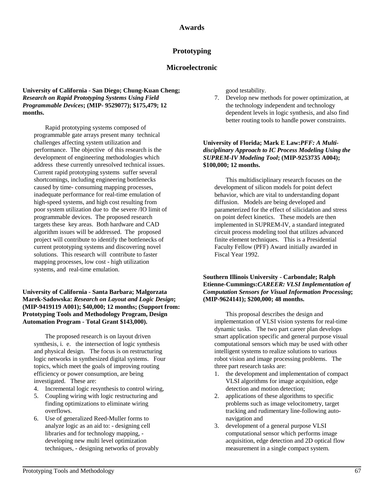## **Prototyping**

## **Microelectronic**

**University of California - San Diego; Chung-Kuan Cheng;**  *Research on Rapid Prototyping Systems Using Field Programmable Devices***; (MIP- 9529077); \$175,479; 12 months.**

Rapid prototyping systems composed of programmable gate arrays present many technical challenges affecting system utilization and performance. The objective of this research is the development of engineering methodologies which address these currently unresolved technical issues. Current rapid prototyping systems suffer several shortcomings, including engineering bottlenecks caused by time- consuming mapping processes, inadequate performance for real-time emulation of high-speed systems, and high cost resulting from poor system utilization due to the severe /IO limit of programmable devices. The proposed research targets these key areas. Both hardware and CAD algorithm issues will be addressed. The proposed project will contribute to identify the bottlenecks of current prototyping systems and discovering novel solutions. This research will contribute to faster mapping processes, low cost - high utilization systems, and real-time emulation.

#### **University of California - Santa Barbara; Malgorzata Marek-Sadowska:** *Research on Layout and Logic Design***; (MIP-9419119 A001); \$40,000; 12 months; (Support from: Prototyping Tools and Methodology Program, Design Automation Program - Total Grant \$143,000).**

The proposed research is on layout driven synthesis, i. e. the intersection of logic synthesis and physical design. The focus is on restructuring logic networks in synthesized digital systems. Four topics, which meet the goals of improving routing efficiency or power consumption, are being investigated. These are:

- 4. Incremental logic resynthesis to control wiring,
- 5. Coupling wiring with logic restructuring and finding optimizations to eliminate wiring overflows.
- 6. Use of generalized Reed-Muller forms to analyze logic as an aid to: - designing cell libraries and for technology mapping, developing new multi level optimization techniques, - designing networks of provably

good testability.

7. Develop new methods for power optimization, at the technology independent and technology dependent levels in logic synthesis, and also find better routing tools to handle power constraints.

#### **University of Florida; Mark E Law:***PFF: A Multidisciplinary Approach to IC Process Modeling Using the SUPREM-IV Modeling Tool***; (MIP-9253735 A004); \$100,000; 12 months.**

This multidisciplinary research focuses on the development of silicon models for point defect behavior, which are vital to understanding dopant diffusion. Models are being developed and parameterized for the effect of silicidation and stress on point defect kinetics. These models are then implemented in SUPREM-IV, a standard integrated circuit process modeling tool that utilizes advanced finite element techniques. This is a Presidential Faculty Fellow (PFF) Award initially awarded in Fiscal Year 1992.

### **Southern Illinois University - Carbondale; Ralph Etienne-Cummings:***CAREER: VLSI Implementation of Computation Sensors for Visual Information Processing***; (MIP-9624141); \$200,000; 48 months.**

This proposal describes the design and implementation of VLSI vision systems for real-time dynamic tasks. The two part career plan develops smart application specific and general purpose visual computational sensors which may be used with other intelligent systems to realize solutions to various robot vision and image processing problems. The three part research tasks are:

- 1. the development and implementation of compact VLSI algorithms for image acquisition, edge detection and motion detection;
- 2. applications of these algorithms to specific problems such as image velocitometry, target tracking and rudimentary line-following autonavigation and
- 3. development of a general purpose VLSI computational sensor which performs image acquisition, edge detection and 2D optical flow measurement in a single compact system.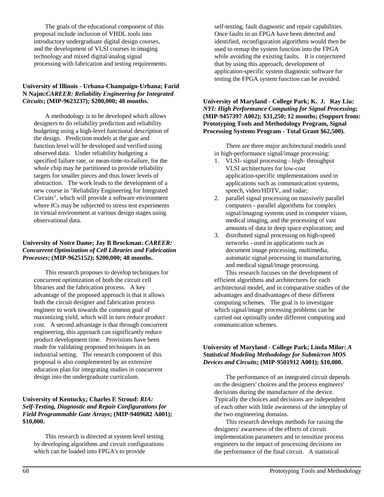The goals of the educational component of this proposal include inclusion of VHDL tools into introductory undergraduate digital design courses, and the development of VLSI courses in imaging technology and mixed digital/analog signal processing with fabrication and testing requirements.

### **University of Illinois - Urbana-Champaign-Urbana; Farid N Najm:***CAREER: Reliability Engineering for Integrated Circuits***; (MIP-9623237); \$200,000; 48 months.**

A methodology is to be developed which allows designers to do reliability prediction and reliability budgeting using a high-level functional description of the design. Prediction models at the gate and function level will be developed and verified using observed data. Under reliability budgeting a specified failure rate, or mean-time-to-failure, for the whole chip may be partitioned to provide reliability targets for smaller pieces and thus lower levels of abstraction. The work leads to the development of a new course in "Reliability Engineering for Integrated Circuits", which will provide a software environment where ICs may be subjected to stress test experiments in virtual environment at various design stages using observational data.

## **University of Notre Dame; Jay B Brockman:** *CAREER: Concurrent Optimization of Cell Libraries and Fabrication Processes***; (MIP-9625152); \$200,000; 48 months.**

This research proposes to develop techniques for concurrent optimization of both the circuit cell libraries and the fabrication process. A key advantage of the proposed approach is that it allows both the circuit designer and fabrication process engineer to work towards the common goal of maximizing yield, which will in turn reduce product cost. A second advantage is that through concurrent engineering, this approach can significantly reduce product development time. Provisions have been made for validating proposed techniques in an industrial setting. The research component of this proposal is also complemented by an extensive education plan for integrating studies in concurrent design into the undergraduate curriculum.

## **University of Kentucky; Charles E Stroud:** *RIA: Self-Testing, Diagnostic and Repair Configurations for Field Programmable Gate Arrays***; (MIP-9409682 A001); \$10,000.**

This research is directed at system level testing by developing algorithms and circuit configurations which can be loaded into FPGA's to provide

self-testing, fault diagnostic and repair capabilities. Once faults in an FPGA have been detected and identified, reconfiguration algorithms would then be used to remap the system function into the FPGA while avoiding the existing faults. It is conjectured that by using this approach, development of application-specific system diagnostic software for testing the FPGA system function can be avoided.

#### **University of Maryland - College Park; K. J. Ray Liu:** *NYI: High Performance Computing for Signal Processing***; (MIP-9457397 A002); \$31,250; 12 months; (Support from: Prototyping Tools and Methodology Program, Signal Processing Systems Program - Total Grant \$62,500).**

There are three major architectural models used in high-performance signal/image processing:

- 1. VLSI- signal processing high- throughput VLSI architectures for low-cost application-specific implementations used in applications such as communication systems, speech, video/HDTV, and radar;
- 2. parallel signal processing on massively parallel computers - parallel algorithms for complex signal/imaging systems used in computer vision, medical imaging, and the processing of vast amounts of data in deep space exploration; and
- 3. distributed signal processing on high-speed networks - used in applications such as document image processing, multimedia, automatic signal processing in manufacturing, and medical signal/image processing.

This research focuses on the development of efficient algorithms and architectures for each architectural model, and in comparative studies of the advantages and disadvantages of these different computing schemes. The goal is to investigate which signal/image processing problems can be carried out optimally under different computing and communication schemes.

#### **University of Maryland - College Park; Linda Milor:** *A Statistical Modeling Methodology for Submicron MOS Devices and Circuits***; (MIP-9501912 A001); \$10,000.**

The performance of an integrated circuit depends on the designers' choices and the process engineers' decisions during the manufacture of the device. Typically the choices and decisions are independent of each other with little awareness of the interplay of the two engineering domains.

This research develops methods for raising the designers' awareness of the effects of circuit implementation parameters and to sensitize process engineers to the impact of processing decisions on the performance of the final circuit. A statistical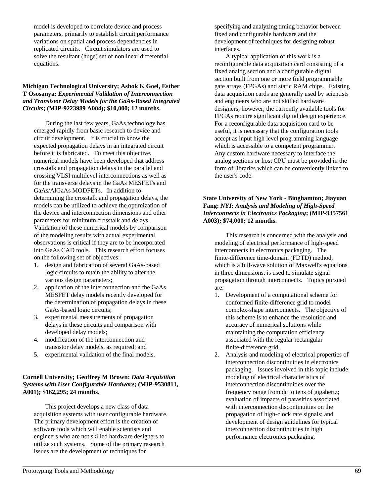model is developed to correlate device and process parameters, primarily to establish circuit performance variations on spatial and process dependencies in replicated circuits. Circuit simulators are used to solve the resultant (huge) set of nonlinear differential equations.

#### **Michigan Technological University; Ashok K Goel, Esther T Ososanya:** *Experimental Validation of Interconnection and Transistor Delay Models for the GaAs-Based Integrated Circuits***; (MIP-9223989 A004); \$10,000; 12 months.**

During the last few years, GaAs technology has emerged rapidly from basic research to device and circuit development. It is crucial to know the expected propagation delays in an integrated circuit before it is fabricated. To meet this objective, numerical models have been developed that address crosstalk and propagation delays in the parallel and crossing VLSI multilevel interconnections as well as for the transverse delays in the GaAs MESFETs and GaAs/AlGaAs MODFETs. In addition to determining the crosstalk and propagation delays, the models can be utilized to achieve the optimization of the device and interconnection dimensions and other parameters for minimum crosstalk and delays. Validation of these numerical models by comparison of the modeling results with actual experimental observations is critical if they are to be incorporated into GaAs CAD tools. This research effort focuses on the following set of objectives:

- 1. design and fabrication of several GaAs-based logic circuits to retain the ability to alter the various design parameters;
- 2. application of the interconnection and the GaAs MESFET delay models recently developed for the determination of propagation delays in these GaAs-based logic circuits;
- 3. experimental measurements of propagation delays in these circuits and comparison with developed delay models;
- 4. modification of the interconnection and transistor delay models, as required; and
- 5. experimental validation of the final models.

## **Cornell University; Geoffrey M Brown:** *Data Acquisition Systems with User Configurable Hardware***; (MIP-9530811, A001); \$162,295; 24 months.**

This project develops a new class of data acquisition systems with user configurable hardware. The primary development effort is the creation of software tools which will enable scientists and engineers who are not skilled hardware designers to utilize such systems. Some of the primary research issues are the development of techniques for

specifying and analyzing timing behavior between fixed and configurable hardware and the development of techniques for designing robust interfaces.

A typical application of this work is a reconfigurable data acquisition card consisting of a fixed analog section and a configurable digital section built from one or more field programmable gate arrays (FPGAs) and static RAM chips. Existing data acquisition cards are generally used by scientists and engineers who are not skilled hardware designers; however, the currently available tools for FPGAs require significant digital design experience. For a reconfigurable data acquisition card to be useful, it is necessary that the configuration tools accept as input high level programming language which is accessible to a competent programmer. Any custom hardware necessary to interface the analog sections or host CPU must be provided in the form of libraries which can be conveniently linked to the user's code.

## **State University of New York - Binghamton; Jiayuan Fang:** *NYI: Analysis and Modeling of High-Speed Interconnects in Electronics Packaging***; (MIP-9357561 A003); \$74,000; 12 months.**

This research is concerned with the analysis and modeling of electrical performance of high-speed interconnects in electronics packaging. The finite-difference time-domain (FDTD) method, which is a full-wave solution of Maxwell's equations in three dimensions, is used to simulate signal propagation through interconnects. Topics pursued are:

- 1. Development of a computational scheme for conformed finite-difference grid to model complex-shape interconnects. The objective of this scheme is to enhance the resolution and accuracy of numerical solutions while maintaining the computation efficiency associated with the regular rectangular finite-difference grid.
- 2. Analysis and modeling of electrical properties of interconnection discontinuities in electronics packaging. Issues involved in this topic include: modeling of electrical characteristics of interconnection discontinuities over the frequency range from dc to tens of gigahertz; evaluation of impacts of parasitics associated with interconnection discontinuities on the propagation of high-clock rate signals; and development of design guidelines for typical interconnection discontinuities in high performance electronics packaging.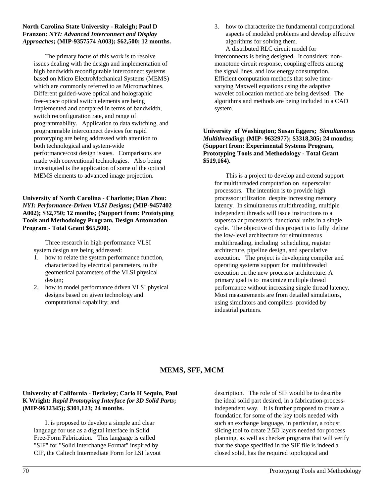#### **North Carolina State University - Raleigh; Paul D Franzon:** *NYI: Advanced Interconnect and Display Approaches***; (MIP-9357574 A003); \$62,500; 12 months.**

The primary focus of this work is to resolve issues dealing with the design and implementation of high bandwidth reconfigurable interconnect systems based on Micro ElectroMechanical Systems (MEMS) which are commonly referred to as Micromachines. Different guided-wave optical and holographic free-space optical switch elements are being implemented and compared in terms of bandwidth, switch reconfiguration rate, and range of programmability. Application to data switching, and programmable interconnect devices for rapid prototyping are being addressed with attention to both technological and system-wide performance/cost design issues. Comparisons are made with conventional technologies. Also being investigated is the application of some of the optical MEMS elements to advanced image projection.

## **University of North Carolina - Charlotte; Dian Zhou:** *NYI: Performance-Driven VLSI Designs***; (MIP-9457402 A002); \$32,750; 12 months; (Support from: Prototyping Tools and Methodology Program, Design Automation Program - Total Grant \$65,500).**

Three research in high-performance VLSI system design are being addressed:

- 1. how to relate the system performance function, characterized by electrical parameters, to the geometrical parameters of the VLSI physical design;
- 2. how to model performance driven VLSI physical designs based on given technology and computational capability; and

3. how to characterize the fundamental computational aspects of modeled problems and develop effective algorithms for solving them.

A distributed RLC circuit model for interconnects is being designed. It considers: nonmonotone circuit response, coupling effects among the signal lines, and low energy consumption. Efficient computation methods that solve timevarying Maxwell equations using the adaptive wavelet collocation method are being devised. The algorithms and methods are being included in a CAD system.

#### **University of Washington; Susan Eggers;** *Simultaneous Multithreading***; (MIP- 9632977); \$3318,305; 24 months; (Support from: Experimental Systems Program, Prototyping Tools and Methodology - Total Grant \$519,164).**

This is a project to develop and extend support for multithreaded computation on superscalar processors. The intention is to provide high processor utilization despite increasing memory latency. In simultaneous multithreading, multiple independent threads will issue instructions to a superscalar processor's functional units in a single cycle. The objective of this project is to fully define the low-level architecture for simultaneous multithreading, including scheduling, register architecture, pipeline design, and speculative execution. The project is developing compiler and operating systems support for multithreaded execution on the new processor architecture. A primary goal is to maximize multiple thread performance without increasing single thread latency. Most measurements are from detailed simulations, using simulators and compilers provided by industrial partners.

# **MEMS, SFF, MCM**

## **University of California - Berkeley; Carlo H Sequin, Paul K Wright:** *Rapid Prototyping Interface for 3D Solid Parts***; (MIP-9632345); \$301,123; 24 months.**

It is proposed to develop a simple and clear language for use as a digital interface in Solid Free-Form Fabrication. This language is called "SIF" for "Solid Interchange Format" inspired by CIF, the Caltech Intermediate Form for LSI layout description. The role of SIF would be to describe the ideal solid part desired, in a fabrication-processindependent way. It is further proposed to create a foundation for some of the key tools needed with such an exchange language, in particular, a robust slicing tool to create 2.5D layers needed for process planning, as well as checker programs that will verify that the shape specified in the SIF file is indeed a closed solid, has the required topological and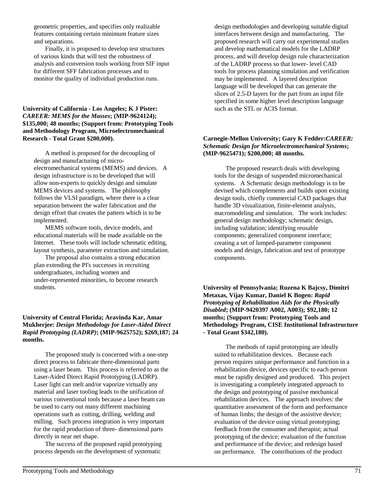geometric properties, and specifies only realizable features containing certain minimum feature sizes and separations.

Finally, it is proposed to develop test structures of various kinds that will test the robustness of analysis and conversion tools working from SIF input for different SFF fabrication processes and to monitor the quality of individual production runs.

#### **University of California - Los Angeles; K J Pister:** *CAREER: MEMS for the Masses***; (MIP-9624124); \$135,000; 48 months; (Support from: Prototyping Tools and Methodology Program, Microelectromechanical Research - Total Grant \$200,000).**

A method is proposed for the decoupling of design and manufacturing of microelectromechanical systems (MEMS) and devices. A design infrastructure is to be developed that will allow non-experts to quickly design and simulate MEMS devices and systems. The philosophy follows the VLSI paradigm, where there is a clear separation between the wafer fabrication and the design effort that creates the pattern which is to be implemented.

MEMS software tools, device models, and educational materials will be made available on the Internet. These tools will include schematic editing, layout synthesis, parameter extraction and simulation.

The proposal also contains a strong education plan extending the PI's successes in recruiting undergraduates, including women and under-represented minorities, to become research students.

#### **University of Central Florida; Aravinda Kar, Amar Mukherjee:** *Design Methodology for Laser-Aided Direct Rapid Prototyping (LADRP)***; (MIP-9625752); \$269,187; 24 months.**

The proposed study is concerned with a one-step direct process to fabricate three-dimensional parts using a laser beam. This process is referred to as the Laser-Aided Direct Rapid Prototyping (LADRP). Laser light can melt and/or vaporize virtually any material and laser tooling leads to the unification of various conventional tools because a laser beam can be used to carry out many different machining operations such as cutting, drilling, welding and milling. Such process integration is very important for the rapid production of three- dimensional parts directly in near net shape.

The success of the proposed rapid prototyping process depends on the development of systematic

design methodologies and developing suitable digital interfaces between design and manufacturing. The proposed research will carry out experimental studies and develop mathematical models for the LADRP process, and will develop design rule characterization of the LADRP process so that lower- level CAD tools for process planning simulation and verification may be implemented. A layered description language will be developed that can generate the slices of 2.5-D layers for the part from an input file specified in some higher level description language such as the STL or ACIS format.

#### **Carnegie-Mellon University; Gary K Fedder:***CAREER: Schematic Design for Microelectromechanical Systems***; (MIP-9625471); \$200,000; 48 months.**

The proposed research deals with developing tools for the design of suspended micromechanical systems. A Schematic design methodology is to be devised which complements and builds upon existing design tools, chiefly commercial CAD packages that handle 3D visualization, finite-element analysis, macromodeling and simulation. The work includes: general design methodology; schematic design, including validation; identifying reusable components; generalized component interface; creating a set of lumped-parameter component models and design, fabrication and test of prototype components.

**University of Pennsylvania; Ruzena K Bajcsy, Dimitri Metaxas, Vijay Kumar, Daniel K Bogen:** *Rapid Prototyping of Rehabilitation Aids for the Physically Disabled***; (MIP-9420397 A002, A003); \$92,180; 12 months; (Support from: Prototyping Tools and Methodology Program, CISE Institutional Infrastructure - Total Grant \$342,180).**

The methods of rapid prototyping are ideally suited to rehabilitation devices. Because each person requires unique performance and function in a rehabilitation device, devices specific to each person must be rapidly designed and produced. This project is investigating a completely integrated approach to the design and prototyping of passive mechanical rehabilitation devices. The approach involves: the quantitative assessment of the form and performance of human limbs; the design of the assistive device; evaluation of the device using virtual prototyping; feedback from the consumer and therapist; actual prototyping of the device; evaluation of the function and performance of the device; and redesign based on performance. The contributions of the product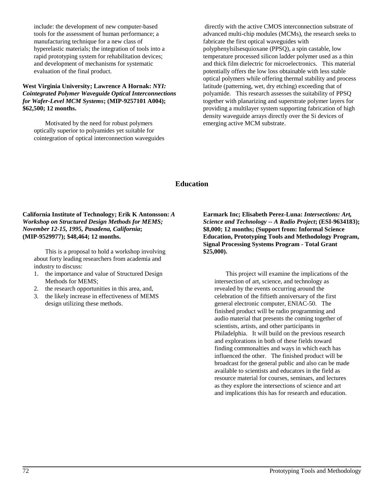include: the development of new computer-based tools for the assessment of human performance; a manufacturing technique for a new class of hyperelastic materials; the integration of tools into a rapid prototyping system for rehabilitation devices; and development of mechanisms for systematic evaluation of the final product.

#### **West Virginia University; Lawrence A Hornak:** *NYI: Cointegrated Polymer Waveguide Optical Interconnections for Wafer-Level MCM Systems***; (MIP-9257101 A004); \$62,500; 12 months.**

Motivated by the need for robust polymers optically superior to polyamides yet suitable for cointegration of optical interconnection waveguides

 directly with the active CMOS interconnection substrate of advanced multi-chip modules (MCMs), the research seeks to fabricate the first optical waveguides with polyphenylsilsesquioxane (PPSQ), a spin castable, low temperature processed silicon ladder polymer used as a thin and thick film dielectric for microelectronics. This material potentially offers the low loss obtainable with less stable optical polymers while offering thermal stability and process latitude (patterning, wet, dry etching) exceeding that of polyamide. This research assesses the suitability of PPSQ together with planarizing and superstrate polymer layers for providing a multilayer system supporting fabrication of high density waveguide arrays directly over the Si devices of emerging active MCM substrate.

#### **Education**

**California Institute of Technology; Erik K Antonsson:** *A Workshop on Structured Design Methods for MEMS; November 12-15, 1995, Pasadena, California***; (MIP-9529977); \$48,464; 12 months.**

This is a proposal to hold a workshop involving about forty leading researchers from academia and industry to discuss:

- 1. the importance and value of Structured Design Methods for MEMS;
- 2. the research opportunities in this area, and,
- 3. the likely increase in effectiveness of MEMS design utilizing these methods.

**Earmark Inc; Elisabeth Perez-Luna:** *Intersections: Art, Science and Technology -- A Radio Project***; (ESI-9634183); \$8,000; 12 months; (Support from: Informal Science Education, Prototyping Tools and Methodology Program, Signal Processing Systems Program - Total Grant \$25,000).**

This project will examine the implications of the intersection of art, science, and technology as revealed by the events occurring around the celebration of the fiftieth anniversary of the first general electronic computer, ENIAC-50. The finished product will be radio programming and audio material that presents the coming together of scientists, artists, and other participants in Philadelphia. It will build on the previous research and explorations in both of these fields toward finding commonalties and ways in which each has influenced the other. The finished product will be broadcast for the general public and also can be made available to scientists and educators in the field as resource material for courses, seminars, and lectures as they explore the intersections of science and art and implications this has for research and education.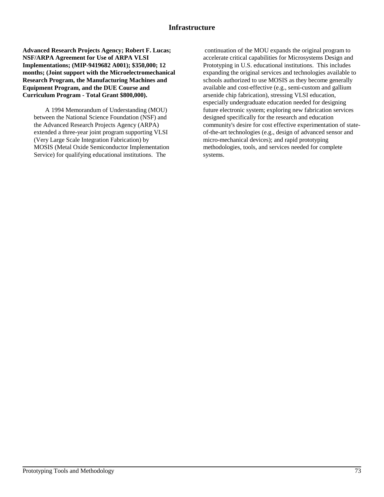#### **Infrastructure**

**Advanced Research Projects Agency; Robert F. Lucas; NSF/ARPA Agreement for Use of ARPA VLSI Implementations; (MIP-9419682 A001); \$350,000; 12 months; (Joint support with the Microelectromechanical Research Program, the Manufacturing Machines and Equipment Program, and the DUE Course and Curriculum Program - Total Grant \$800,000).**

A 1994 Memorandum of Understanding (MOU) between the National Science Foundation (NSF) and the Advanced Research Projects Agency (ARPA) extended a three-year joint program supporting VLSI (Very Large Scale Integration Fabrication) by MOSIS (Metal Oxide Semiconductor Implementation Service) for qualifying educational institutions. The

 continuation of the MOU expands the original program to accelerate critical capabilities for Microsystems Design and Prototyping in U.S. educational institutions. This includes expanding the original services and technologies available to schools authorized to use MOSIS as they become generally available and cost-effective (e.g., semi-custom and gallium arsenide chip fabrication), stressing VLSI education, especially undergraduate education needed for designing future electronic system; exploring new fabrication services designed specifically for the research and education community's desire for cost effective experimentation of stateof-the-art technologies (e.g., design of advanced sensor and micro-mechanical devices); and rapid prototyping methodologies, tools, and services needed for complete systems.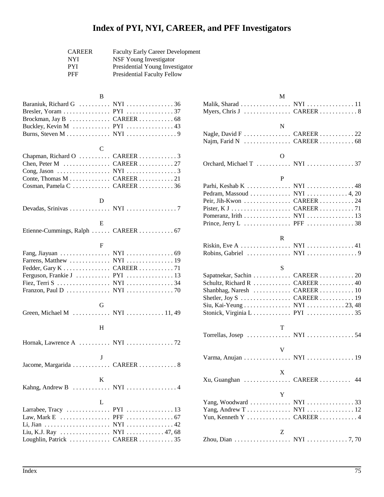# **Index of PYI, NYI, CAREER, and PFF Investigators**

| <b>CAREER</b> | <b>Faculty Early Career Development</b> |
|---------------|-----------------------------------------|
| <b>NYI</b>    | NSF Young Investigator                  |
| <b>PYI</b>    | Presidential Young Investigator         |
| <b>PFF</b>    | <b>Presidential Faculty Fellow</b>      |

| Baraniuk, Richard G  NYI  36<br>Brockman, Jay B  CAREER  68<br>Buckley, Kevin M  PYI  43<br>Burns, Steven M NYI 9     | B |  |
|-----------------------------------------------------------------------------------------------------------------------|---|--|
| Chapman, Richard O  CAREER  3<br>Chen, Peter M  CAREER 27<br>Conte, Thomas M CAREER 21<br>Cosman, Pamela C  CAREER 36 |   |  |
|                                                                                                                       | D |  |
| Etienne-Cummings, Ralph  CAREER  67                                                                                   | E |  |
| Farrens, Matthew  NYI  19<br>Fiez, Terri S NYI 34<br>Franzon, Paul D NYI 70                                           | F |  |
| Green, Michael M  NYI  11, 49                                                                                         | G |  |
|                                                                                                                       | H |  |
|                                                                                                                       |   |  |
| Jacome, Margarida  CAREER  8                                                                                          | J |  |
|                                                                                                                       | K |  |
| Larrabee, Tracy PYI 13<br>Liu, K.J. Ray  NYI  47, 68                                                                  | L |  |

Loughlin, Patrick . . . . . . . . . . . . . CAREER . . . . . . . . . . . 35

| М                                           |             |
|---------------------------------------------|-------------|
| Malik, Sharad NYI 11                        |             |
| N                                           |             |
| Nagle, David F  CAREER 22                   |             |
| Ω                                           |             |
|                                             |             |
| P                                           |             |
| Parhi, Keshab K  NYI  48                    |             |
| Pedram, Massoud NYI 4, 20<br>Peir, Jih-Kwon | $CAREER$ 24 |
|                                             |             |
| Pomeranz, Irith NYI 13                      |             |
|                                             |             |
| R                                           |             |
| Riskin, Eve A NYI $\ldots$ 41               |             |
|                                             |             |
| S                                           |             |
| Sapatnekar, Sachin  CAREER  20              |             |
| Schultz, Richard R  CAREER  40              |             |
| Shanbhag, Naresh                            | $CAREER$ 10 |
| Shetler, Joy $S$                            | CAREER 19   |
| Siu, Kai-Yeung NYI 23, 48                   |             |
|                                             |             |
| Т                                           |             |
| Torrellas, Josep  NYI 54                    |             |
| V                                           |             |
| Varma, Anujan NYI 19                        |             |
| X                                           |             |
| Xu, Guanghan  CAREER                        | 44          |
| Y                                           |             |
| Yang, Woodward  NYI 33                      |             |
| Yang, Andrew T NYI  12                      |             |
| Yun, Kenneth Y  CAREER  4                   |             |
| Z                                           |             |
|                                             |             |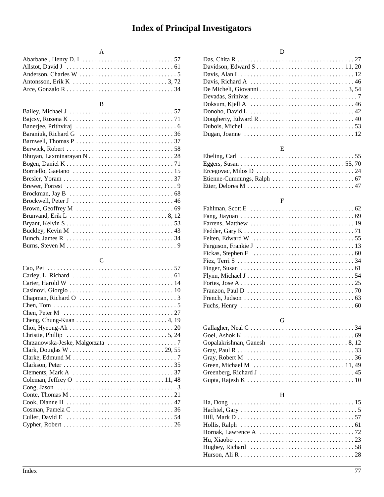# **Index of Principal Investigators**

### A

### B

# C

| Chen, Tom $\dots \dots \dots \dots \dots \dots \dots \dots \dots \dots \dots \dots \dots$       |
|-------------------------------------------------------------------------------------------------|
| Chen, Peter M $\ldots \ldots \ldots \ldots \ldots \ldots \ldots \ldots \ldots \ldots \ldots 27$ |
|                                                                                                 |
| Choi, Hyeong-Ah $\dots\dots\dots\dots\dots\dots\dots\dots\dots\dots\dots\dots$                  |
| Christie, Phillip $\dots \dots \dots \dots \dots \dots \dots \dots \dots \dots \dots 5, 24$     |
|                                                                                                 |
|                                                                                                 |
|                                                                                                 |
|                                                                                                 |
| Clements, Mark A $\ldots \ldots \ldots \ldots \ldots \ldots \ldots \ldots \ldots \ldots$ 37     |
|                                                                                                 |
| Cong, Jason $\dots \dots \dots \dots \dots \dots \dots \dots \dots \dots \dots \dots \dots$     |
|                                                                                                 |
|                                                                                                 |
|                                                                                                 |
|                                                                                                 |
|                                                                                                 |

# D

### E

| Ebeling, Carl $\dots\dots\dots\dots\dots\dots\dots\dots\dots\dots\dots\dots\dots$    |  |
|--------------------------------------------------------------------------------------|--|
|                                                                                      |  |
|                                                                                      |  |
| Etienne-Cummings, Ralph $\ldots \ldots \ldots \ldots \ldots \ldots \ldots \ldots$ 67 |  |
|                                                                                      |  |

### F

# G

| Gallagher, Neal $C \ldots \ldots \ldots \ldots \ldots \ldots \ldots \ldots \ldots \ldots \ldots$ |  |
|--------------------------------------------------------------------------------------------------|--|
|                                                                                                  |  |
|                                                                                                  |  |
|                                                                                                  |  |
| Gray, Robert M $\ldots \ldots \ldots \ldots \ldots \ldots \ldots \ldots \ldots \ldots \ldots 36$ |  |
|                                                                                                  |  |
|                                                                                                  |  |
|                                                                                                  |  |

# H

| Hollis, Ralph $\ldots \ldots \ldots \ldots \ldots \ldots \ldots \ldots \ldots \ldots \ldots \ldots$ |
|-----------------------------------------------------------------------------------------------------|
| Hornak, Lawrence A $\ldots \ldots \ldots \ldots \ldots \ldots \ldots \ldots \ldots \ldots$          |
|                                                                                                     |
| Hughey, Richard $\ldots \ldots \ldots \ldots \ldots \ldots \ldots \ldots \ldots \ldots \ldots$      |
|                                                                                                     |
|                                                                                                     |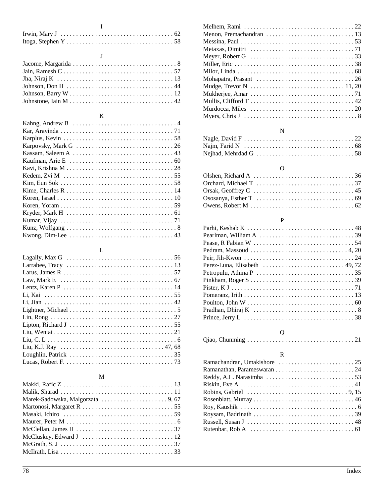#### $\overline{I}$

 $\mathbf{J}$ 

| Jain, Ramesh $C \ldots \ldots \ldots \ldots \ldots \ldots \ldots \ldots \ldots \ldots \ldots 57$ |
|--------------------------------------------------------------------------------------------------|
|                                                                                                  |
|                                                                                                  |
|                                                                                                  |
|                                                                                                  |

### $\rm K$

| Kahng, Andrew B $\ldots \ldots \ldots \ldots \ldots \ldots \ldots \ldots \ldots \ldots$ |
|-----------------------------------------------------------------------------------------|
|                                                                                         |
|                                                                                         |
|                                                                                         |
|                                                                                         |
|                                                                                         |
|                                                                                         |
| Kedem, Zvi M $\dots\dots\dots\dots\dots\dots\dots\dots\dots\dots\dots\dots\dots$        |
|                                                                                         |
|                                                                                         |
|                                                                                         |
|                                                                                         |
|                                                                                         |
|                                                                                         |
|                                                                                         |
|                                                                                         |

## $\mathbf L$

| Lagally, Max G $\ldots \ldots \ldots \ldots \ldots \ldots \ldots \ldots \ldots \ldots \ldots 56$ |
|--------------------------------------------------------------------------------------------------|
|                                                                                                  |
|                                                                                                  |
|                                                                                                  |
|                                                                                                  |
|                                                                                                  |
|                                                                                                  |
|                                                                                                  |
|                                                                                                  |
|                                                                                                  |
|                                                                                                  |
|                                                                                                  |
|                                                                                                  |
|                                                                                                  |
|                                                                                                  |

#### $\mathbf{M}$

| McCluskey, Edward J $\ldots \ldots \ldots \ldots \ldots \ldots \ldots \ldots \ldots 12$ |
|-----------------------------------------------------------------------------------------|
|                                                                                         |
|                                                                                         |
|                                                                                         |

| Mudge, Trevor N $\dots \dots \dots \dots \dots \dots \dots \dots \dots \dots \dots \dots 11, 20$   |  |
|----------------------------------------------------------------------------------------------------|--|
|                                                                                                    |  |
|                                                                                                    |  |
| Murdocca, Miles $\dots \dots \dots \dots \dots \dots \dots \dots \dots \dots \dots \dots \dots 20$ |  |
| Myers, Chris J $\ldots \ldots \ldots \ldots \ldots \ldots \ldots \ldots \ldots \ldots \ldots 8$    |  |

## $\overline{N}$

| $\mathbf{N}$ eihad $\mathbf{M}$ ehrdad G $\mathbf{N}$ |  |  |  |  |  |  |  |  |  |  |  |
|-------------------------------------------------------|--|--|--|--|--|--|--|--|--|--|--|

# $\overline{O}$

| Ososanya, Esther T $\ldots \ldots \ldots \ldots \ldots \ldots \ldots \ldots \ldots$ . 69 |
|------------------------------------------------------------------------------------------|
|                                                                                          |

#### $\, {\bf P}$

| Pearlman, William A $\ldots \ldots \ldots \ldots \ldots \ldots \ldots \ldots \ldots \ldots$      |
|--------------------------------------------------------------------------------------------------|
|                                                                                                  |
| Pedram, Massoud $\ldots \ldots \ldots \ldots \ldots \ldots \ldots \ldots \ldots$ . 4, 20         |
|                                                                                                  |
| Perez-Luna, Elisabeth $\ldots \ldots \ldots \ldots \ldots \ldots \ldots \ldots$ . 49, 72         |
|                                                                                                  |
|                                                                                                  |
|                                                                                                  |
|                                                                                                  |
|                                                                                                  |
| Pradhan, Dhiraj K $\ldots \ldots \ldots \ldots \ldots \ldots \ldots \ldots \ldots \ldots \ldots$ |
|                                                                                                  |
| Q                                                                                                |
|                                                                                                  |

### $\bar{\textbf{R}}$

| Robins, Gabriel $\ldots \ldots \ldots \ldots \ldots \ldots \ldots \ldots \ldots \ldots \ldots$ |  |
|------------------------------------------------------------------------------------------------|--|
|                                                                                                |  |
|                                                                                                |  |
|                                                                                                |  |
|                                                                                                |  |
|                                                                                                |  |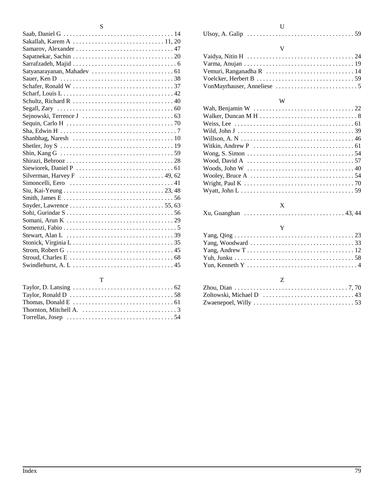| Snyder, Lawrence $\dots \dots \dots \dots \dots \dots \dots \dots \dots \dots 55, 63$ |
|---------------------------------------------------------------------------------------|
|                                                                                       |
|                                                                                       |
|                                                                                       |
|                                                                                       |
|                                                                                       |
|                                                                                       |
|                                                                                       |
|                                                                                       |

#### T

| Thornton, Mitchell A. $\dots\dots\dots\dots\dots\dots\dots\dots\dots3$ |  |
|------------------------------------------------------------------------|--|
|                                                                        |  |

#### ${\bf U}$ Ulsoy, A. Galip . . . . . . . . . . . . . . . . . . . . . . . . . . . . . . . . . . 59

#### V

#### W

| Willson, A. N $\dots\dots\dots\dots\dots\dots\dots\dots\dots\dots\dots\dots\dots46$             |  |
|-------------------------------------------------------------------------------------------------|--|
| Witkin, Andrew P $\ldots \ldots \ldots \ldots \ldots \ldots \ldots \ldots \ldots \ldots \ldots$ |  |
| Wong, S. Simon $\dots \dots \dots \dots \dots \dots \dots \dots \dots \dots \dots \dots 54$     |  |
| Wood, David A $\ldots \ldots \ldots \ldots \ldots \ldots \ldots \ldots \ldots \ldots \ldots 57$ |  |
| Woods, John W $\ldots \ldots \ldots \ldots \ldots \ldots \ldots \ldots \ldots \ldots \ldots 40$ |  |
| Wooley, Bruce A $\ldots \ldots \ldots \ldots \ldots \ldots \ldots \ldots \ldots \ldots 54$      |  |
|                                                                                                 |  |
|                                                                                                 |  |

## X

|--|--|--|

### Y

| Yang, Woodward $\ldots \ldots \ldots \ldots \ldots \ldots \ldots \ldots \ldots \ldots \ldots$ |  |
|-----------------------------------------------------------------------------------------------|--|
|                                                                                               |  |
|                                                                                               |  |
|                                                                                               |  |

#### Z

| Zhou, Dian $\ldots \ldots \ldots \ldots \ldots \ldots \ldots \ldots \ldots \ldots \ldots \ldots \ldots$ |  |  |
|---------------------------------------------------------------------------------------------------------|--|--|
| Zoltowski, Michael D $\ldots \ldots \ldots \ldots \ldots \ldots \ldots \ldots \ldots$                   |  |  |
| Zwaenepoel, Willy $\ldots \ldots \ldots \ldots \ldots \ldots \ldots \ldots \ldots \ldots \ldots$        |  |  |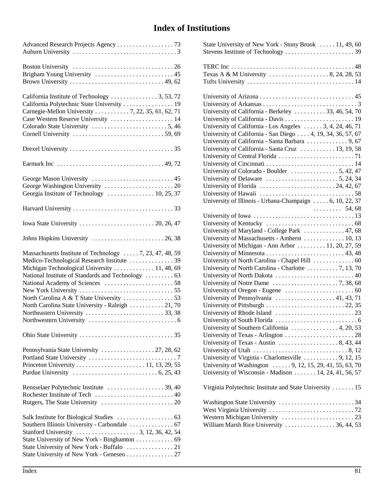# **Index of Institutions**

| Advanced Research Projects Agency 73                                                                                                                                                                                                                               |
|--------------------------------------------------------------------------------------------------------------------------------------------------------------------------------------------------------------------------------------------------------------------|
|                                                                                                                                                                                                                                                                    |
| California Institute of Technology 3, 53, 72<br>California Polytechnic State University  19<br>Carnegie-Mellon University  7, 22, 35, 61, 62, 71<br>Case Western Reserve University  14                                                                            |
|                                                                                                                                                                                                                                                                    |
|                                                                                                                                                                                                                                                                    |
| Georgia Institute of Technology  10, 25, 37                                                                                                                                                                                                                        |
|                                                                                                                                                                                                                                                                    |
|                                                                                                                                                                                                                                                                    |
| Massachusetts Institute of Technology  7, 23, 47, 48, 59<br>Medico-Technological Research Institute 39<br>Michigan Technological University  11, 48, 69<br>National Institute of Standards and Technology  63<br>North Carolina State University - Raleigh  21, 70 |
|                                                                                                                                                                                                                                                                    |
|                                                                                                                                                                                                                                                                    |
|                                                                                                                                                                                                                                                                    |
| State University of New York - Binghamton 69<br>State University of New York - Geneseo  27                                                                                                                                                                         |

| State University of New York - Stony Brook  11, 49, 60                                             |
|----------------------------------------------------------------------------------------------------|
|                                                                                                    |
|                                                                                                    |
|                                                                                                    |
| Texas A & M University $\ldots \ldots \ldots \ldots \ldots$ , 8, 24, 28, 53                        |
| Tufts University $\ldots \ldots \ldots \ldots \ldots \ldots \ldots \ldots \ldots \ldots \ldots 14$ |
|                                                                                                    |
|                                                                                                    |
|                                                                                                    |
| University of California - Berkeley  33, 46, 54, 70                                                |
|                                                                                                    |
| University of California - Los Angeles  3, 4, 24, 46, 71                                           |
| University of California - San Diego  4, 19, 34, 36, 57, 67                                        |
|                                                                                                    |
| University of California - Santa Cruz  13, 19, 58                                                  |
|                                                                                                    |
|                                                                                                    |
| University of Colorado - Boulder $\ldots \ldots \ldots \ldots 5, 42, 47$                           |
| University of Delaware $\dots \dots \dots \dots \dots \dots \dots 5, 24, 34$                       |
| University of Florida $\ldots \ldots \ldots \ldots \ldots \ldots \ldots 24, 42, 67$                |
|                                                                                                    |
| University of Illinois - Urbana-Champaign $\dots$ 6, 10, 22, 37                                    |
|                                                                                                    |
|                                                                                                    |
|                                                                                                    |
| University of Maryland - College Park  47, 68                                                      |
| University of Massachusetts - Amherst  10, 13                                                      |
| University of Michigan - Ann Arbor  11, 20, 27, 59                                                 |
|                                                                                                    |
|                                                                                                    |
| University of North Carolina - Charlotte  7, 13, 70                                                |
|                                                                                                    |
| University of Notre Dame $\ldots \ldots \ldots \ldots \ldots \ldots \ldots$ 7, 38, 68              |
|                                                                                                    |
| University of Pennsylvania $\ldots \ldots \ldots \ldots \ldots \ldots$ 41, 43, 71                  |
|                                                                                                    |
|                                                                                                    |
|                                                                                                    |
| University of Southern California $\ldots \ldots \ldots \ldots$ , 4, 20, 53                        |
|                                                                                                    |
| University of Texas - Austin $\ldots \ldots \ldots \ldots \ldots 8, 43, 44$                        |
| University of Utah $\ldots \ldots \ldots \ldots \ldots \ldots \ldots \ldots \ldots$ . 8, 12        |
| University of Virginia - Charlottesville  9, 12, 15                                                |
| University of Washington  9, 12, 15, 29, 41, 55, 63, 70                                            |
| University of Wisconsin - Madison $\dots \dots 14, 24, 41, 56, 57$                                 |
|                                                                                                    |
| Virginia Polytechnic Institute and State University  15                                            |
|                                                                                                    |
|                                                                                                    |
|                                                                                                    |
|                                                                                                    |
| William Marsh Rice University 36, 44, 53                                                           |
|                                                                                                    |